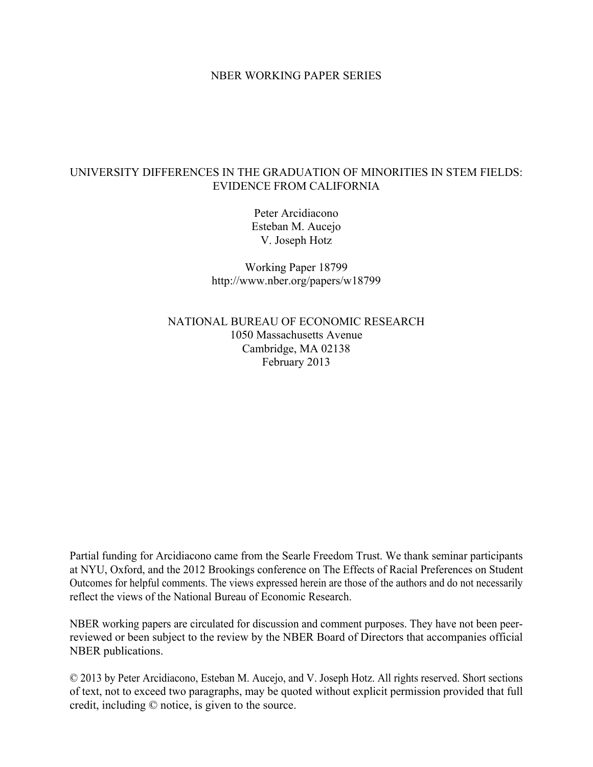#### NBER WORKING PAPER SERIES

## UNIVERSITY DIFFERENCES IN THE GRADUATION OF MINORITIES IN STEM FIELDS: EVIDENCE FROM CALIFORNIA

Peter Arcidiacono Esteban M. Aucejo V. Joseph Hotz

Working Paper 18799 http://www.nber.org/papers/w18799

NATIONAL BUREAU OF ECONOMIC RESEARCH 1050 Massachusetts Avenue Cambridge, MA 02138 February 2013

Partial funding for Arcidiacono came from the Searle Freedom Trust. We thank seminar participants at NYU, Oxford, and the 2012 Brookings conference on The Effects of Racial Preferences on Student Outcomes for helpful comments. The views expressed herein are those of the authors and do not necessarily reflect the views of the National Bureau of Economic Research.

NBER working papers are circulated for discussion and comment purposes. They have not been peerreviewed or been subject to the review by the NBER Board of Directors that accompanies official NBER publications.

© 2013 by Peter Arcidiacono, Esteban M. Aucejo, and V. Joseph Hotz. All rights reserved. Short sections of text, not to exceed two paragraphs, may be quoted without explicit permission provided that full credit, including © notice, is given to the source.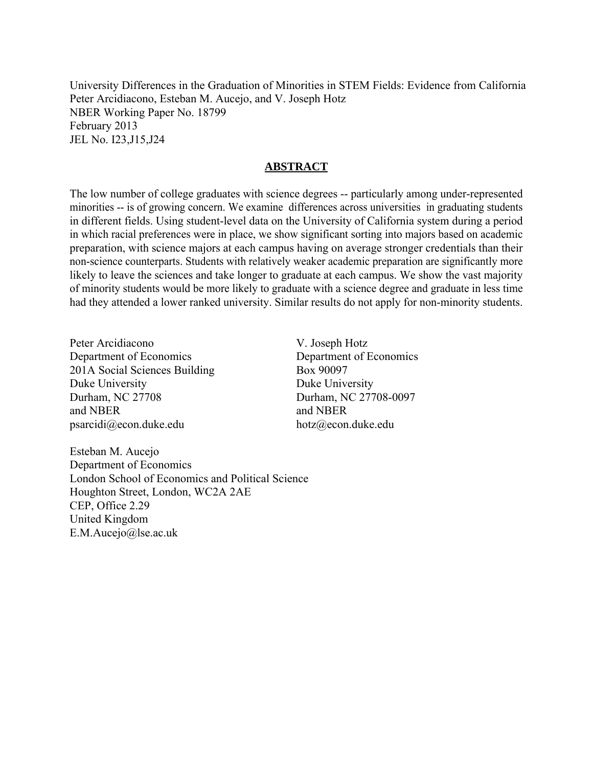University Differences in the Graduation of Minorities in STEM Fields: Evidence from California Peter Arcidiacono, Esteban M. Aucejo, and V. Joseph Hotz NBER Working Paper No. 18799 February 2013 JEL No. I23,J15,J24

### **ABSTRACT**

The low number of college graduates with science degrees -- particularly among under-represented minorities -- is of growing concern. We examine differences across universities in graduating students in different fields. Using student-level data on the University of California system during a period in which racial preferences were in place, we show significant sorting into majors based on academic preparation, with science majors at each campus having on average stronger credentials than their non-science counterparts. Students with relatively weaker academic preparation are significantly more likely to leave the sciences and take longer to graduate at each campus. We show the vast majority of minority students would be more likely to graduate with a science degree and graduate in less time had they attended a lower ranked university. Similar results do not apply for non-minority students.

Peter Arcidiacono Department of Economics 201A Social Sciences Building Duke University Durham, NC 27708 and NBER psarcidi@econ.duke.edu

V. Joseph Hotz Department of Economics Box 90097 Duke University Durham, NC 27708-0097 and NBER hotz@econ.duke.edu

Esteban M. Aucejo Department of Economics London School of Economics and Political Science Houghton Street, London, WC2A 2AE CEP, Office 2.29 United Kingdom E.M.Aucejo@lse.ac.uk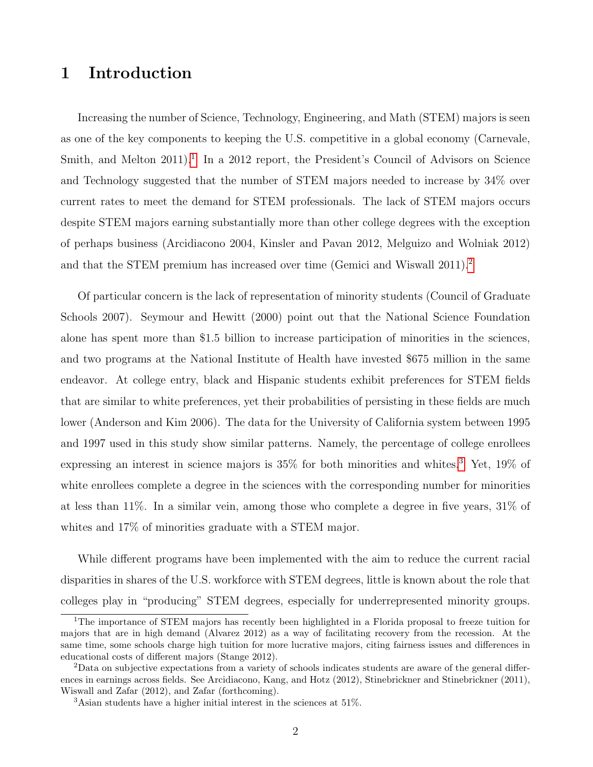# 1 Introduction

Increasing the number of Science, Technology, Engineering, and Math (STEM) majors is seen as one of the key components to keeping the U.S. competitive in a global economy (Carnevale, Smith, and Melton 20[1](#page--1-0)1).<sup>1</sup> In a 2012 report, the President's Council of Advisors on Science and Technology suggested that the number of STEM majors needed to increase by 34% over current rates to meet the demand for STEM professionals. The lack of STEM majors occurs despite STEM majors earning substantially more than other college degrees with the exception of perhaps business (Arcidiacono 2004, Kinsler and Pavan 2012, Melguizo and Wolniak 2012) and that the STEM premium has increased over time (Gemici and Wiswall [2](#page--1-0)011).<sup>2</sup>

Of particular concern is the lack of representation of minority students (Council of Graduate Schools 2007). Seymour and Hewitt (2000) point out that the National Science Foundation alone has spent more than \$1.5 billion to increase participation of minorities in the sciences, and two programs at the National Institute of Health have invested \$675 million in the same endeavor. At college entry, black and Hispanic students exhibit preferences for STEM fields that are similar to white preferences, yet their probabilities of persisting in these fields are much lower (Anderson and Kim 2006). The data for the University of California system between 1995 and 1997 used in this study show similar patterns. Namely, the percentage of college enrollees expressing an interest in science majors is 35% for both minorities and whites.[3](#page--1-0) Yet, 19% of white enrollees complete a degree in the sciences with the corresponding number for minorities at less than 11%. In a similar vein, among those who complete a degree in five years, 31% of whites and  $17\%$  of minorities graduate with a STEM major.

While different programs have been implemented with the aim to reduce the current racial disparities in shares of the U.S. workforce with STEM degrees, little is known about the role that colleges play in "producing" STEM degrees, especially for underrepresented minority groups.

<sup>&</sup>lt;sup>1</sup>The importance of STEM majors has recently been highlighted in a Florida proposal to freeze tuition for majors that are in high demand (Alvarez 2012) as a way of facilitating recovery from the recession. At the same time, some schools charge high tuition for more lucrative majors, citing fairness issues and differences in educational costs of different majors (Stange 2012).

<sup>2</sup>Data on subjective expectations from a variety of schools indicates students are aware of the general differences in earnings across fields. See Arcidiacono, Kang, and Hotz (2012), Stinebrickner and Stinebrickner (2011), Wiswall and Zafar (2012), and Zafar (forthcoming).

<sup>3</sup>Asian students have a higher initial interest in the sciences at 51%.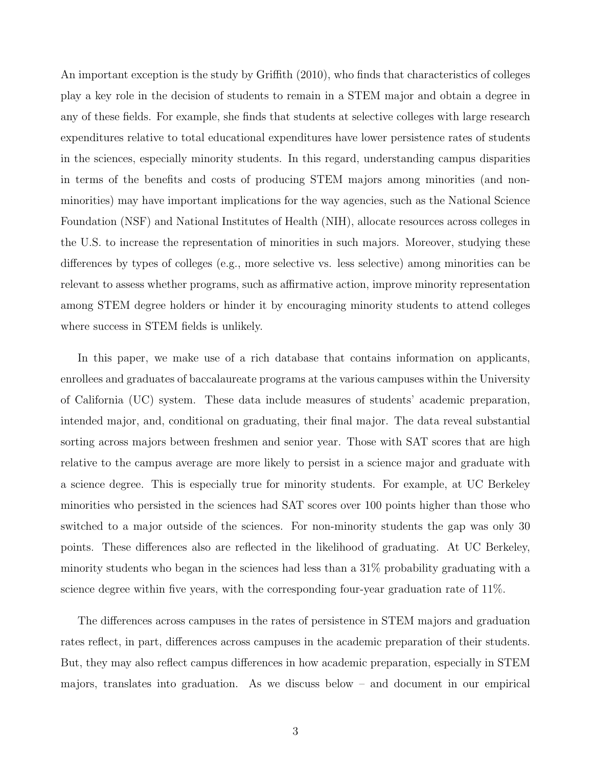An important exception is the study by Griffith (2010), who finds that characteristics of colleges play a key role in the decision of students to remain in a STEM major and obtain a degree in any of these fields. For example, she finds that students at selective colleges with large research expenditures relative to total educational expenditures have lower persistence rates of students in the sciences, especially minority students. In this regard, understanding campus disparities in terms of the benefits and costs of producing STEM majors among minorities (and nonminorities) may have important implications for the way agencies, such as the National Science Foundation (NSF) and National Institutes of Health (NIH), allocate resources across colleges in the U.S. to increase the representation of minorities in such majors. Moreover, studying these differences by types of colleges (e.g., more selective vs. less selective) among minorities can be relevant to assess whether programs, such as affirmative action, improve minority representation among STEM degree holders or hinder it by encouraging minority students to attend colleges where success in STEM fields is unlikely.

In this paper, we make use of a rich database that contains information on applicants, enrollees and graduates of baccalaureate programs at the various campuses within the University of California (UC) system. These data include measures of students' academic preparation, intended major, and, conditional on graduating, their final major. The data reveal substantial sorting across majors between freshmen and senior year. Those with SAT scores that are high relative to the campus average are more likely to persist in a science major and graduate with a science degree. This is especially true for minority students. For example, at UC Berkeley minorities who persisted in the sciences had SAT scores over 100 points higher than those who switched to a major outside of the sciences. For non-minority students the gap was only 30 points. These differences also are reflected in the likelihood of graduating. At UC Berkeley, minority students who began in the sciences had less than a 31% probability graduating with a science degree within five years, with the corresponding four-year graduation rate of 11%.

The differences across campuses in the rates of persistence in STEM majors and graduation rates reflect, in part, differences across campuses in the academic preparation of their students. But, they may also reflect campus differences in how academic preparation, especially in STEM majors, translates into graduation. As we discuss below  $-$  and document in our empirical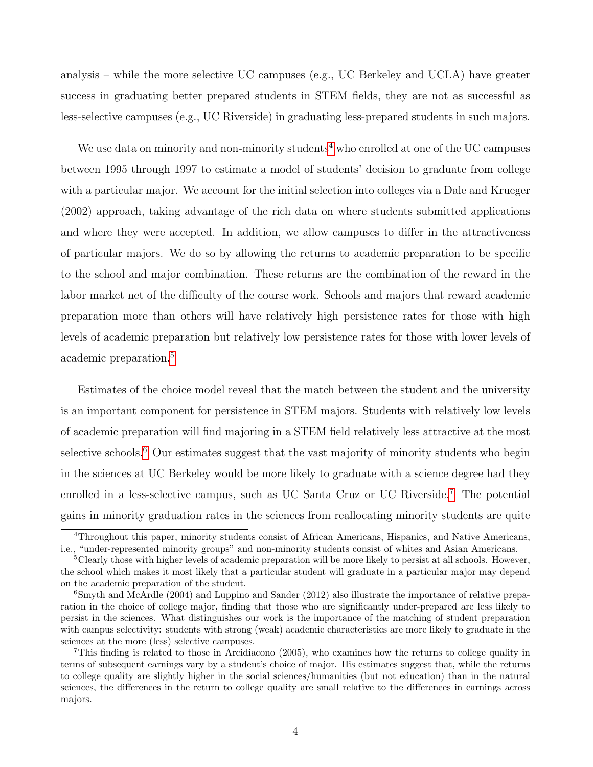analysis – while the more selective UC campuses (e.g., UC Berkeley and UCLA) have greater success in graduating better prepared students in STEM fields, they are not as successful as less-selective campuses (e.g., UC Riverside) in graduating less-prepared students in such majors.

We use data on minority and non-minority students<sup>[4](#page--1-0)</sup> who enrolled at one of the UC campuses between 1995 through 1997 to estimate a model of students' decision to graduate from college with a particular major. We account for the initial selection into colleges via a Dale and Krueger (2002) approach, taking advantage of the rich data on where students submitted applications and where they were accepted. In addition, we allow campuses to differ in the attractiveness of particular majors. We do so by allowing the returns to academic preparation to be specific to the school and major combination. These returns are the combination of the reward in the labor market net of the difficulty of the course work. Schools and majors that reward academic preparation more than others will have relatively high persistence rates for those with high levels of academic preparation but relatively low persistence rates for those with lower levels of academic preparation.[5](#page--1-0)

Estimates of the choice model reveal that the match between the student and the university is an important component for persistence in STEM majors. Students with relatively low levels of academic preparation will find majoring in a STEM field relatively less attractive at the most selective schools.<sup>[6](#page--1-0)</sup> Our estimates suggest that the vast majority of minority students who begin in the sciences at UC Berkeley would be more likely to graduate with a science degree had they enrolled in a less-selective campus, such as UC Santa Cruz or UC Riverside.<sup>[7](#page--1-0)</sup> The potential gains in minority graduation rates in the sciences from reallocating minority students are quite

<sup>&</sup>lt;sup>4</sup>Throughout this paper, minority students consist of African Americans, Hispanics, and Native Americans, i.e., "under-represented minority groups" and non-minority students consist of whites and Asian Americans.

<sup>5</sup>Clearly those with higher levels of academic preparation will be more likely to persist at all schools. However, the school which makes it most likely that a particular student will graduate in a particular major may depend on the academic preparation of the student.

<sup>6</sup>Smyth and McArdle (2004) and Luppino and Sander (2012) also illustrate the importance of relative preparation in the choice of college major, finding that those who are significantly under-prepared are less likely to persist in the sciences. What distinguishes our work is the importance of the matching of student preparation with campus selectivity: students with strong (weak) academic characteristics are more likely to graduate in the sciences at the more (less) selective campuses.

<sup>7</sup>This finding is related to those in Arcidiacono (2005), who examines how the returns to college quality in terms of subsequent earnings vary by a student's choice of major. His estimates suggest that, while the returns to college quality are slightly higher in the social sciences/humanities (but not education) than in the natural sciences, the differences in the return to college quality are small relative to the differences in earnings across majors.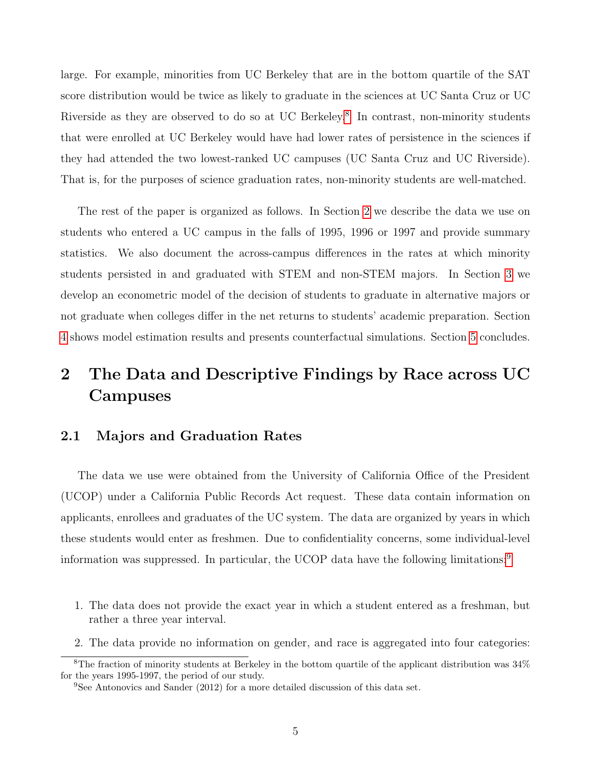large. For example, minorities from UC Berkeley that are in the bottom quartile of the SAT score distribution would be twice as likely to graduate in the sciences at UC Santa Cruz or UC Riverside as they are observed to do so at UC Berkeley.<sup>[8](#page--1-0)</sup> In contrast, non-minority students that were enrolled at UC Berkeley would have had lower rates of persistence in the sciences if they had attended the two lowest-ranked UC campuses (UC Santa Cruz and UC Riverside). That is, for the purposes of science graduation rates, non-minority students are well-matched.

The rest of the paper is organized as follows. In Section [2](#page-5-0) we describe the data we use on students who entered a UC campus in the falls of 1995, 1996 or 1997 and provide summary statistics. We also document the across-campus differences in the rates at which minority students persisted in and graduated with STEM and non-STEM majors. In Section [3](#page-16-0) we develop an econometric model of the decision of students to graduate in alternative majors or not graduate when colleges differ in the net returns to students' academic preparation. Section [4](#page-22-0) shows model estimation results and presents counterfactual simulations. Section [5](#page-36-0) concludes.

# <span id="page-5-0"></span>2 The Data and Descriptive Findings by Race across UC Campuses

## 2.1 Majors and Graduation Rates

The data we use were obtained from the University of California Office of the President (UCOP) under a California Public Records Act request. These data contain information on applicants, enrollees and graduates of the UC system. The data are organized by years in which these students would enter as freshmen. Due to confidentiality concerns, some individual-level information was suppressed. In particular, the UCOP data have the following limitations:[9](#page--1-0)

- 1. The data does not provide the exact year in which a student entered as a freshman, but rather a three year interval.
- 2. The data provide no information on gender, and race is aggregated into four categories:

<sup>8</sup>The fraction of minority students at Berkeley in the bottom quartile of the applicant distribution was 34% for the years 1995-1997, the period of our study.

<sup>9</sup>See Antonovics and Sander (2012) for a more detailed discussion of this data set.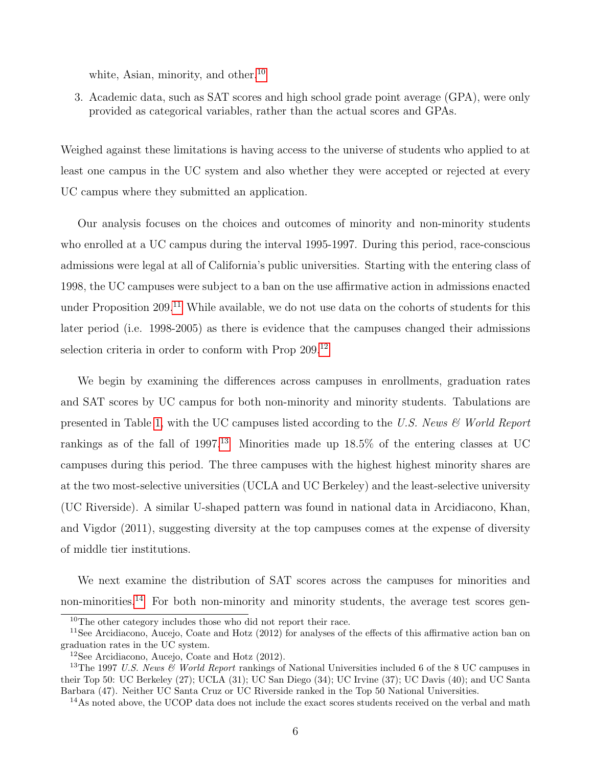white, Asian, minority, and other.<sup>[10](#page--1-0)</sup>

3. Academic data, such as SAT scores and high school grade point average (GPA), were only provided as categorical variables, rather than the actual scores and GPAs.

Weighed against these limitations is having access to the universe of students who applied to at least one campus in the UC system and also whether they were accepted or rejected at every UC campus where they submitted an application.

Our analysis focuses on the choices and outcomes of minority and non-minority students who enrolled at a UC campus during the interval 1995-1997. During this period, race-conscious admissions were legal at all of California's public universities. Starting with the entering class of 1998, the UC campuses were subject to a ban on the use affirmative action in admissions enacted under Proposition 209.<sup>[11](#page--1-0)</sup> While available, we do not use data on the cohorts of students for this later period (i.e. 1998-2005) as there is evidence that the campuses changed their admissions selection criteria in order to conform with Prop 209.<sup>[12](#page--1-0)</sup>

We begin by examining the differences across campuses in enrollments, graduation rates and SAT scores by UC campus for both non-minority and minority students. Tabulations are presented in Table [1,](#page-7-0) with the UC campuses listed according to the U.S. News & World Report rankings as of the fall of 1997.<sup>[13](#page--1-0)</sup> Minorities made up  $18.5\%$  of the entering classes at UC campuses during this period. The three campuses with the highest highest minority shares are at the two most-selective universities (UCLA and UC Berkeley) and the least-selective university (UC Riverside). A similar U-shaped pattern was found in national data in Arcidiacono, Khan, and Vigdor (2011), suggesting diversity at the top campuses comes at the expense of diversity of middle tier institutions.

We next examine the distribution of SAT scores across the campuses for minorities and non-minorities.<sup>[14](#page--1-0)</sup> For both non-minority and minority students, the average test scores gen-

<sup>&</sup>lt;sup>10</sup>The other category includes those who did not report their race.

<sup>&</sup>lt;sup>11</sup>See Arcidiacono, Aucejo, Coate and Hotz (2012) for analyses of the effects of this affirmative action ban on graduation rates in the UC system.

<sup>12</sup>See Arcidiacono, Aucejo, Coate and Hotz (2012).

<sup>&</sup>lt;sup>13</sup>The 1997 U.S. News  $\mathcal{C}$  World Report rankings of National Universities included 6 of the 8 UC campuses in their Top 50: UC Berkeley (27); UCLA (31); UC San Diego (34); UC Irvine (37); UC Davis (40); and UC Santa Barbara (47). Neither UC Santa Cruz or UC Riverside ranked in the Top 50 National Universities.

 $14$ As noted above, the UCOP data does not include the exact scores students received on the verbal and math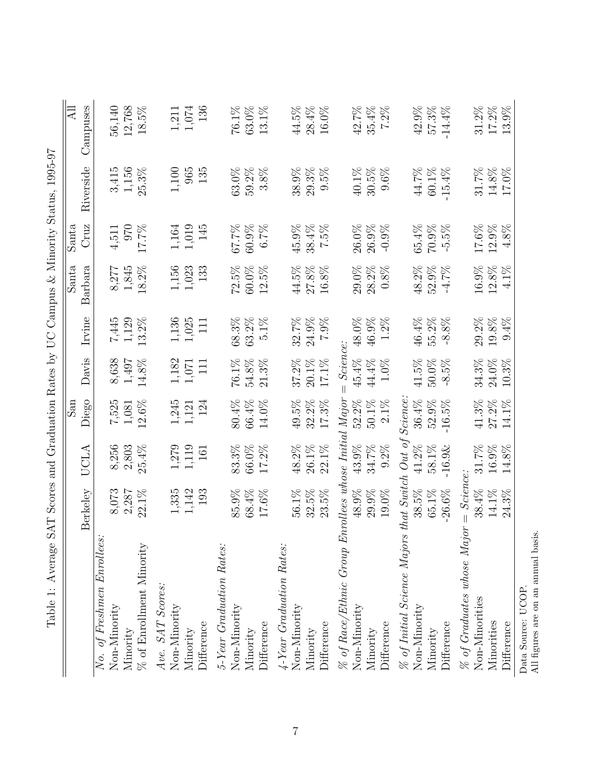<span id="page-7-0"></span>

| TANIE T.                                             |                      |                |                         |                                     |                 |          |           | reservation with a specific term of the properties of the control of the strong control of the specific strong control of the strong control of the strong control of the strong control of the strong control of the strong c |                        |
|------------------------------------------------------|----------------------|----------------|-------------------------|-------------------------------------|-----------------|----------|-----------|--------------------------------------------------------------------------------------------------------------------------------------------------------------------------------------------------------------------------------|------------------------|
|                                                      |                      |                | $\mathop{\mathrm{res}}$ |                                     |                 | Santa    | Santa     |                                                                                                                                                                                                                                | $\overline{\rm {All}}$ |
|                                                      | Berkeley             | UCLA           | Diego                   | Davis                               | Irvine          | Barbara  | Cruz      | Riverside                                                                                                                                                                                                                      | Campuses               |
| No. of Freshmen Enrollees:                           |                      |                |                         |                                     |                 |          |           |                                                                                                                                                                                                                                |                        |
| Non-Minority                                         | 8,073                | 8,256          | 7,525                   | 8,638                               | 7,445           | 8,277    | 4,511     | 3,415                                                                                                                                                                                                                          | 56,140                 |
| Minority                                             | 2,287                | 2,803          | 1,081                   | $1,\!497$                           | 1,129           | 1,845    | 970       | 1,156                                                                                                                                                                                                                          | 12,768                 |
| $\%$ of Enrollment Minority                          | 22.1%                | 25.4%          | 12.6%                   | 14.8%                               | 13.2%           | 18.2%    | 17.7%     | 25.3%                                                                                                                                                                                                                          | 18.5%                  |
| Ave. SAT Scores:                                     |                      |                |                         |                                     |                 |          |           |                                                                                                                                                                                                                                |                        |
| Non-Minority                                         |                      |                | $1,\!245$               | $1,182$                             |                 | $1,156$  | $1,\!164$ | 1,100                                                                                                                                                                                                                          | $1,211$                |
| Minority                                             | $1,335$<br>$1,142$   | 1,279<br>1,119 | 1,121                   | $1,071$                             | 1,136<br>1,025  | 1,023    | 1,019     | 965                                                                                                                                                                                                                            | $1,\!074$              |
| Difference                                           | 193                  | 161            | 124                     | 111                                 | $\overline{11}$ | 133      | 145       | 135                                                                                                                                                                                                                            | 136                    |
| 5-Year Graduation Rates:                             |                      |                |                         |                                     |                 |          |           |                                                                                                                                                                                                                                |                        |
| Non-Minority                                         | 85.9%                | 83.3%          | 80.4%                   | 76.1%                               | 68.3%           | 72.5%    | 67.7%     | 63.0%                                                                                                                                                                                                                          | $76.1\%$               |
| Minority                                             | $68.4\%$             | 66.0%          | 66.4%                   | $54.8\%$                            | 63.2%           | $60.0\%$ | 60.9%     | 59.2%                                                                                                                                                                                                                          | $63.0\%$               |
| Difference                                           | 17.6%                | $17.2\%$       | 14.0%                   | 21.3%                               | 5.1%            | 12.5%    | $6.7\%$   | 3.8%                                                                                                                                                                                                                           | 13.1%                  |
| 4-Year Graduation Rates:                             |                      |                |                         |                                     |                 |          |           |                                                                                                                                                                                                                                |                        |
| Non-Minority                                         | $56.1\%$             | 48.2%          | $49.5\%$                | 37.2%                               | 32.7%           | 44.5%    | 45.9%     | 38.9%                                                                                                                                                                                                                          | 44.5%                  |
| Minority                                             | $32.5\%$             | $26.1\%$       | 32.2%                   | $20.1\%$                            | 24.9%           | $27.8\%$ | 38.4%     | 29.3%                                                                                                                                                                                                                          | $28.4\%$               |
| Difference                                           | 23.5%                | 22.1%          | 17.3%                   | 17.1%                               | $7.9\%$         | $16.8\%$ | 7.5%      | 9.5%                                                                                                                                                                                                                           | $16.0\%$               |
| % of Race/Ethnic Group Enrollees whose Initial Major |                      |                |                         | Science:<br>$\overline{\mathbf{I}}$ |                 |          |           |                                                                                                                                                                                                                                |                        |
| Non-Minority                                         | 48.9%                | 43.9%          | 52.2%                   | $45.4\%$                            | 48.0%           | $29.0\%$ | 26.0%     | 40.1%                                                                                                                                                                                                                          | 42.7%                  |
| Minority                                             | 29.9%                | 34.7%          | $50.1\%$                | $44.4\%$                            | 46.9%           | $28.2\%$ | 26.9%     | 30.5%                                                                                                                                                                                                                          | 35.4%                  |
| Difference                                           | 19.0%                | $9.2\%$        | 2.1%                    | 1.0%                                | $1.2\%$         | $0.8\%$  | $-0.9%$   | $9.6\%$                                                                                                                                                                                                                        | 7.2%                   |
| % of Initial Science Majors                          | $that$ Switch Out of |                | <i>Science:</i>         |                                     |                 |          |           |                                                                                                                                                                                                                                |                        |
| Non-Minority                                         | 38.5%                | $41.2\%$       | 36.4%                   | $41.5\%$                            | 46.4%           | 48.2%    | 65.4%     | 44.7%                                                                                                                                                                                                                          | $42.9\%$               |
| Minority                                             | $65.1\%$             | $58.1\%$       | 52.9%                   | $50.0\%$                            | 55.2%           | $52.9\%$ | 70.9%     | 60.1%                                                                                                                                                                                                                          | 57.3%                  |
| Difference                                           | $-26.6\%$            | $-16.9$ &      | $-16.5\%$               | $-8.5%$                             | $-8.8%$         | $-4.7\%$ | $-5.5%$   | $-15.4%$                                                                                                                                                                                                                       | $-14.4%$               |
| $\%$ of Graduates whose Major                        | $= Science$          |                |                         |                                     |                 |          |           |                                                                                                                                                                                                                                |                        |
| Non-Minorities                                       | 38.4%                | 31.7%          | 41.3%                   | 34.3%                               | $29.2\%$        | $16.9\%$ | 17.6%     | 31.7%                                                                                                                                                                                                                          | $31.2\%$               |
| Minorities                                           | $14.1\%$             | $16.9\%$       | 27.2%                   | 24.0%                               | $19.8\%$        | $12.8\%$ | 12.9%     | 14.8%                                                                                                                                                                                                                          | 17.2%                  |
| Difference                                           | $24.3\%$             | $14.8\%$       | 14.1%                   | 10.3%                               | 9.4%            | $4.1\%$  | 4.8%      | $17.0\%$                                                                                                                                                                                                                       | $13.9\%$               |
| Data Source: UCOP.                                   |                      |                |                         |                                     |                 |          |           |                                                                                                                                                                                                                                |                        |

All figures are on an annual basis. All figures are on an annual basis. Data Source: UCOP.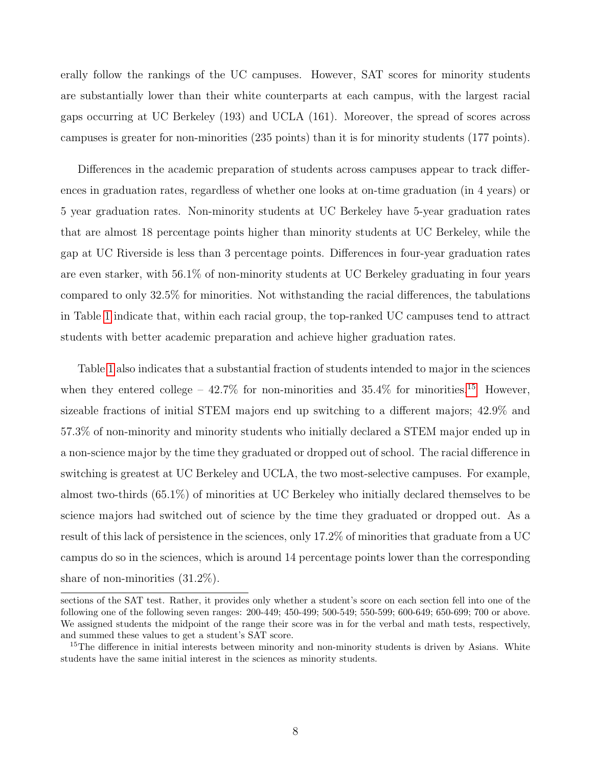erally follow the rankings of the UC campuses. However, SAT scores for minority students are substantially lower than their white counterparts at each campus, with the largest racial gaps occurring at UC Berkeley (193) and UCLA (161). Moreover, the spread of scores across campuses is greater for non-minorities (235 points) than it is for minority students (177 points).

Differences in the academic preparation of students across campuses appear to track differences in graduation rates, regardless of whether one looks at on-time graduation (in 4 years) or 5 year graduation rates. Non-minority students at UC Berkeley have 5-year graduation rates that are almost 18 percentage points higher than minority students at UC Berkeley, while the gap at UC Riverside is less than 3 percentage points. Differences in four-year graduation rates are even starker, with 56.1% of non-minority students at UC Berkeley graduating in four years compared to only 32.5% for minorities. Not withstanding the racial differences, the tabulations in Table [1](#page-7-0) indicate that, within each racial group, the top-ranked UC campuses tend to attract students with better academic preparation and achieve higher graduation rates.

Table [1](#page-7-0) also indicates that a substantial fraction of students intended to major in the sciences when they entered college –  $42.7\%$  for non-minorities and  $35.4\%$  for minorities.<sup>[15](#page--1-0)</sup> However, sizeable fractions of initial STEM majors end up switching to a different majors; 42.9% and 57.3% of non-minority and minority students who initially declared a STEM major ended up in a non-science major by the time they graduated or dropped out of school. The racial difference in switching is greatest at UC Berkeley and UCLA, the two most-selective campuses. For example, almost two-thirds (65.1%) of minorities at UC Berkeley who initially declared themselves to be science majors had switched out of science by the time they graduated or dropped out. As a result of this lack of persistence in the sciences, only 17.2% of minorities that graduate from a UC campus do so in the sciences, which is around 14 percentage points lower than the corresponding share of non-minorities (31.2%).

sections of the SAT test. Rather, it provides only whether a student's score on each section fell into one of the following one of the following seven ranges: 200-449; 450-499; 500-549; 550-599; 600-649; 650-699; 700 or above. We assigned students the midpoint of the range their score was in for the verbal and math tests, respectively, and summed these values to get a student's SAT score.

<sup>&</sup>lt;sup>15</sup>The difference in initial interests between minority and non-minority students is driven by Asians. White students have the same initial interest in the sciences as minority students.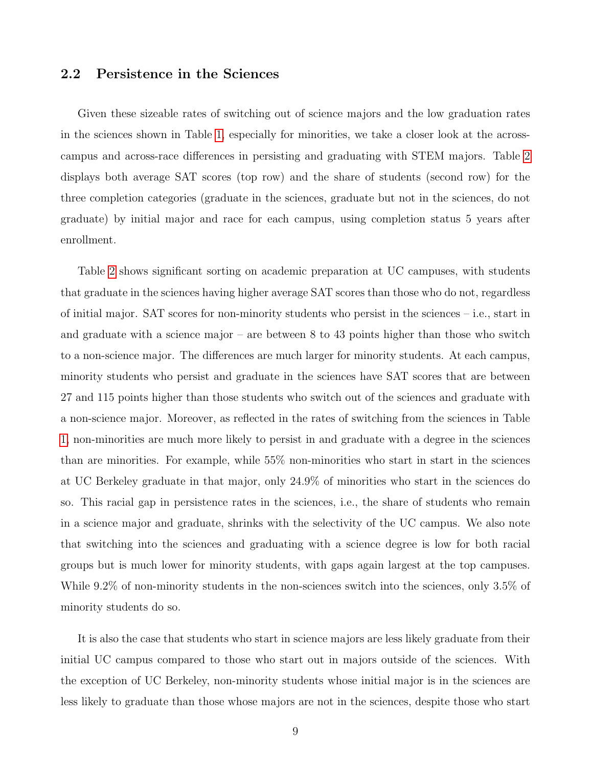### 2.2 Persistence in the Sciences

Given these sizeable rates of switching out of science majors and the low graduation rates in the sciences shown in Table [1,](#page-7-0) especially for minorities, we take a closer look at the acrosscampus and across-race differences in persisting and graduating with STEM majors. Table [2](#page-10-0) displays both average SAT scores (top row) and the share of students (second row) for the three completion categories (graduate in the sciences, graduate but not in the sciences, do not graduate) by initial major and race for each campus, using completion status 5 years after enrollment.

Table [2](#page-10-0) shows significant sorting on academic preparation at UC campuses, with students that graduate in the sciences having higher average SAT scores than those who do not, regardless of initial major. SAT scores for non-minority students who persist in the sciences – i.e., start in and graduate with a science major – are between 8 to 43 points higher than those who switch to a non-science major. The differences are much larger for minority students. At each campus, minority students who persist and graduate in the sciences have SAT scores that are between 27 and 115 points higher than those students who switch out of the sciences and graduate with a non-science major. Moreover, as reflected in the rates of switching from the sciences in Table [1,](#page-7-0) non-minorities are much more likely to persist in and graduate with a degree in the sciences than are minorities. For example, while 55% non-minorities who start in start in the sciences at UC Berkeley graduate in that major, only 24.9% of minorities who start in the sciences do so. This racial gap in persistence rates in the sciences, i.e., the share of students who remain in a science major and graduate, shrinks with the selectivity of the UC campus. We also note that switching into the sciences and graduating with a science degree is low for both racial groups but is much lower for minority students, with gaps again largest at the top campuses. While 9.2% of non-minority students in the non-sciences switch into the sciences, only 3.5% of minority students do so.

It is also the case that students who start in science majors are less likely graduate from their initial UC campus compared to those who start out in majors outside of the sciences. With the exception of UC Berkeley, non-minority students whose initial major is in the sciences are less likely to graduate than those whose majors are not in the sciences, despite those who start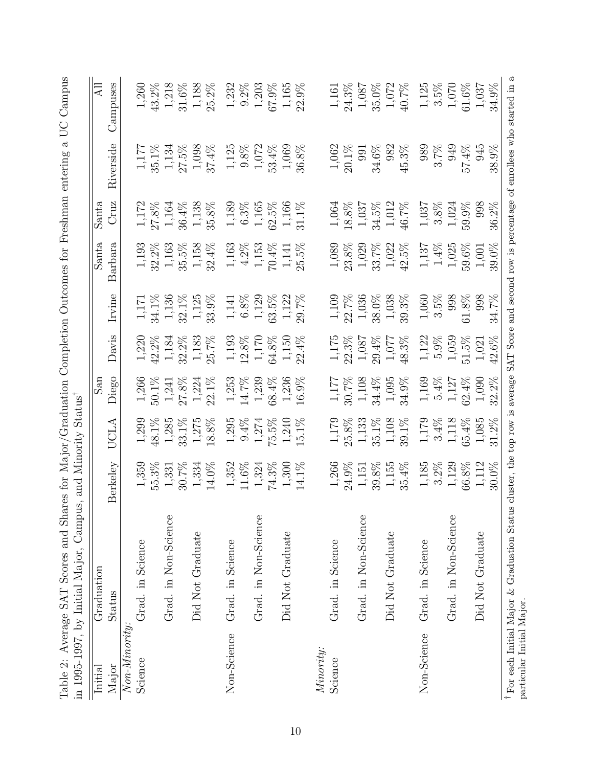<span id="page-10-0"></span>

| Initial        | Graduation           |                                                        |                                                                   | San                                                      |                  |                                                                                                                                                                                                                                                                                                                                                                                      | Santa                                                  | Santa                                                    |                                               | $ \overline{\mathfrak{A}} $ |
|----------------|----------------------|--------------------------------------------------------|-------------------------------------------------------------------|----------------------------------------------------------|------------------|--------------------------------------------------------------------------------------------------------------------------------------------------------------------------------------------------------------------------------------------------------------------------------------------------------------------------------------------------------------------------------------|--------------------------------------------------------|----------------------------------------------------------|-----------------------------------------------|-----------------------------|
| Major          | Status               | Berkeley                                               | UCLA                                                              | Diego                                                    | Davis            | $[\mathrm{rvine}% ]_{\mathrm{evine}}=\left( \begin{array}{cc} \sqrt{2} & 0 & 0\\ 0 & \sqrt{2} & 0\\ 0 & \sqrt{2} & 0\\ 0 & \sqrt{2} & 0\\ 0 & \sqrt{2} & 0\\ 0 & \sqrt{2} & 0\\ 0 & \sqrt{2} & 0\\ 0 & \sqrt{2} & 0\\ 0 & \sqrt{2} & 0\\ 0 & \sqrt{2} & 0\\ 0 & \sqrt{2} & 0\\ 0 & \sqrt{2} & 0\\ 0 & \sqrt{2} & 0\\ 0 & \sqrt{2} & 0\\ 0 & \sqrt{2} & 0\\ 0 & \sqrt{2} & 0\\ 0 & \$ | Barbara                                                | Cruz                                                     | Riverside                                     | Campuses                    |
| $Non-Mimorty:$ |                      |                                                        |                                                                   |                                                          |                  |                                                                                                                                                                                                                                                                                                                                                                                      |                                                        |                                                          |                                               |                             |
| Science        | Grad. in Science     | 1,359                                                  | 1,299                                                             | $1,266$<br>50.1%                                         | 1,220            | $1,171$<br>34.1%                                                                                                                                                                                                                                                                                                                                                                     | 1,193                                                  | $\begin{array}{c} 1,172 \\ 27.8\% \\ 1,164 \end{array}$  | 1,177                                         | $1,260$                     |
|                |                      | $55.3\%$                                               | 48.1%                                                             |                                                          | $42.2\%$         |                                                                                                                                                                                                                                                                                                                                                                                      | $32.2\%$                                               |                                                          | 35.1%                                         | 43.2%                       |
|                | Grad. in Non-Science | 1,331                                                  | 1,285                                                             | 1,241                                                    | 1,184            | 1,136                                                                                                                                                                                                                                                                                                                                                                                | $1,163$                                                |                                                          | $1,134$<br>27.5%                              | 1,218                       |
|                |                      | $30.7\%$                                               | 33.1%                                                             | 27.8%                                                    | $32.2\%$         | $32.1\%$                                                                                                                                                                                                                                                                                                                                                                             | 35.5%                                                  | $36.4\%$                                                 |                                               | $31.6\%$                    |
|                | Did Not Graduate     | 1,334                                                  | $1,275$<br>18.8%                                                  | $1,224$<br>22.1%                                         | $1,183$<br>25.7% | $1,125$<br>33.9%                                                                                                                                                                                                                                                                                                                                                                     | $1,158$<br>32.4%                                       | $1,138$<br>35.8%                                         | $1,098$<br>37.4%                              | 1,188                       |
|                |                      | 14.0%                                                  |                                                                   |                                                          |                  |                                                                                                                                                                                                                                                                                                                                                                                      |                                                        |                                                          |                                               | $25.2\%$                    |
| Non-Science    | Grad. in Science     | 1,352                                                  | $1,295$                                                           | $1,\!253$                                                | 1,193            |                                                                                                                                                                                                                                                                                                                                                                                      |                                                        |                                                          | 1,125                                         | 1,232                       |
|                |                      | $11.6\%$                                               | $9.4\%$                                                           | $14.7\%$                                                 |                  |                                                                                                                                                                                                                                                                                                                                                                                      |                                                        |                                                          |                                               | $9.2\%$                     |
|                | Grad. in Non-Science | 1,324                                                  | 1,274                                                             | 1,239                                                    | 1,170            | $\begin{array}{c} 1,141 \\ 6.8\% \\ 1,129 \end{array}$                                                                                                                                                                                                                                                                                                                               | $\begin{array}{c} 1,163 \\ 4.2\% \\ 1,153 \end{array}$ | $\begin{array}{c} 1,189 \\ 6.3\% \\ 1,165 \end{array}$   | $\begin{array}{c} 9.8\% \\ 1.072 \end{array}$ | 1,203                       |
|                |                      | 74.3%                                                  | 75.5%                                                             | 68.4%                                                    | 54.8%            | 53.5%                                                                                                                                                                                                                                                                                                                                                                                | 70.4%                                                  | $32.5\%$                                                 | 53.4%                                         | 67.9%                       |
|                | Did Not Graduate     | 1,300                                                  | $1,240$<br>15.1%                                                  | $1,236$<br>16.9%                                         | 1,150            | 1,122                                                                                                                                                                                                                                                                                                                                                                                | $1,141$<br>25.5%                                       | 1,166<br>31.1%                                           | 1,069                                         | 1,165                       |
|                |                      | 14.1%                                                  |                                                                   |                                                          | 22.4%            | 29.7%                                                                                                                                                                                                                                                                                                                                                                                |                                                        |                                                          | 36.8%                                         | 22.9%                       |
| Minority:      |                      |                                                        |                                                                   |                                                          |                  |                                                                                                                                                                                                                                                                                                                                                                                      |                                                        |                                                          |                                               |                             |
| Science        | Grad. in Science     | $1,266$                                                |                                                                   |                                                          |                  |                                                                                                                                                                                                                                                                                                                                                                                      | 1,089                                                  | 1,064                                                    | 1,062                                         | 1,161                       |
|                |                      | 24.9%                                                  | $1,179$<br>25.8%                                                  | $1,177$<br>30.7%                                         | $1,175$<br>22.3% | $1,109$<br>22.7%                                                                                                                                                                                                                                                                                                                                                                     | 23.8%                                                  | 18.8%                                                    | 20.1%                                         | 24.3%                       |
|                | Grad. in Non-Science | 1,151                                                  | $\begin{array}{c} 1,133 \\ 35.1\% \\ 1,108 \\ 39.1\% \end{array}$ | $1,108$                                                  | 1,087            | 1,036                                                                                                                                                                                                                                                                                                                                                                                | $1,029$<br>33.7%                                       | 1,037                                                    | 991                                           | 1,087                       |
|                |                      | $39.8\%$                                               |                                                                   |                                                          | $29.4\%$         | 38.0%                                                                                                                                                                                                                                                                                                                                                                                |                                                        |                                                          | $34.6\%$                                      | 35.0%                       |
|                | Did Not Graduate     | $1,155$<br>35.4%                                       |                                                                   | $\begin{array}{c} 34.4\% \\ 1,095 \\ 34.9\% \end{array}$ | $1,077$<br>48.3% | $1,038$<br>39.3%                                                                                                                                                                                                                                                                                                                                                                     | $1,022$<br>42.5%                                       | $\begin{array}{c} 34.5\% \\ 1,012 \\ 46.7\% \end{array}$ | 982                                           | $1,072$                     |
|                |                      |                                                        |                                                                   |                                                          |                  |                                                                                                                                                                                                                                                                                                                                                                                      |                                                        |                                                          | $45.3\%$                                      | 40.7%                       |
| Non-Science    | Grad. in Science     |                                                        |                                                                   |                                                          | 1,122            |                                                                                                                                                                                                                                                                                                                                                                                      |                                                        | 1,037                                                    | 989                                           | 1,125                       |
|                |                      | $\begin{array}{c} 1,185 \\ 3.2\% \\ 1,129 \end{array}$ | $1,179$<br>$3.4\%$                                                | $\begin{array}{c} 1,169 \\ 5.4\% \\ 1,127 \end{array}$   | $5.9\%$          | $1,060$<br>$3.5\%$                                                                                                                                                                                                                                                                                                                                                                   | $\begin{array}{c} 1,137 \\ 1.4\% \\ 1,025 \end{array}$ |                                                          | $3.7\%$                                       | $3.5\%$                     |
|                | Grad. in Non-Science |                                                        | $1,118$<br>65.4%                                                  |                                                          | 1,059            | 998                                                                                                                                                                                                                                                                                                                                                                                  |                                                        | $3.8\%$ $1,024$                                          | 949                                           | $1,070$                     |
|                |                      | $66.8\%$                                               |                                                                   | $62.4\%$                                                 | 51.5%            | $61.8\%$                                                                                                                                                                                                                                                                                                                                                                             | $59.6\%$                                               | 59.9%                                                    | 57.4%                                         | $61.6\%$                    |
|                | Did Not Graduate     | 1,112                                                  | 1,085                                                             | 1,090                                                    | 1,021            | 998                                                                                                                                                                                                                                                                                                                                                                                  | 1,001                                                  | 998                                                      | 945                                           | 1,037                       |
|                |                      | 30.0%                                                  | 31.2%                                                             | 32.2%                                                    | 42.6%            | 34.7%                                                                                                                                                                                                                                                                                                                                                                                | 39.0%                                                  | 36.2%                                                    | 38.9%                                         | 34.9%                       |

10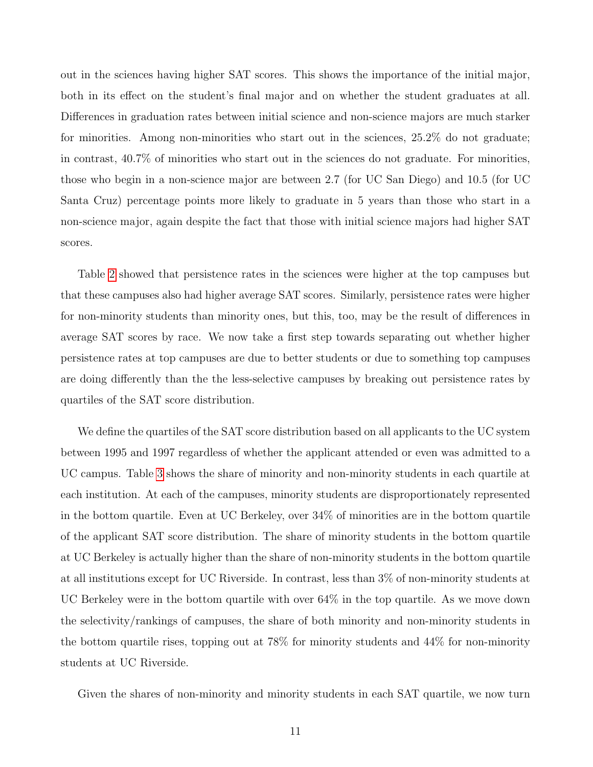out in the sciences having higher SAT scores. This shows the importance of the initial major, both in its effect on the student's final major and on whether the student graduates at all. Differences in graduation rates between initial science and non-science majors are much starker for minorities. Among non-minorities who start out in the sciences, 25.2% do not graduate; in contrast, 40.7% of minorities who start out in the sciences do not graduate. For minorities, those who begin in a non-science major are between 2.7 (for UC San Diego) and 10.5 (for UC Santa Cruz) percentage points more likely to graduate in 5 years than those who start in a non-science major, again despite the fact that those with initial science majors had higher SAT scores.

Table [2](#page-10-0) showed that persistence rates in the sciences were higher at the top campuses but that these campuses also had higher average SAT scores. Similarly, persistence rates were higher for non-minority students than minority ones, but this, too, may be the result of differences in average SAT scores by race. We now take a first step towards separating out whether higher persistence rates at top campuses are due to better students or due to something top campuses are doing differently than the the less-selective campuses by breaking out persistence rates by quartiles of the SAT score distribution.

We define the quartiles of the SAT score distribution based on all applicants to the UC system between 1995 and 1997 regardless of whether the applicant attended or even was admitted to a UC campus. Table [3](#page-12-0) shows the share of minority and non-minority students in each quartile at each institution. At each of the campuses, minority students are disproportionately represented in the bottom quartile. Even at UC Berkeley, over 34% of minorities are in the bottom quartile of the applicant SAT score distribution. The share of minority students in the bottom quartile at UC Berkeley is actually higher than the share of non-minority students in the bottom quartile at all institutions except for UC Riverside. In contrast, less than 3% of non-minority students at UC Berkeley were in the bottom quartile with over 64% in the top quartile. As we move down the selectivity/rankings of campuses, the share of both minority and non-minority students in the bottom quartile rises, topping out at 78% for minority students and 44% for non-minority students at UC Riverside.

Given the shares of non-minority and minority students in each SAT quartile, we now turn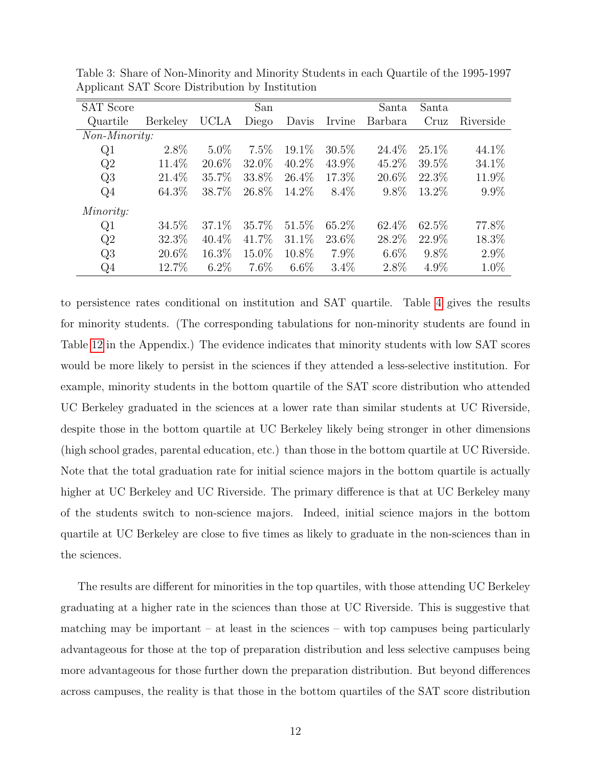| <b>SAT Score</b> |          |             | San     |          |          | Santa    | Santa    |           |
|------------------|----------|-------------|---------|----------|----------|----------|----------|-----------|
| Quartile         | Berkeley | <b>UCLA</b> | Diego   | Davis    | Irvine   | Barbara  | Cruz     | Riverside |
| Non-Minority:    |          |             |         |          |          |          |          |           |
| Q1               | $2.8\%$  | $5.0\%$     | 7.5%    | $19.1\%$ | $30.5\%$ | 24.4\%   | $25.1\%$ | 44.1\%    |
| Q2               | 11.4\%   | 20.6\%      | 32.0\%  | 40.2\%   | 43.9%    | 45.2\%   | $39.5\%$ | 34.1\%    |
| Q3               | 21.4%    | 35.7%       | 33.8%   | 26.4\%   | 17.3%    | $20.6\%$ | 22.3%    | 11.9%     |
| Q <sub>4</sub>   | 64.3\%   | 38.7%       | 26.8%   | 14.2%    | $8.4\%$  | $9.8\%$  | 13.2\%   | $9.9\%$   |
| Minority:        |          |             |         |          |          |          |          |           |
| Q1               | 34.5\%   | 37.1\%      | 35.7%   | $51.5\%$ | 65.2\%   | $62.4\%$ | 62.5%    | 77.8%     |
| Q2               | 32.3%    | $40.4\%$    | 41.7%   | $31.1\%$ | 23.6\%   | 28.2%    | 22.9\%   | 18.3%     |
| Q3               | 20.6%    | 16.3%       | 15.0%   | 10.8%    | $7.9\%$  | $6.6\%$  | $9.8\%$  | $2.9\%$   |
| $Q_4$            | 12.7%    | $6.2\%$     | $7.6\%$ | $6.6\%$  | $3.4\%$  | $2.8\%$  | $4.9\%$  | 1.0%      |

<span id="page-12-0"></span>Table 3: Share of Non-Minority and Minority Students in each Quartile of the 1995-1997 Applicant SAT Score Distribution by Institution

to persistence rates conditional on institution and SAT quartile. Table [4](#page-14-0) gives the results for minority students. (The corresponding tabulations for non-minority students are found in Table [12](#page-40-0) in the Appendix.) The evidence indicates that minority students with low SAT scores would be more likely to persist in the sciences if they attended a less-selective institution. For example, minority students in the bottom quartile of the SAT score distribution who attended UC Berkeley graduated in the sciences at a lower rate than similar students at UC Riverside, despite those in the bottom quartile at UC Berkeley likely being stronger in other dimensions (high school grades, parental education, etc.) than those in the bottom quartile at UC Riverside. Note that the total graduation rate for initial science majors in the bottom quartile is actually higher at UC Berkeley and UC Riverside. The primary difference is that at UC Berkeley many of the students switch to non-science majors. Indeed, initial science majors in the bottom quartile at UC Berkeley are close to five times as likely to graduate in the non-sciences than in the sciences.

The results are different for minorities in the top quartiles, with those attending UC Berkeley graduating at a higher rate in the sciences than those at UC Riverside. This is suggestive that matching may be important  $-$  at least in the sciences  $-$  with top campuses being particularly advantageous for those at the top of preparation distribution and less selective campuses being more advantageous for those further down the preparation distribution. But beyond differences across campuses, the reality is that those in the bottom quartiles of the SAT score distribution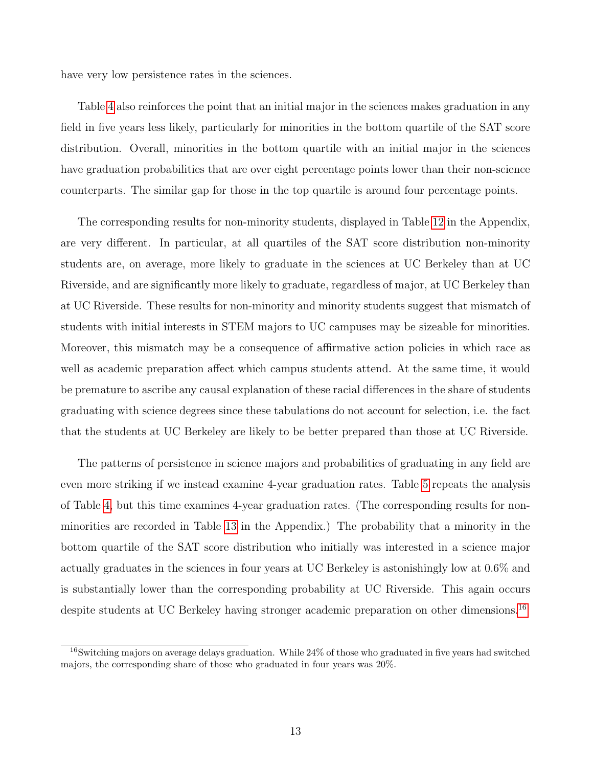have very low persistence rates in the sciences.

Table [4](#page-14-0) also reinforces the point that an initial major in the sciences makes graduation in any field in five years less likely, particularly for minorities in the bottom quartile of the SAT score distribution. Overall, minorities in the bottom quartile with an initial major in the sciences have graduation probabilities that are over eight percentage points lower than their non-science counterparts. The similar gap for those in the top quartile is around four percentage points.

The corresponding results for non-minority students, displayed in Table [12](#page-40-0) in the Appendix, are very different. In particular, at all quartiles of the SAT score distribution non-minority students are, on average, more likely to graduate in the sciences at UC Berkeley than at UC Riverside, and are significantly more likely to graduate, regardless of major, at UC Berkeley than at UC Riverside. These results for non-minority and minority students suggest that mismatch of students with initial interests in STEM majors to UC campuses may be sizeable for minorities. Moreover, this mismatch may be a consequence of affirmative action policies in which race as well as academic preparation affect which campus students attend. At the same time, it would be premature to ascribe any causal explanation of these racial differences in the share of students graduating with science degrees since these tabulations do not account for selection, i.e. the fact that the students at UC Berkeley are likely to be better prepared than those at UC Riverside.

The patterns of persistence in science majors and probabilities of graduating in any field are even more striking if we instead examine 4-year graduation rates. Table [5](#page-15-0) repeats the analysis of Table [4,](#page-14-0) but this time examines 4-year graduation rates. (The corresponding results for nonminorities are recorded in Table [13](#page-41-0) in the Appendix.) The probability that a minority in the bottom quartile of the SAT score distribution who initially was interested in a science major actually graduates in the sciences in four years at UC Berkeley is astonishingly low at 0.6% and is substantially lower than the corresponding probability at UC Riverside. This again occurs despite students at UC Berkeley having stronger academic preparation on other dimensions.<sup>[16](#page--1-0)</sup>

<sup>&</sup>lt;sup>16</sup>Switching majors on average delays graduation. While 24% of those who graduated in five years had switched majors, the corresponding share of those who graduated in four years was 20%.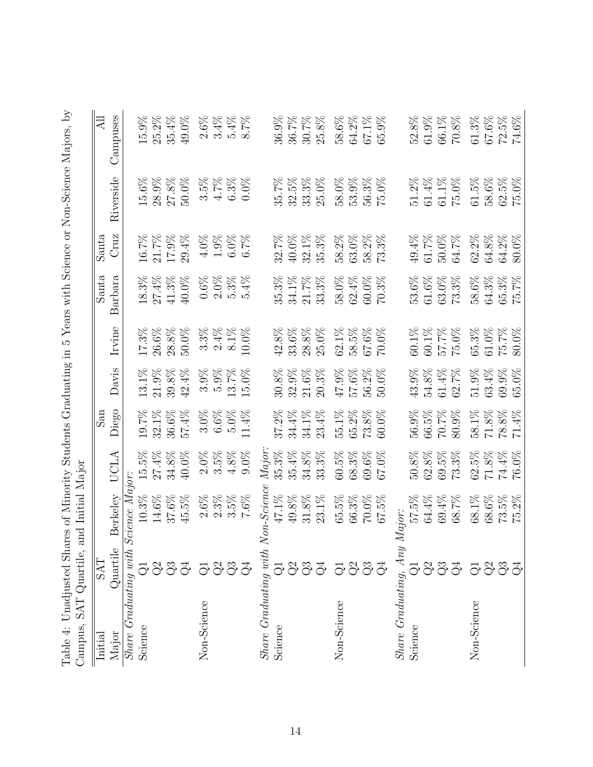<span id="page-14-0"></span>

| Campuses<br>$61.3\%$<br>$67.6\%$<br>$72.5\%$<br>$15.9\%$<br>25.2%<br>35.4%<br>58.6%<br>$64.2\%$<br>$52.8\%$<br>$61.9\%$<br>$66.1\%$<br>$70.8\%$<br>$74.6\%$<br>49.0%<br>$2.6\%$<br>$3.4\%$<br>$5.4\%$<br>$8.7\%$<br>30.7%<br>$25.8\%$<br>$67.1\%$<br>$65.9\%$<br>36.9%<br>36.7%<br>Riverside<br>15.6%<br>28.9%<br>$61.4\%$<br>58.6%<br>$27.8\%$<br>$6.3\%$<br>35.7%<br>$32.5\%$<br>33.3%<br>25.0%<br>58.0%<br>$53.9\%$<br>$56.3\%$<br>$51.2\%$<br>$61.1\%$<br>$61.5\%$<br>$62.5\%$<br>50.0%<br>$3.5\%$<br>$4.7\%$<br>75.0%<br>$75.0\%$<br>$0.0\%$<br>75.0%<br>Cruz<br>$16.7\%$<br>21.7%<br>$17.9\%$<br>40.0%<br>32.1%<br>$35.3\%$<br>$58.2\%$<br>$63.0\%$<br>$49.4\%$<br>$61.7\%$<br>$50.0\%$<br>62.2%<br>$64.8\%$<br>$64.2\%$<br>29.4%<br>4.0%<br>1.9%<br>$6.0\%$<br>$6.7\%$<br>32.7%<br>58.2%<br>$.3\%$<br>64.7%<br>$80.0\%$<br>73.<br>64.3%<br>Barbara<br>18.3%<br>27.4%<br>$41.3\%$<br>$2.0\%$<br>$5.3\%$<br>34.1%<br>$21.7\%$<br>$33.3\%$<br>58.0%<br>$62.4\%$<br>53.6%<br>$61.6\%$<br>$63.0\%$<br>73.3%<br>58.6%<br>$65.3\%$<br>40.0%<br>$0.6\%$<br>5.4%<br>35.3%<br>$60.0\%$<br>70.3%<br>$\widetilde{\mathcal{C}}$<br>ĭБ.<br>28.8%<br>$25.0\%$<br>$62.1\%$<br>$60.1\%$<br>$60.1\%$<br>$61.0\%$<br>Irvine<br>17.3%<br>26.6%<br>$28.8\%$<br>50.0%<br>$3.3\%$<br>$2.4\%$<br>$8.1\%$<br>$10.0\%$<br>33.6%<br>58.5%<br>67.6%<br>57.7%<br>$75.0\%$<br>$65.3\%$<br>75.7%<br>42.8%<br>70.0%<br>$80.0\%$<br>Davis<br>$21.9\%$<br>$32.9\%$<br>$21.6\%$<br>$20.3\%$<br>47.9%<br>$57.6\%$<br>$56.2\%$<br>$43.9\%$<br>$54.8\%$<br>$61.4\%$<br>$51.9\%$<br>63.4%<br>69.9%<br>13.1%<br>$39.8\%$<br>$42.4\%$<br>$3.9\%$<br>$5.9\%$<br>$3.7\%$<br>$15.0\%$<br>30.8%<br>$50.0\%$<br>62.7%<br>65.0%<br>Diego<br>32.1%<br>57.4%<br>$6.6\%$<br>$5.0\%$<br>37.2%<br>34.4%<br>34.1%<br>$55.1\%$<br>$65.2\%$<br>56.9%<br>66.5%<br>$70.7\%$<br>58.1%<br>$71.8\%$<br>$78.8\%$<br>19.7%<br>$36.6\%$<br>$3.0\%$<br>11.4%<br>23.4%<br>73.8%<br>60.0%<br>$80.9\%$<br>71.4%<br>Major<br>$4.8\%$<br>$9.0\%$<br>$35.3\%$<br>35.4%<br>$34.8\%$<br>$60.5\%$<br>$68.3\%$<br>$62.8\%$<br>$69.5\%$<br>$62.5\%$<br>$71.8\%$<br>$74.4\%$<br>$27.4\%$<br>40.0%<br>$2.0\%$<br>$3.5\%$<br>33.3%<br>$69.6\%$<br>67.0%<br>$50.8\%$<br>73.3%<br>76.0%<br>$15.5\%$<br>$34.8\%$<br>UCLA<br>cience Major:<br>Berkeley<br>$47.1\%$<br>10.3%<br>$14.6\%$<br>$37.6\%$<br>$3.5\%$<br>49.8%<br>$31.8\%$<br>65.5%<br>57.5%<br>$45.5\%$<br>2.6%<br>$2.3\%$<br>$23.1\%$<br>$66.3\%$<br>$70.0\%$<br>$64.4\%$<br>$69.4\%$<br>68.7%<br>68.1%<br>$68.6\%$<br>73.5%<br>$7.6\%$<br>$67.5\%$<br>75.2%<br>Major:<br>$Share$ $Graduating$ with $S$<br>Quartile<br>337<br>5833<br>5833<br>333<br>5333<br>5333<br>$\vec{\odot}$<br>$\vec{\odot}$ |             |            | Table 4: Unadjusted Shares of Minority Students Graduating in<br>Campus, SAT Quartile, and Initial Major |                         |  |       |       | 5 Years with Science or Non-Science Majors, by |
|-------------------------------------------------------------------------------------------------------------------------------------------------------------------------------------------------------------------------------------------------------------------------------------------------------------------------------------------------------------------------------------------------------------------------------------------------------------------------------------------------------------------------------------------------------------------------------------------------------------------------------------------------------------------------------------------------------------------------------------------------------------------------------------------------------------------------------------------------------------------------------------------------------------------------------------------------------------------------------------------------------------------------------------------------------------------------------------------------------------------------------------------------------------------------------------------------------------------------------------------------------------------------------------------------------------------------------------------------------------------------------------------------------------------------------------------------------------------------------------------------------------------------------------------------------------------------------------------------------------------------------------------------------------------------------------------------------------------------------------------------------------------------------------------------------------------------------------------------------------------------------------------------------------------------------------------------------------------------------------------------------------------------------------------------------------------------------------------------------------------------------------------------------------------------------------------------------------------------------------------------------------------------------------------------------------------------------------------------------------------------------------------------------------------------------------------------------------------------------------------------------------------------------------------------------------------------------------------------------------------------------------------------------------------------------------|-------------|------------|----------------------------------------------------------------------------------------------------------|-------------------------|--|-------|-------|------------------------------------------------|
|                                                                                                                                                                                                                                                                                                                                                                                                                                                                                                                                                                                                                                                                                                                                                                                                                                                                                                                                                                                                                                                                                                                                                                                                                                                                                                                                                                                                                                                                                                                                                                                                                                                                                                                                                                                                                                                                                                                                                                                                                                                                                                                                                                                                                                                                                                                                                                                                                                                                                                                                                                                                                                                                                     | Initial     | <b>EVS</b> |                                                                                                          | $\mathop{\mathrm{res}}$ |  | Santa | Santa | All                                            |
|                                                                                                                                                                                                                                                                                                                                                                                                                                                                                                                                                                                                                                                                                                                                                                                                                                                                                                                                                                                                                                                                                                                                                                                                                                                                                                                                                                                                                                                                                                                                                                                                                                                                                                                                                                                                                                                                                                                                                                                                                                                                                                                                                                                                                                                                                                                                                                                                                                                                                                                                                                                                                                                                                     | Major       |            |                                                                                                          |                         |  |       |       |                                                |
|                                                                                                                                                                                                                                                                                                                                                                                                                                                                                                                                                                                                                                                                                                                                                                                                                                                                                                                                                                                                                                                                                                                                                                                                                                                                                                                                                                                                                                                                                                                                                                                                                                                                                                                                                                                                                                                                                                                                                                                                                                                                                                                                                                                                                                                                                                                                                                                                                                                                                                                                                                                                                                                                                     |             |            |                                                                                                          |                         |  |       |       |                                                |
|                                                                                                                                                                                                                                                                                                                                                                                                                                                                                                                                                                                                                                                                                                                                                                                                                                                                                                                                                                                                                                                                                                                                                                                                                                                                                                                                                                                                                                                                                                                                                                                                                                                                                                                                                                                                                                                                                                                                                                                                                                                                                                                                                                                                                                                                                                                                                                                                                                                                                                                                                                                                                                                                                     | Science     |            |                                                                                                          |                         |  |       |       |                                                |
|                                                                                                                                                                                                                                                                                                                                                                                                                                                                                                                                                                                                                                                                                                                                                                                                                                                                                                                                                                                                                                                                                                                                                                                                                                                                                                                                                                                                                                                                                                                                                                                                                                                                                                                                                                                                                                                                                                                                                                                                                                                                                                                                                                                                                                                                                                                                                                                                                                                                                                                                                                                                                                                                                     |             |            |                                                                                                          |                         |  |       |       |                                                |
|                                                                                                                                                                                                                                                                                                                                                                                                                                                                                                                                                                                                                                                                                                                                                                                                                                                                                                                                                                                                                                                                                                                                                                                                                                                                                                                                                                                                                                                                                                                                                                                                                                                                                                                                                                                                                                                                                                                                                                                                                                                                                                                                                                                                                                                                                                                                                                                                                                                                                                                                                                                                                                                                                     |             |            |                                                                                                          |                         |  |       |       |                                                |
|                                                                                                                                                                                                                                                                                                                                                                                                                                                                                                                                                                                                                                                                                                                                                                                                                                                                                                                                                                                                                                                                                                                                                                                                                                                                                                                                                                                                                                                                                                                                                                                                                                                                                                                                                                                                                                                                                                                                                                                                                                                                                                                                                                                                                                                                                                                                                                                                                                                                                                                                                                                                                                                                                     |             |            |                                                                                                          |                         |  |       |       |                                                |
|                                                                                                                                                                                                                                                                                                                                                                                                                                                                                                                                                                                                                                                                                                                                                                                                                                                                                                                                                                                                                                                                                                                                                                                                                                                                                                                                                                                                                                                                                                                                                                                                                                                                                                                                                                                                                                                                                                                                                                                                                                                                                                                                                                                                                                                                                                                                                                                                                                                                                                                                                                                                                                                                                     | Non-Science |            |                                                                                                          |                         |  |       |       |                                                |
|                                                                                                                                                                                                                                                                                                                                                                                                                                                                                                                                                                                                                                                                                                                                                                                                                                                                                                                                                                                                                                                                                                                                                                                                                                                                                                                                                                                                                                                                                                                                                                                                                                                                                                                                                                                                                                                                                                                                                                                                                                                                                                                                                                                                                                                                                                                                                                                                                                                                                                                                                                                                                                                                                     |             |            |                                                                                                          |                         |  |       |       |                                                |
| Share Graduating with Non-Science<br>$Share$ $Graduating$ , $Any$<br>Non-Science<br>Non-Science<br>Science<br>Science                                                                                                                                                                                                                                                                                                                                                                                                                                                                                                                                                                                                                                                                                                                                                                                                                                                                                                                                                                                                                                                                                                                                                                                                                                                                                                                                                                                                                                                                                                                                                                                                                                                                                                                                                                                                                                                                                                                                                                                                                                                                                                                                                                                                                                                                                                                                                                                                                                                                                                                                                               |             |            |                                                                                                          |                         |  |       |       |                                                |
|                                                                                                                                                                                                                                                                                                                                                                                                                                                                                                                                                                                                                                                                                                                                                                                                                                                                                                                                                                                                                                                                                                                                                                                                                                                                                                                                                                                                                                                                                                                                                                                                                                                                                                                                                                                                                                                                                                                                                                                                                                                                                                                                                                                                                                                                                                                                                                                                                                                                                                                                                                                                                                                                                     |             |            |                                                                                                          |                         |  |       |       |                                                |
|                                                                                                                                                                                                                                                                                                                                                                                                                                                                                                                                                                                                                                                                                                                                                                                                                                                                                                                                                                                                                                                                                                                                                                                                                                                                                                                                                                                                                                                                                                                                                                                                                                                                                                                                                                                                                                                                                                                                                                                                                                                                                                                                                                                                                                                                                                                                                                                                                                                                                                                                                                                                                                                                                     |             |            |                                                                                                          |                         |  |       |       |                                                |
|                                                                                                                                                                                                                                                                                                                                                                                                                                                                                                                                                                                                                                                                                                                                                                                                                                                                                                                                                                                                                                                                                                                                                                                                                                                                                                                                                                                                                                                                                                                                                                                                                                                                                                                                                                                                                                                                                                                                                                                                                                                                                                                                                                                                                                                                                                                                                                                                                                                                                                                                                                                                                                                                                     |             |            |                                                                                                          |                         |  |       |       |                                                |
|                                                                                                                                                                                                                                                                                                                                                                                                                                                                                                                                                                                                                                                                                                                                                                                                                                                                                                                                                                                                                                                                                                                                                                                                                                                                                                                                                                                                                                                                                                                                                                                                                                                                                                                                                                                                                                                                                                                                                                                                                                                                                                                                                                                                                                                                                                                                                                                                                                                                                                                                                                                                                                                                                     |             |            |                                                                                                          |                         |  |       |       |                                                |
|                                                                                                                                                                                                                                                                                                                                                                                                                                                                                                                                                                                                                                                                                                                                                                                                                                                                                                                                                                                                                                                                                                                                                                                                                                                                                                                                                                                                                                                                                                                                                                                                                                                                                                                                                                                                                                                                                                                                                                                                                                                                                                                                                                                                                                                                                                                                                                                                                                                                                                                                                                                                                                                                                     |             |            |                                                                                                          |                         |  |       |       |                                                |
|                                                                                                                                                                                                                                                                                                                                                                                                                                                                                                                                                                                                                                                                                                                                                                                                                                                                                                                                                                                                                                                                                                                                                                                                                                                                                                                                                                                                                                                                                                                                                                                                                                                                                                                                                                                                                                                                                                                                                                                                                                                                                                                                                                                                                                                                                                                                                                                                                                                                                                                                                                                                                                                                                     |             |            |                                                                                                          |                         |  |       |       |                                                |
|                                                                                                                                                                                                                                                                                                                                                                                                                                                                                                                                                                                                                                                                                                                                                                                                                                                                                                                                                                                                                                                                                                                                                                                                                                                                                                                                                                                                                                                                                                                                                                                                                                                                                                                                                                                                                                                                                                                                                                                                                                                                                                                                                                                                                                                                                                                                                                                                                                                                                                                                                                                                                                                                                     |             |            |                                                                                                          |                         |  |       |       |                                                |
|                                                                                                                                                                                                                                                                                                                                                                                                                                                                                                                                                                                                                                                                                                                                                                                                                                                                                                                                                                                                                                                                                                                                                                                                                                                                                                                                                                                                                                                                                                                                                                                                                                                                                                                                                                                                                                                                                                                                                                                                                                                                                                                                                                                                                                                                                                                                                                                                                                                                                                                                                                                                                                                                                     |             |            |                                                                                                          |                         |  |       |       |                                                |
|                                                                                                                                                                                                                                                                                                                                                                                                                                                                                                                                                                                                                                                                                                                                                                                                                                                                                                                                                                                                                                                                                                                                                                                                                                                                                                                                                                                                                                                                                                                                                                                                                                                                                                                                                                                                                                                                                                                                                                                                                                                                                                                                                                                                                                                                                                                                                                                                                                                                                                                                                                                                                                                                                     |             |            |                                                                                                          |                         |  |       |       |                                                |
|                                                                                                                                                                                                                                                                                                                                                                                                                                                                                                                                                                                                                                                                                                                                                                                                                                                                                                                                                                                                                                                                                                                                                                                                                                                                                                                                                                                                                                                                                                                                                                                                                                                                                                                                                                                                                                                                                                                                                                                                                                                                                                                                                                                                                                                                                                                                                                                                                                                                                                                                                                                                                                                                                     |             |            |                                                                                                          |                         |  |       |       |                                                |
|                                                                                                                                                                                                                                                                                                                                                                                                                                                                                                                                                                                                                                                                                                                                                                                                                                                                                                                                                                                                                                                                                                                                                                                                                                                                                                                                                                                                                                                                                                                                                                                                                                                                                                                                                                                                                                                                                                                                                                                                                                                                                                                                                                                                                                                                                                                                                                                                                                                                                                                                                                                                                                                                                     |             |            |                                                                                                          |                         |  |       |       |                                                |
|                                                                                                                                                                                                                                                                                                                                                                                                                                                                                                                                                                                                                                                                                                                                                                                                                                                                                                                                                                                                                                                                                                                                                                                                                                                                                                                                                                                                                                                                                                                                                                                                                                                                                                                                                                                                                                                                                                                                                                                                                                                                                                                                                                                                                                                                                                                                                                                                                                                                                                                                                                                                                                                                                     |             |            |                                                                                                          |                         |  |       |       |                                                |
|                                                                                                                                                                                                                                                                                                                                                                                                                                                                                                                                                                                                                                                                                                                                                                                                                                                                                                                                                                                                                                                                                                                                                                                                                                                                                                                                                                                                                                                                                                                                                                                                                                                                                                                                                                                                                                                                                                                                                                                                                                                                                                                                                                                                                                                                                                                                                                                                                                                                                                                                                                                                                                                                                     |             |            |                                                                                                          |                         |  |       |       |                                                |
|                                                                                                                                                                                                                                                                                                                                                                                                                                                                                                                                                                                                                                                                                                                                                                                                                                                                                                                                                                                                                                                                                                                                                                                                                                                                                                                                                                                                                                                                                                                                                                                                                                                                                                                                                                                                                                                                                                                                                                                                                                                                                                                                                                                                                                                                                                                                                                                                                                                                                                                                                                                                                                                                                     |             |            |                                                                                                          |                         |  |       |       |                                                |
|                                                                                                                                                                                                                                                                                                                                                                                                                                                                                                                                                                                                                                                                                                                                                                                                                                                                                                                                                                                                                                                                                                                                                                                                                                                                                                                                                                                                                                                                                                                                                                                                                                                                                                                                                                                                                                                                                                                                                                                                                                                                                                                                                                                                                                                                                                                                                                                                                                                                                                                                                                                                                                                                                     |             |            |                                                                                                          |                         |  |       |       |                                                |
|                                                                                                                                                                                                                                                                                                                                                                                                                                                                                                                                                                                                                                                                                                                                                                                                                                                                                                                                                                                                                                                                                                                                                                                                                                                                                                                                                                                                                                                                                                                                                                                                                                                                                                                                                                                                                                                                                                                                                                                                                                                                                                                                                                                                                                                                                                                                                                                                                                                                                                                                                                                                                                                                                     |             |            |                                                                                                          |                         |  |       |       |                                                |
|                                                                                                                                                                                                                                                                                                                                                                                                                                                                                                                                                                                                                                                                                                                                                                                                                                                                                                                                                                                                                                                                                                                                                                                                                                                                                                                                                                                                                                                                                                                                                                                                                                                                                                                                                                                                                                                                                                                                                                                                                                                                                                                                                                                                                                                                                                                                                                                                                                                                                                                                                                                                                                                                                     |             |            |                                                                                                          |                         |  |       |       |                                                |
|                                                                                                                                                                                                                                                                                                                                                                                                                                                                                                                                                                                                                                                                                                                                                                                                                                                                                                                                                                                                                                                                                                                                                                                                                                                                                                                                                                                                                                                                                                                                                                                                                                                                                                                                                                                                                                                                                                                                                                                                                                                                                                                                                                                                                                                                                                                                                                                                                                                                                                                                                                                                                                                                                     |             |            |                                                                                                          |                         |  |       |       |                                                |
|                                                                                                                                                                                                                                                                                                                                                                                                                                                                                                                                                                                                                                                                                                                                                                                                                                                                                                                                                                                                                                                                                                                                                                                                                                                                                                                                                                                                                                                                                                                                                                                                                                                                                                                                                                                                                                                                                                                                                                                                                                                                                                                                                                                                                                                                                                                                                                                                                                                                                                                                                                                                                                                                                     |             |            |                                                                                                          |                         |  |       |       |                                                |

| くらく<br>ı<br>$\overline{\phantom{a}}$                              |                                                 |
|-------------------------------------------------------------------|-------------------------------------------------|
| ֚֚                                                                |                                                 |
|                                                                   |                                                 |
| V SHC IN SHC COUNCILON SHIFTER US<br>;<br>)<br>)<br>ζ             |                                                 |
|                                                                   |                                                 |
| $\sim$ $\sim$ $\sim$ $\sim$ $\sim$ $\sim$ $\sim$<br>$\frac{1}{2}$ |                                                 |
| i<br>I                                                            |                                                 |
|                                                                   |                                                 |
| )<br>2                                                            |                                                 |
| こうしょう こうしょう こうしょう<br>ļ<br>(international)                         |                                                 |
| ,<br>,<br>,<br>$\vdots$<br>is control                             | ֖֖֪ׅ֪֖֪ׅ֪֪֪ׅ֪֪ׅ֪֪֪֪֪֪֪֪֪֪֪ׅ֚֚֚֚֚֚֚֚֚֚֚֚֚֡֝֬֝֓֓֬ |
| i<br>;<br>{                                                       | <br> <br> <br> <br>$\ddot{\cdot}$               |
| ۔<br>ج<br>)<br>S                                                  | <br> <br> <br> <br> <br>$\mathbf c$             |
|                                                                   | j                                               |
| くんしょう くくり                                                         | くしょく<br>リーー・リー                                  |
|                                                                   |                                                 |
| $\sim$ 10 $\sim$ 11000 $\sim$<br>I                                | j                                               |
|                                                                   |                                                 |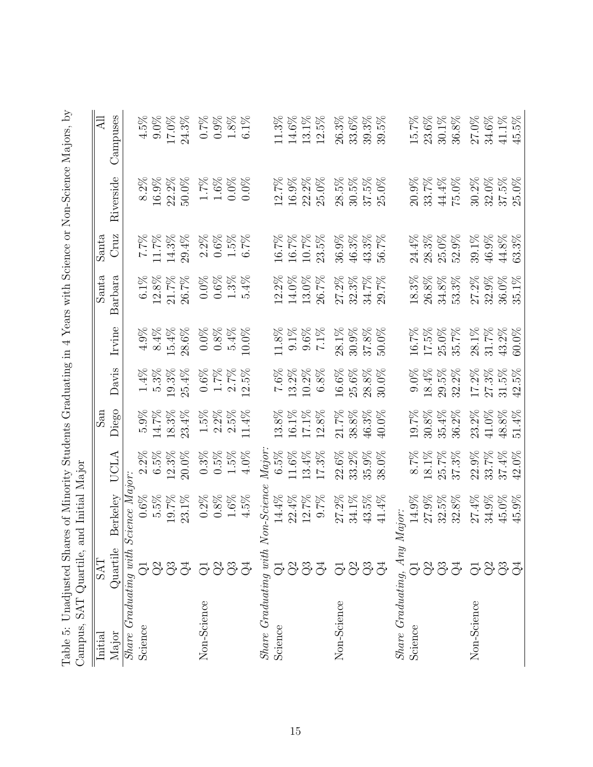| Table 5: Unadjusted Shares of Minority Students Graduating in 4 Years with Science or Non-Science Majors, by<br>Campus, SAT Quartile, a |               | nd Initial Major  |              |          |                     |          |          |                       |           |              |
|-----------------------------------------------------------------------------------------------------------------------------------------|---------------|-------------------|--------------|----------|---------------------|----------|----------|-----------------------|-----------|--------------|
| Initial                                                                                                                                 | <b>EXS</b>    |                   |              | San      |                     |          | Santa    | Santa                 |           | All          |
| Major                                                                                                                                   | Quartile      | Berkelev          | $\mathbb{A}$ | Diego    | Davis               | Irvine   | Barbara  | Cruz                  | Riverside | Campuses     |
| $Share$ $Graduating$ with $Science$ $Major$ :                                                                                           |               |                   |              |          |                     |          |          |                       |           |              |
| Science                                                                                                                                 |               | 0.6%              | $2.2\%$      | $5.9\%$  | $1.4\%$             | 4.9%     | $6.1\%$  | $7.7\%$               | $8.2\%$   | 4.5%         |
|                                                                                                                                         |               | $5.5\%$           | $6.5\%$      | 14.7%    | $5.3\%$             | 8.4%     | $12.8\%$ | $11.7\%$              | $16.9\%$  | 9.0%         |
|                                                                                                                                         |               | 19.7%             | 12.3%        | $18.3\%$ | $19.3\%$            | 15.4%    | $21.7\%$ | $14.3\%$              | $22.2\%$  | $17.0\%$     |
|                                                                                                                                         | 5333          | 23.1%             | $20.0\%$     | 23.4%    | $25.4\%$            | 28.6%    | 26.7%    | 29.4%                 | $50.0\%$  | $24.3\%$     |
| Non-Science                                                                                                                             | 5333          | $0.2\%$           | $0.3\%$      | $1.5\%$  | $0.6\%$             | $0.0\%$  | $0.0\%$  | $2.2\%$               | $1.7\%$   | $0.7\%$      |
|                                                                                                                                         |               | $0.8\%$           | 0.5%         | $2.2\%$  | $1.7\%$             | $0.8\%$  | $0.6\%$  | $0.6\%$               | $1.6\%$   | $0.9\%$      |
|                                                                                                                                         |               | $1.6\%$           | $1.5\%$      | $2.5\%$  | $2.7\%$             | 5.4%     | $1.3\%$  | $1.5\%$               | $0.0\%$   | $1.8\%$      |
|                                                                                                                                         |               | $4.5\%$           | $4.0\%$      | 11.4%    | 12.5%               | 10.0%    | 5.4%     | 6.7%                  | $0.0\%$   | $6.1\%$      |
| $Share$ Graduating with $N$                                                                                                             |               | <i>on-Science</i> | $\it{Major}$ |          |                     |          |          |                       |           |              |
| Science                                                                                                                                 | $\vec{\odot}$ | $14.4\%$          | 6.5%         | 13.8%    | 7.6%                | 11.8%    | 12.2%    | 16.7%                 | 12.7%     | 11.3%        |
|                                                                                                                                         |               | $22.4\%$          | $11.6\%$     | 16.1%    | 13.2%               | $9.1\%$  | $14.0\%$ | 16.7%                 | $16.9\%$  | 14.6%        |
|                                                                                                                                         |               | 12.7%             | $13.4\%$     | $17.1\%$ | $10.2\%$            | $9.6\%$  | $13.0\%$ | $10.7\%$              | $22.2\%$  | 13.1%        |
|                                                                                                                                         | 333           | $9.7\%$           | 17.3%        | 12.8%    | $6.8\%$             | $7.1\%$  | $26.7\%$ | $23.5\%$              | $25.0\%$  | $12.5\%$     |
| Non-Science                                                                                                                             | 5333          | 27.2%             | $22.6\%$     | $21.7\%$ | $16.6\%$            | $28.1\%$ | $27.2\%$ | $36.9\%$              | $28.5\%$  | $26.3\%$     |
|                                                                                                                                         |               | $34.1\%$          | 33.2%        | $38.8\%$ | $25.6\%$            | $30.9\%$ | $32.3\%$ | $46.3\%$              | $30.5\%$  | $33.6\%$     |
|                                                                                                                                         |               | $43.5\%$          | $35.9\%$     | 46.3%    | $28.8\%$            | $37.8\%$ | 34.7%    | 43.3%                 | $37.5\%$  | $39.3\%$     |
|                                                                                                                                         |               | 41.4%             | 38.0%        | 40.0%    | 30.0%               | 50.0%    | 29.7%    | $\frac{2}{26}$<br>56. | 25.0%     | $5\%$<br>39. |
| $Share$ $Graduating$ , $Any$                                                                                                            |               | Major:            |              |          |                     |          |          |                       |           |              |
| Science                                                                                                                                 |               | 14.9%             | $8.7\%$      | $19.7\%$ | $9.0\%$             | 16.7%    | $18.3\%$ | $24.4\%$              | 20.9%     | $15.7\%$     |
|                                                                                                                                         | 5333          | $27.9\%$          | $18.1\%$     | $30.8\%$ | $18.4\%$            | $17.5\%$ | $26.8\%$ | $28.3\%$              | 33.7%     | $23.6\%$     |
|                                                                                                                                         |               | $32.5\%$          | $25.7\%$     | $35.4\%$ | $29.5\%$            | $25.0\%$ | $34.8\%$ | $25.0\%$              | $44.4\%$  | $30.1\%$     |
|                                                                                                                                         |               | $32.8\%$          | $37.3\%$     | 36.2%    | 32.2%               | 35.7%    | 53.3%    | 52.9%                 | 75.0%     | $36.8\%$     |
| Non-Science                                                                                                                             | 5833          | 27.4%             | $22.9\%$     | 23.2%    | 17.2%               | $28.1\%$ | 27.2%    | 39.1%                 | $30.2\%$  | $27.0\%$     |
|                                                                                                                                         |               | $34.9\%$          | 33.7%        | $41.0\%$ | $27.3\%$            | $31.7\%$ | $32.9\%$ | 46.9%                 | $32.0\%$  | $34.6\%$     |
|                                                                                                                                         |               | 45.0%             | $37.4\%$     | $48.8\%$ | $31.5\%$            | 43.2%    | 36.0%    | $44.8\%$              | $37.5\%$  | $41.1\%$     |
|                                                                                                                                         |               | $45.9\%$          | 42.0%        | 51.4%    | $5\%$<br>$\ddot{2}$ | 60.0%    | 35.1%    | 63.3%                 | 25.0%     | $45.5\%$     |
|                                                                                                                                         |               |                   |              |          |                     |          |          |                       |           |              |

<span id="page-15-0"></span>

| と こうこう<br>1<br>$-1$             |                              |
|---------------------------------|------------------------------|
| $\frac{1}{2}$                   |                              |
|                                 |                              |
| N SC N SC CC CC CC N S<br>ζ     |                              |
|                                 |                              |
| $-1 - 1 - 1 - 1$<br>s<br>S      |                              |
|                                 |                              |
|                                 |                              |
| こくしゃく くらこ こうりょく<br>5            |                              |
| )<br> <br> <br>                 |                              |
| て・・・・ ・・                        | ו<br>ו                       |
| $\frac{1}{2}$<br>i              | l                            |
| $\mathbf{I}$<br>ĺ               | $\ddot{\cdot}$               |
| ;<br>{<br>くりく                   | )<br>Si                      |
| )<br>S<br>ו<br>ג                | $\mathbf$                    |
| くもく・・・・                         | ì                            |
| l                               | いしょく<br>j<br> <br>           |
| לאמרות כ                        |                              |
| .<br>!<br>)<br>2<br>2<br>2<br>2 | ソウス マネージャン<br>.<br>Protected |
| l                               | Ì                            |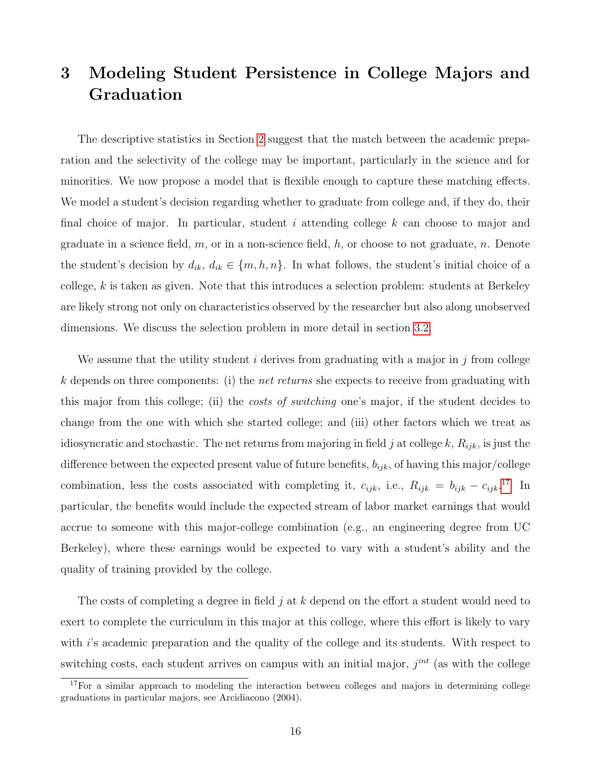# <span id="page-16-0"></span>3 Modeling Student Persistence in College Majors and Graduation

The descriptive statistics in Section [2](#page-5-0) suggest that the match between the academic preparation and the selectivity of the college may be important, particularly in the science and for minorities. We now propose a model that is flexible enough to capture these matching effects. We model a student's decision regarding whether to graduate from college and, if they do, their final choice of major. In particular, student i attending college  $k$  can choose to major and graduate in a science field,  $m$ , or in a non-science field,  $h$ , or choose to not graduate,  $n$ . Denote the student's decision by  $d_{ik}$ ,  $d_{ik} \in \{m, h, n\}$ . In what follows, the student's initial choice of a college,  $k$  is taken as given. Note that this introduces a selection problem: students at Berkeley are likely strong not only on characteristics observed by the researcher but also along unobserved dimensions. We discuss the selection problem in more detail in section [3.2.](#page-19-0)

We assume that the utility student i derives from graduating with a major in j from college k depends on three components: (i) the *net returns* she expects to receive from graduating with this major from this college; (ii) the *costs of switching* one's major, if the student decides to change from the one with which she started college; and (iii) other factors which we treat as idiosyncratic and stochastic. The net returns from majoring in field j at college k,  $R_{ijk}$ , is just the difference between the expected present value of future benefits,  $b_{ijk}$ , of having this major/college combination, less the costs associated with completing it,  $c_{ijk}$ , i.e.,  $R_{ijk} = b_{ijk} - c_{ijk}$ .<sup>[17](#page--1-0)</sup> In particular, the benefits would include the expected stream of labor market earnings that would accrue to someone with this major-college combination (e.g., an engineering degree from UC Berkeley), where these earnings would be expected to vary with a student's ability and the quality of training provided by the college.

The costs of completing a degree in field  $j$  at  $k$  depend on the effort a student would need to exert to complete the curriculum in this major at this college, where this effort is likely to vary with i's academic preparation and the quality of the college and its students. With respect to switching costs, each student arrives on campus with an initial major,  $j<sup>int</sup>$  (as with the college

<sup>&</sup>lt;sup>17</sup>For a similar approach to modeling the interaction between colleges and majors in determining college graduations in particular majors, see Arcidiacono (2004).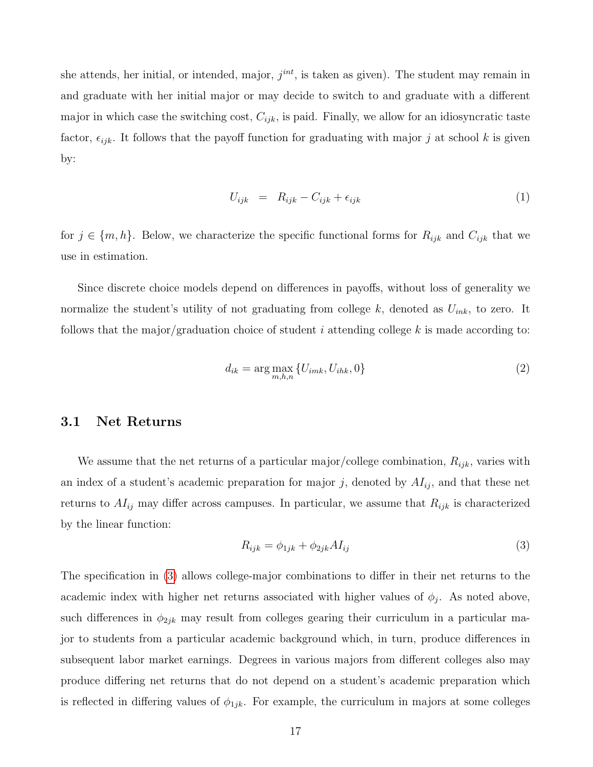she attends, her initial, or intended, major,  $j^{int}$ , is taken as given). The student may remain in and graduate with her initial major or may decide to switch to and graduate with a different major in which case the switching cost,  $C_{ijk}$ , is paid. Finally, we allow for an idiosyncratic taste factor,  $\epsilon_{ijk}$ . It follows that the payoff function for graduating with major j at school k is given by:

$$
U_{ijk} = R_{ijk} - C_{ijk} + \epsilon_{ijk} \tag{1}
$$

for  $j \in \{m, h\}$ . Below, we characterize the specific functional forms for  $R_{ijk}$  and  $C_{ijk}$  that we use in estimation.

Since discrete choice models depend on differences in payoffs, without loss of generality we normalize the student's utility of not graduating from college k, denoted as  $U_{ink}$ , to zero. It follows that the major/graduation choice of student  $i$  attending college  $k$  is made according to:

$$
d_{ik} = \arg\max_{m,h,n} \{ U_{imk}, U_{ihk}, 0 \} \tag{2}
$$

### 3.1 Net Returns

We assume that the net returns of a particular major/college combination,  $R_{ijk}$ , varies with an index of a student's academic preparation for major j, denoted by  $AI_{ij}$ , and that these net returns to  $AI_{ij}$  may differ across campuses. In particular, we assume that  $R_{ijk}$  is characterized by the linear function:

<span id="page-17-0"></span>
$$
R_{ijk} = \phi_{1jk} + \phi_{2jk} A I_{ij} \tag{3}
$$

The specification in [\(3\)](#page-17-0) allows college-major combinations to differ in their net returns to the academic index with higher net returns associated with higher values of  $\phi_j$ . As noted above, such differences in  $\phi_{2jk}$  may result from colleges gearing their curriculum in a particular major to students from a particular academic background which, in turn, produce differences in subsequent labor market earnings. Degrees in various majors from different colleges also may produce differing net returns that do not depend on a student's academic preparation which is reflected in differing values of  $\phi_{1jk}$ . For example, the curriculum in majors at some colleges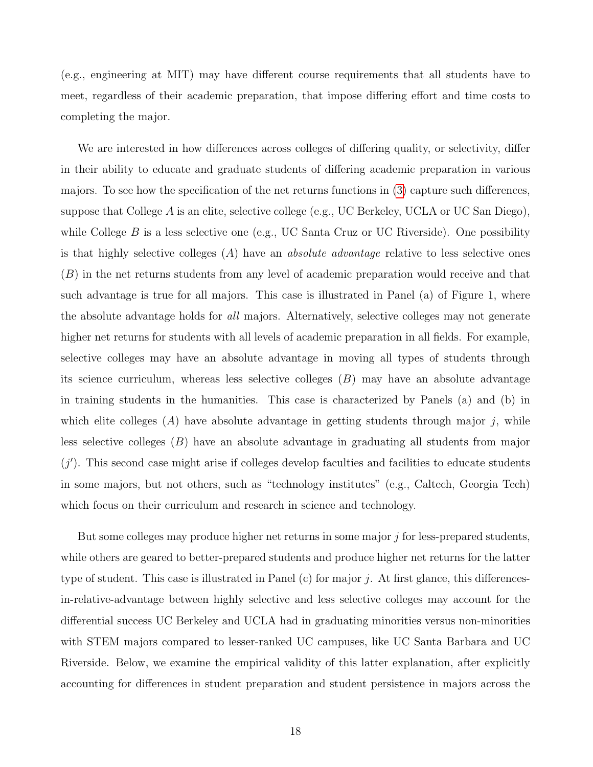(e.g., engineering at MIT) may have different course requirements that all students have to meet, regardless of their academic preparation, that impose differing effort and time costs to completing the major.

We are interested in how differences across colleges of differing quality, or selectivity, differ in their ability to educate and graduate students of differing academic preparation in various majors. To see how the specification of the net returns functions in [\(3\)](#page-17-0) capture such differences, suppose that College A is an elite, selective college (e.g., UC Berkeley, UCLA or UC San Diego), while College B is a less selective one (e.g., UC Santa Cruz or UC Riverside). One possibility is that highly selective colleges  $(A)$  have an *absolute advantage* relative to less selective ones (B) in the net returns students from any level of academic preparation would receive and that such advantage is true for all majors. This case is illustrated in Panel (a) of Figure 1, where the absolute advantage holds for all majors. Alternatively, selective colleges may not generate higher net returns for students with all levels of academic preparation in all fields. For example, selective colleges may have an absolute advantage in moving all types of students through its science curriculum, whereas less selective colleges  $(B)$  may have an absolute advantage in training students in the humanities. This case is characterized by Panels (a) and (b) in which elite colleges  $(A)$  have absolute advantage in getting students through major j, while less selective colleges (B) have an absolute advantage in graduating all students from major  $(j')$ . This second case might arise if colleges develop faculties and facilities to educate students in some majors, but not others, such as "technology institutes" (e.g., Caltech, Georgia Tech) which focus on their curriculum and research in science and technology.

But some colleges may produce higher net returns in some major  $j$  for less-prepared students, while others are geared to better-prepared students and produce higher net returns for the latter type of student. This case is illustrated in Panel (c) for major j. At first glance, this differencesin-relative-advantage between highly selective and less selective colleges may account for the differential success UC Berkeley and UCLA had in graduating minorities versus non-minorities with STEM majors compared to lesser-ranked UC campuses, like UC Santa Barbara and UC Riverside. Below, we examine the empirical validity of this latter explanation, after explicitly accounting for differences in student preparation and student persistence in majors across the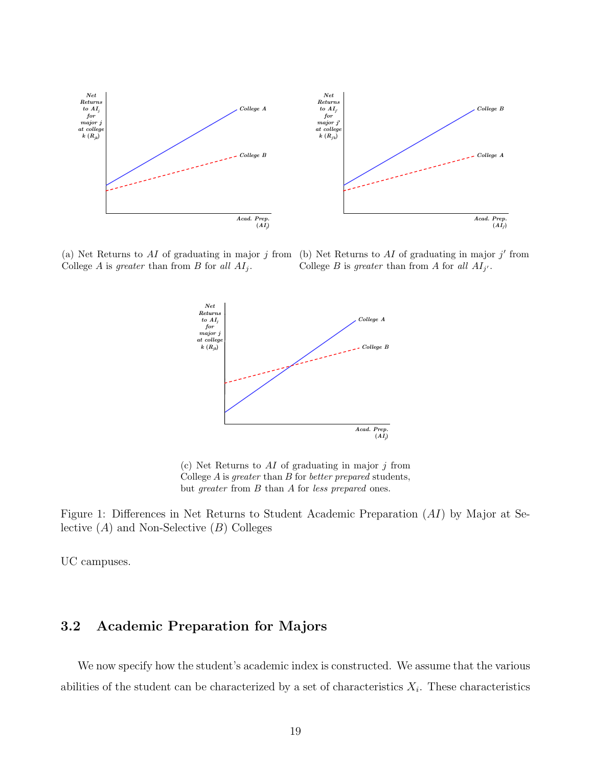

College  $A$  is greater than from  $B$  for all  $AI_j$ .

(a) Net Returns to AI of graduating in major  $j$  from (b) Net Returns to AI of graduating in major  $j'$  from College B is greater than from A for all  $AI_{j'}$ .



(c) Net Returns to  $AI$  of graduating in major j from College A is greater than B for better prepared students, but greater from B than A for less prepared ones.

<span id="page-19-1"></span>Figure 1: Differences in Net Returns to Student Academic Preparation (AI) by Major at Selective  $(A)$  and Non-Selective  $(B)$  Colleges

UC campuses.

## <span id="page-19-0"></span>3.2 Academic Preparation for Majors

We now specify how the student's academic index is constructed. We assume that the various abilities of the student can be characterized by a set of characteristics  $X_i$ . These characteristics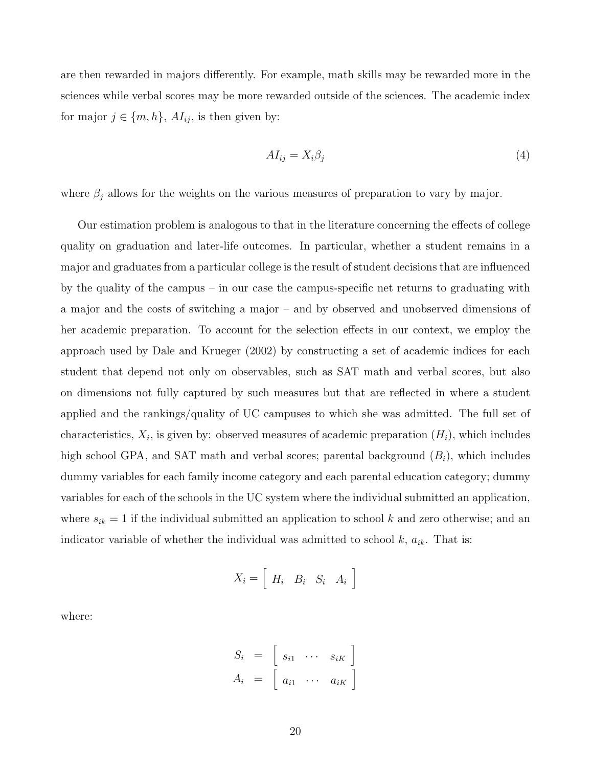are then rewarded in majors differently. For example, math skills may be rewarded more in the sciences while verbal scores may be more rewarded outside of the sciences. The academic index for major  $j \in \{m, h\}$ ,  $AI_{ij}$ , is then given by:

<span id="page-20-0"></span>
$$
AI_{ij} = X_i \beta_j \tag{4}
$$

where  $\beta_j$  allows for the weights on the various measures of preparation to vary by major.

Our estimation problem is analogous to that in the literature concerning the effects of college quality on graduation and later-life outcomes. In particular, whether a student remains in a major and graduates from a particular college is the result of student decisions that are influenced by the quality of the campus – in our case the campus-specific net returns to graduating with a major and the costs of switching a major – and by observed and unobserved dimensions of her academic preparation. To account for the selection effects in our context, we employ the approach used by Dale and Krueger (2002) by constructing a set of academic indices for each student that depend not only on observables, such as SAT math and verbal scores, but also on dimensions not fully captured by such measures but that are reflected in where a student applied and the rankings/quality of UC campuses to which she was admitted. The full set of characteristics,  $X_i$ , is given by: observed measures of academic preparation  $(H_i)$ , which includes high school GPA, and SAT math and verbal scores; parental background  $(B_i)$ , which includes dummy variables for each family income category and each parental education category; dummy variables for each of the schools in the UC system where the individual submitted an application, where  $s_{ik} = 1$  if the individual submitted an application to school k and zero otherwise; and an indicator variable of whether the individual was admitted to school  $k$ ,  $a_{ik}$ . That is:

$$
X_i = \left[ \begin{array}{cc} H_i & B_i & S_i & A_i \end{array} \right]
$$

where:

$$
S_i = \begin{bmatrix} s_{i1} & \cdots & s_{iK} \end{bmatrix}
$$

$$
A_i = \begin{bmatrix} a_{i1} & \cdots & a_{iK} \end{bmatrix}
$$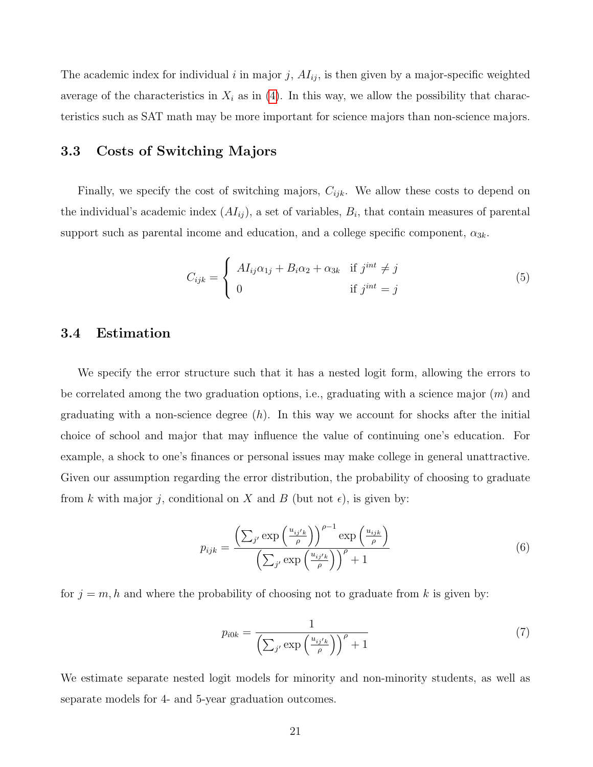The academic index for individual i in major j,  $AI_{ij}$ , is then given by a major-specific weighted average of the characteristics in  $X_i$  as in [\(4\)](#page-20-0). In this way, we allow the possibility that characteristics such as SAT math may be more important for science majors than non-science majors.

## 3.3 Costs of Switching Majors

Finally, we specify the cost of switching majors,  $C_{ijk}$ . We allow these costs to depend on the individual's academic index  $(AI_{ij})$ , a set of variables,  $B_i$ , that contain measures of parental support such as parental income and education, and a college specific component,  $\alpha_{3k}$ .

<span id="page-21-0"></span>
$$
C_{ijk} = \begin{cases} A I_{ij} \alpha_{1j} + B_i \alpha_2 + \alpha_{3k} & \text{if } j^{int} \neq j \\ 0 & \text{if } j^{int} = j \end{cases}
$$
 (5)

### 3.4 Estimation

We specify the error structure such that it has a nested logit form, allowing the errors to be correlated among the two graduation options, i.e., graduating with a science major (m) and graduating with a non-science degree  $(h)$ . In this way we account for shocks after the initial choice of school and major that may influence the value of continuing one's education. For example, a shock to one's finances or personal issues may make college in general unattractive. Given our assumption regarding the error distribution, the probability of choosing to graduate from k with major j, conditional on X and B (but not  $\epsilon$ ), is given by:

$$
p_{ijk} = \frac{\left(\sum_{j'} \exp\left(\frac{u_{ij'k}}{\rho}\right)\right)^{\rho-1} \exp\left(\frac{u_{ijk}}{\rho}\right)}{\left(\sum_{j'} \exp\left(\frac{u_{ij'k}}{\rho}\right)\right)^{\rho}+1}
$$
(6)

for  $j = m, h$  and where the probability of choosing not to graduate from k is given by:

$$
p_{i0k} = \frac{1}{\left(\sum_{j'} \exp\left(\frac{u_{ij'k}}{\rho}\right)\right)^{\rho} + 1} \tag{7}
$$

We estimate separate nested logit models for minority and non-minority students, as well as separate models for 4- and 5-year graduation outcomes.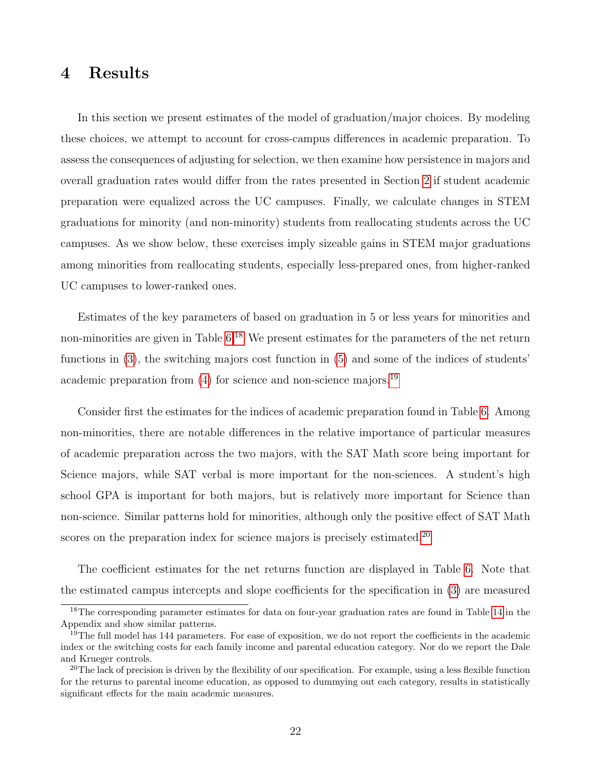## <span id="page-22-0"></span>4 Results

In this section we present estimates of the model of graduation/major choices. By modeling these choices, we attempt to account for cross-campus differences in academic preparation. To assess the consequences of adjusting for selection, we then examine how persistence in majors and overall graduation rates would differ from the rates presented in Section [2](#page-5-0) if student academic preparation were equalized across the UC campuses. Finally, we calculate changes in STEM graduations for minority (and non-minority) students from reallocating students across the UC campuses. As we show below, these exercises imply sizeable gains in STEM major graduations among minorities from reallocating students, especially less-prepared ones, from higher-ranked UC campuses to lower-ranked ones.

Estimates of the key parameters of based on graduation in 5 or less years for minorities and non-minorities are given in Table [6.](#page-23-0)<sup>[18](#page--1-0)</sup> We present estimates for the parameters of the net return functions in [\(3\)](#page-17-0), the switching majors cost function in [\(5\)](#page-21-0) and some of the indices of students' academic preparation from  $(4)$  for science and non-science majors.<sup>[19](#page--1-0)</sup>

Consider first the estimates for the indices of academic preparation found in Table [6.](#page-23-0) Among non-minorities, there are notable differences in the relative importance of particular measures of academic preparation across the two majors, with the SAT Math score being important for Science majors, while SAT verbal is more important for the non-sciences. A student's high school GPA is important for both majors, but is relatively more important for Science than non-science. Similar patterns hold for minorities, although only the positive effect of SAT Math scores on the preparation index for science majors is precisely estimated.<sup>[20](#page--1-0)</sup>

The coefficient estimates for the net returns function are displayed in Table [6.](#page-23-0) Note that the estimated campus intercepts and slope coefficients for the specification in [\(3\)](#page-17-0) are measured

<sup>&</sup>lt;sup>18</sup>The corresponding parameter estimates for data on four-year graduation rates are found in Table [14](#page-42-0) in the Appendix and show similar patterns.

<sup>&</sup>lt;sup>19</sup>The full model has 144 parameters. For ease of exposition, we do not report the coefficients in the academic index or the switching costs for each family income and parental education category. Nor do we report the Dale and Krueger controls.

<sup>&</sup>lt;sup>20</sup>The lack of precision is driven by the flexibility of our specification. For example, using a less flexible function for the returns to parental income education, as opposed to dummying out each category, results in statistically significant effects for the main academic measures.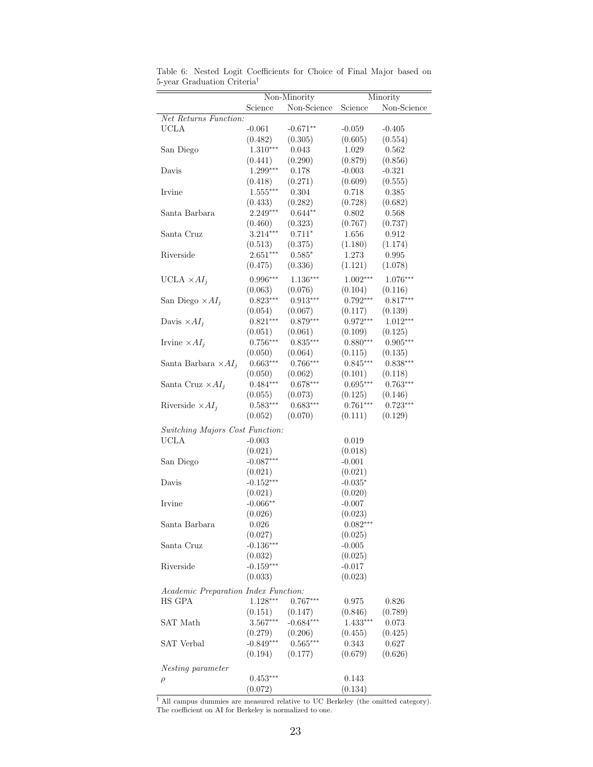|                                      |             | $\overline{\text{Non-Minority}}$ |            | Minority    |
|--------------------------------------|-------------|----------------------------------|------------|-------------|
|                                      | Science     | Non-Science                      | Science    | Non-Science |
| Net Returns Function:                |             |                                  |            |             |
| <b>UCLA</b>                          | $-0.061$    | $-0.671**$                       | $-0.059$   | $-0.405$    |
|                                      | (0.482)     | (0.305)                          | (0.605)    | (0.554)     |
| San Diego                            | $1.310***$  | 0.043                            | 1.029      | 0.562       |
|                                      | (0.441)     | (0.290)                          | (0.879)    | (0.856)     |
| Davis                                | $1.299***$  | 0.178                            | $-0.003$   | $-0.321$    |
|                                      | (0.418)     | (0.271)                          | (0.609)    | (0.555)     |
| Irvine                               | $1.555***$  | 0.304                            | 0.718      | 0.385       |
|                                      | (0.433)     | (0.282)                          | (0.728)    | (0.682)     |
| Santa Barbara                        | 2.249***    | $0.644**$                        | 0.802      | 0.568       |
|                                      | (0.460)     | (0.323)                          | (0.767)    | (0.737)     |
| Santa Cruz                           | $3.214***$  | $0.711*$                         | 1.656      | 0.912       |
|                                      | (0.513)     | (0.375)                          | (1.180)    | (1.174)     |
| Riverside                            | $2.651***$  | $0.585*$                         | 1.273      | 0.995       |
|                                      | (0.475)     | (0.336)                          | (1.121)    | (1.078)     |
| UCLA $\times AI_j$                   | $0.996***$  | $1.136***$                       | $1.002***$ | 1.076***    |
|                                      | (0.063)     | (0.076)                          | (0.104)    | (0.116)     |
| San Diego $\times AI_i$              | $0.823***$  | $0.913***$                       | $0.792***$ | $0.817***$  |
|                                      | (0.054)     | (0.067)                          | (0.117)    | (0.139)     |
| Davis $\times AI_i$                  | $0.821***$  | $0.879***$                       | $0.972***$ | $1.012***$  |
|                                      | (0.051)     | (0.061)                          | (0.109)    | (0.125)     |
| Irvine $\times AI_j$                 | $0.756***$  | $0.835***$                       | $0.880***$ | $0.905***$  |
|                                      | (0.050)     | (0.064)                          | (0.115)    | (0.135)     |
| Santa Barbara $\times AI_j$          | $0.663***$  | $0.766***$                       | $0.845***$ | $0.838***$  |
|                                      | (0.050)     | (0.062)                          | (0.101)    | (0.118)     |
| Santa Cruz $\times AI_i$             | $0.484***$  | $0.678***$                       | $0.695***$ | $0.763***$  |
|                                      | (0.055)     | (0.073)                          | (0.125)    | (0.146)     |
| Riverside $\times AI_i$              | $0.583***$  | $0.683***$                       | $0.761***$ | $0.723***$  |
|                                      | (0.052)     | (0.070)                          | (0.111)    | (0.129)     |
| Switching Majors Cost Function:      |             |                                  |            |             |
| <b>UCLA</b>                          | $-0.003$    |                                  | 0.019      |             |
|                                      | (0.021)     |                                  | (0.018)    |             |
| San Diego                            | $-0.087***$ |                                  | $-0.001$   |             |
|                                      | (0.021)     |                                  | (0.021)    |             |
| Davis                                | $-0.152***$ |                                  | $-0.035*$  |             |
|                                      | (0.021)     |                                  | (0.020)    |             |
| Irvine                               | $-0.066**$  |                                  | $-0.007$   |             |
|                                      | (0.026)     |                                  | (0.023)    |             |
| Santa Barbara                        | 0.026       |                                  | $0.082***$ |             |
|                                      | (0.027)     |                                  | (0.025)    |             |
| Santa Cruz                           | $-0.136***$ |                                  | $-0.005$   |             |
|                                      | (0.032)     |                                  | (0.025)    |             |
| Riverside                            | $-0.159***$ |                                  | $-0.017$   |             |
|                                      | (0.033)     |                                  | (0.023)    |             |
| Academic Preparation Index Function: |             |                                  |            |             |
| HS GPA                               | $1.128***$  | $0.767***$                       | 0.975      | 0.826       |
|                                      | (0.151)     | (0.147)                          | (0.846)    | (0.789)     |
| SAT Math                             | $3.567***$  | $-0.684***$                      | $1.433***$ | 0.073       |
|                                      | (0.279)     | (0.206)                          | (0.455)    | (0.425)     |
| <b>SAT</b> Verbal                    | $-0.849***$ | $0.565***$                       | 0.343      | 0.627       |
|                                      | (0.194)     | (0.177)                          | (0.679)    | (0.626)     |
| Nesting parameter                    |             |                                  |            |             |
| $\rho$                               | $0.453***$  |                                  | 0.143      |             |
|                                      | (0.072)     |                                  | (0.134)    |             |

<span id="page-23-0"></span>Table 6: Nested Logit Coefficients for Choice of Final Major based on 5-year Graduation Criteria†

† All campus dummies are measured relative to UC Berkeley (the omitted category). The coefficient on AI for Berkeley is normalized to one.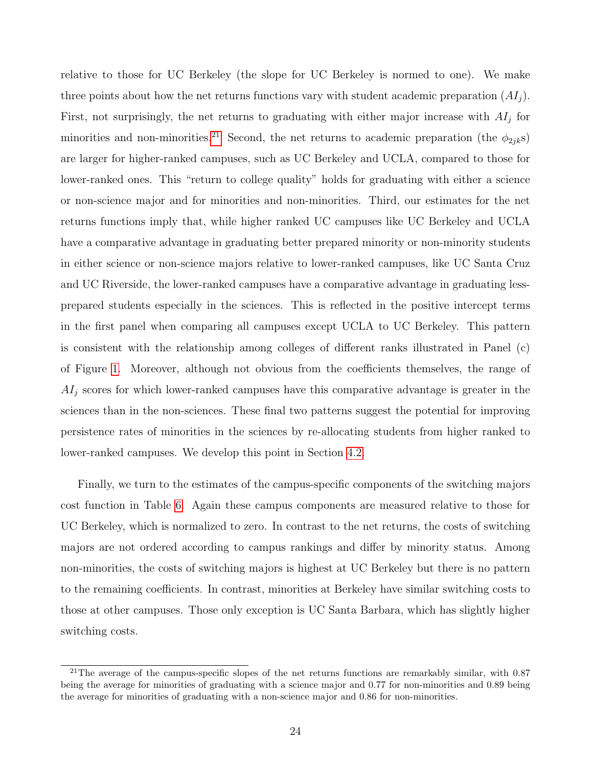relative to those for UC Berkeley (the slope for UC Berkeley is normed to one). We make three points about how the net returns functions vary with student academic preparation  $(AI<sub>i</sub>)$ . First, not surprisingly, the net returns to graduating with either major increase with  $AI<sub>j</sub>$  for minorities and non-minorities.<sup>[21](#page--1-0)</sup> Second, the net returns to academic preparation (the  $\phi_{2jk}s$ ) are larger for higher-ranked campuses, such as UC Berkeley and UCLA, compared to those for lower-ranked ones. This "return to college quality" holds for graduating with either a science or non-science major and for minorities and non-minorities. Third, our estimates for the net returns functions imply that, while higher ranked UC campuses like UC Berkeley and UCLA have a comparative advantage in graduating better prepared minority or non-minority students in either science or non-science majors relative to lower-ranked campuses, like UC Santa Cruz and UC Riverside, the lower-ranked campuses have a comparative advantage in graduating lessprepared students especially in the sciences. This is reflected in the positive intercept terms in the first panel when comparing all campuses except UCLA to UC Berkeley. This pattern is consistent with the relationship among colleges of different ranks illustrated in Panel (c) of Figure [1.](#page-19-1) Moreover, although not obvious from the coefficients themselves, the range of  $AI<sub>j</sub>$  scores for which lower-ranked campuses have this comparative advantage is greater in the sciences than in the non-sciences. These final two patterns suggest the potential for improving persistence rates of minorities in the sciences by re-allocating students from higher ranked to lower-ranked campuses. We develop this point in Section [4.2.](#page-28-0)

Finally, we turn to the estimates of the campus-specific components of the switching majors cost function in Table [6.](#page-23-0) Again these campus components are measured relative to those for UC Berkeley, which is normalized to zero. In contrast to the net returns, the costs of switching majors are not ordered according to campus rankings and differ by minority status. Among non-minorities, the costs of switching majors is highest at UC Berkeley but there is no pattern to the remaining coefficients. In contrast, minorities at Berkeley have similar switching costs to those at other campuses. Those only exception is UC Santa Barbara, which has slightly higher switching costs.

<sup>&</sup>lt;sup>21</sup>The average of the campus-specific slopes of the net returns functions are remarkably similar, with  $0.87$ being the average for minorities of graduating with a science major and 0.77 for non-minorities and 0.89 being the average for minorities of graduating with a non-science major and 0.86 for non-minorities.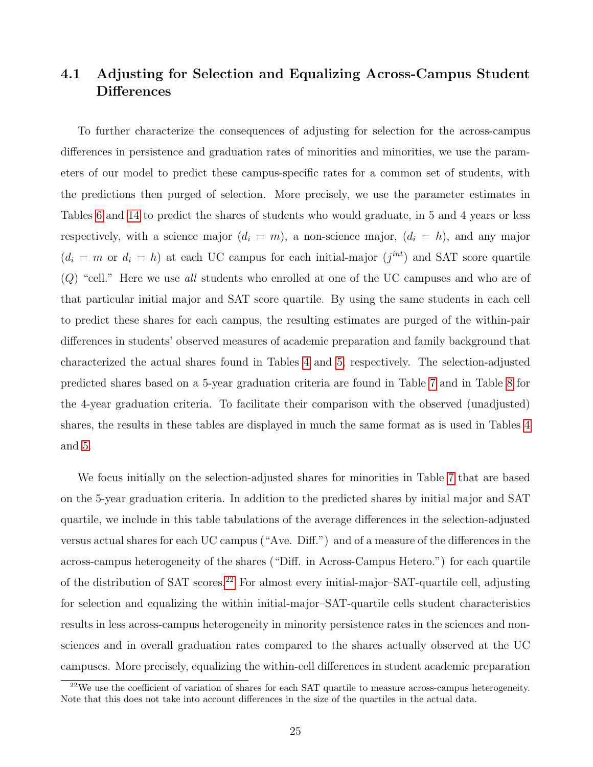## 4.1 Adjusting for Selection and Equalizing Across-Campus Student **Differences**

To further characterize the consequences of adjusting for selection for the across-campus differences in persistence and graduation rates of minorities and minorities, we use the parameters of our model to predict these campus-specific rates for a common set of students, with the predictions then purged of selection. More precisely, we use the parameter estimates in Tables [6](#page-23-0) and [14](#page-42-0) to predict the shares of students who would graduate, in 5 and 4 years or less respectively, with a science major  $(d_i = m)$ , a non-science major,  $(d_i = h)$ , and any major  $(d_i = m \text{ or } d_i = h)$  at each UC campus for each initial-major  $(j^{int})$  and SAT score quartile  $(Q)$  "cell." Here we use all students who enrolled at one of the UC campuses and who are of that particular initial major and SAT score quartile. By using the same students in each cell to predict these shares for each campus, the resulting estimates are purged of the within-pair differences in students' observed measures of academic preparation and family background that characterized the actual shares found in Tables [4](#page-14-0) and [5,](#page-15-0) respectively. The selection-adjusted predicted shares based on a 5-year graduation criteria are found in Table [7](#page-27-0) and in Table [8](#page-29-0) for the 4-year graduation criteria. To facilitate their comparison with the observed (unadjusted) shares, the results in these tables are displayed in much the same format as is used in Tables [4](#page-14-0) and [5.](#page-15-0)

We focus initially on the selection-adjusted shares for minorities in Table [7](#page-27-0) that are based on the 5-year graduation criteria. In addition to the predicted shares by initial major and SAT quartile, we include in this table tabulations of the average differences in the selection-adjusted versus actual shares for each UC campus ("Ave. Diff.") and of a measure of the differences in the across-campus heterogeneity of the shares ("Diff. in Across-Campus Hetero.") for each quartile of the distribution of SAT scores.<sup>[22](#page--1-0)</sup> For almost every initial-major-SAT-quartile cell, adjusting for selection and equalizing the within initial-major–SAT-quartile cells student characteristics results in less across-campus heterogeneity in minority persistence rates in the sciences and nonsciences and in overall graduation rates compared to the shares actually observed at the UC campuses. More precisely, equalizing the within-cell differences in student academic preparation

<sup>&</sup>lt;sup>22</sup>We use the coefficient of variation of shares for each SAT quartile to measure across-campus heterogeneity. Note that this does not take into account differences in the size of the quartiles in the actual data.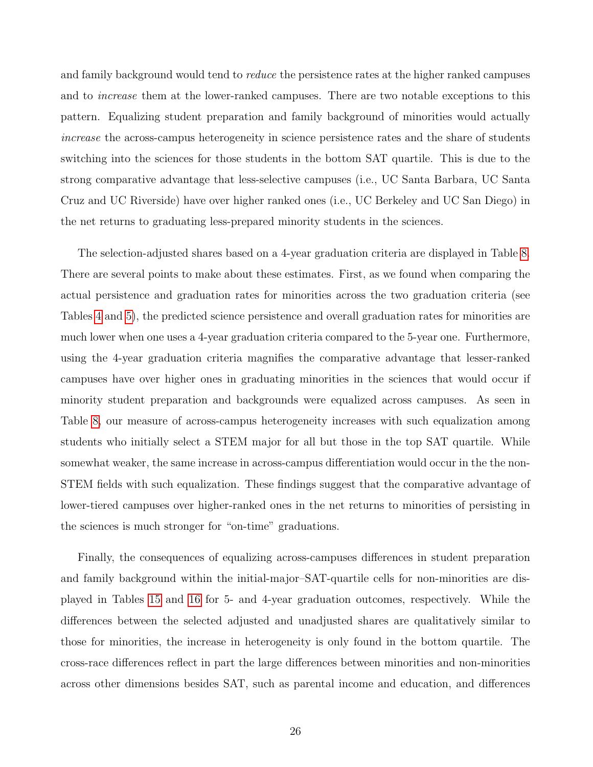and family background would tend to *reduce* the persistence rates at the higher ranked campuses and to increase them at the lower-ranked campuses. There are two notable exceptions to this pattern. Equalizing student preparation and family background of minorities would actually increase the across-campus heterogeneity in science persistence rates and the share of students switching into the sciences for those students in the bottom SAT quartile. This is due to the strong comparative advantage that less-selective campuses (i.e., UC Santa Barbara, UC Santa Cruz and UC Riverside) have over higher ranked ones (i.e., UC Berkeley and UC San Diego) in the net returns to graduating less-prepared minority students in the sciences.

The selection-adjusted shares based on a 4-year graduation criteria are displayed in Table [8.](#page-29-0) There are several points to make about these estimates. First, as we found when comparing the actual persistence and graduation rates for minorities across the two graduation criteria (see Tables [4](#page-14-0) and [5\)](#page-15-0), the predicted science persistence and overall graduation rates for minorities are much lower when one uses a 4-year graduation criteria compared to the 5-year one. Furthermore, using the 4-year graduation criteria magnifies the comparative advantage that lesser-ranked campuses have over higher ones in graduating minorities in the sciences that would occur if minority student preparation and backgrounds were equalized across campuses. As seen in Table [8,](#page-29-0) our measure of across-campus heterogeneity increases with such equalization among students who initially select a STEM major for all but those in the top SAT quartile. While somewhat weaker, the same increase in across-campus differentiation would occur in the the non-STEM fields with such equalization. These findings suggest that the comparative advantage of lower-tiered campuses over higher-ranked ones in the net returns to minorities of persisting in the sciences is much stronger for "on-time" graduations.

Finally, the consequences of equalizing across-campuses differences in student preparation and family background within the initial-major–SAT-quartile cells for non-minorities are displayed in Tables [15](#page-43-0) and [16](#page-44-0) for 5- and 4-year graduation outcomes, respectively. While the differences between the selected adjusted and unadjusted shares are qualitatively similar to those for minorities, the increase in heterogeneity is only found in the bottom quartile. The cross-race differences reflect in part the large differences between minorities and non-minorities across other dimensions besides SAT, such as parental income and education, and differences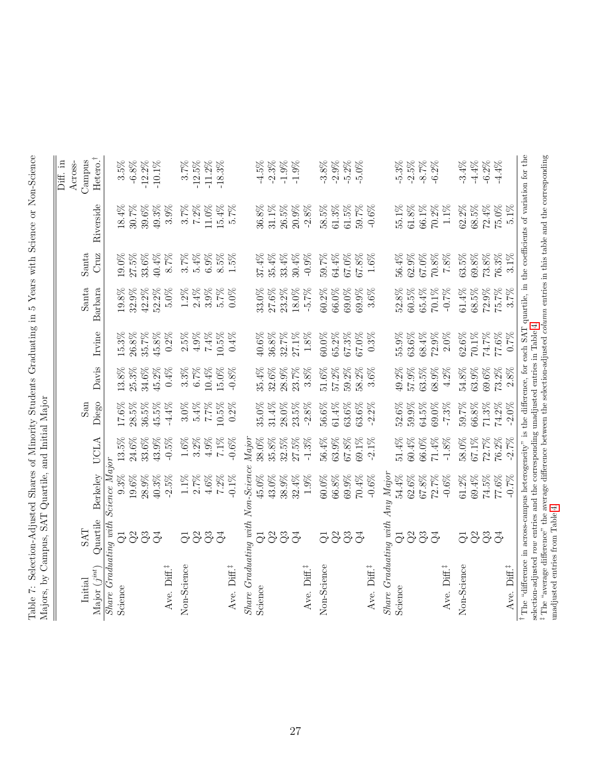<span id="page-27-0"></span>

|                                                                                                                                                       |                 |                 |          |          |          |          |          |          |           | $\overline{\mathrm{Diff}}$ . in |
|-------------------------------------------------------------------------------------------------------------------------------------------------------|-----------------|-----------------|----------|----------|----------|----------|----------|----------|-----------|---------------------------------|
|                                                                                                                                                       |                 |                 |          |          |          |          |          |          |           | Across-                         |
| Initial                                                                                                                                               | <b>SAT</b>      |                 |          | San      |          |          | Santa    | Santa    |           | Campus                          |
| Major $(j^{int})$                                                                                                                                     | Quartile        | <b>Berkeley</b> | UCLA     | Diego    | Davis    | Irvine   | Barbara  | Cruz     | Riverside | Hetero. <sup>†</sup>            |
| Share Graduating with Science Major                                                                                                                   |                 |                 |          |          |          |          |          |          |           |                                 |
| Science                                                                                                                                               | ಘ               | 9.3%            | $13.5\%$ | $17.6\%$ | 13.8%    | 15.3%    | $19.8\%$ | $19.0\%$ | $18.4\%$  | $3.5\%$                         |
|                                                                                                                                                       | Q <sup>2</sup>  | 19.6%           | 24.6%    | 28.5%    | 25.3%    | $26.8\%$ | 32.9%    | 27.5%    | 30.7%     | $-6.8\%$                        |
|                                                                                                                                                       | Q3              | 28.9%           | 33.6%    | 36.5%    | 34.6%    | 35.7%    | $42.2\%$ | 33.6%    | 39.6%     | $-12.2\%$                       |
|                                                                                                                                                       | $\mathcal{Q}^4$ | $40.3\%$        | 43.9%    | 45.5%    | 45.2%    | $45.8\%$ | 52.2%    | 40.4%    | 49.3%     | $-10.1\%$                       |
| Ave. Diff. <sup>#</sup>                                                                                                                               |                 | $-2.5%$         | $-0.5\%$ | $-4.4\%$ | 0.4%     | $0.2\%$  | $5.0\%$  | 8.7%     | $3.9\%$   |                                 |
| Non-Science                                                                                                                                           | $\vec{C}$       | $1.1\%$         | $1.6\%$  | $3.0\%$  | $3.3\%$  | $2.5\%$  | $1.2\%$  | $3.7\%$  | $3.7\%$   | 3.7%                            |
|                                                                                                                                                       | Q <sup>2</sup>  | $2.7\%$         | $3.2\%$  | $5.4\%$  | 6.7%     | $4.9\%$  | $2.4\%$  | 5.4%     | $7.2\%$   | $-12.5%$                        |
|                                                                                                                                                       | Q3              | $4.6\%$         | $4.9\%$  | $7.7\%$  | 10.4%    | $7.4\%$  | $3.9\%$  | 6.9%     | 11.0%     | $-11.2%$                        |
|                                                                                                                                                       | $\vec{Q}$       | 7.2%            | 7.1%     | 10.5%    | 15.0%    | 10.5%    | 5.7%     | 8.5%     | 15.4%     | $-18.3\%$                       |
| Ave. Diff.                                                                                                                                            |                 | $-0.1\%$        | $-0.6\%$ | $0.2\%$  | $-0.8%$  | $0.4\%$  | $0.0\%$  | $1.5\%$  | 5.7%      |                                 |
| $Share$ Graduating with Non-Science                                                                                                                   |                 |                 | Major    |          |          |          |          |          |           |                                 |
| Science                                                                                                                                               | ಘ               | 45.0%           | 38.0%    | 35.0%    | 35.4%    | 40.6%    | 33.0%    | $37.4\%$ | 36.8%     | $-4.5%$                         |
|                                                                                                                                                       | Q <sup>2</sup>  | 43.0%           | 35.8%    | 31.4%    | 32.6%    | $36.8\%$ | 27.6%    | 35.4%    | 31.1%     | $-2.3%$                         |
|                                                                                                                                                       | Q3              | 38.9%           | 32.5%    | 28.0%    | 28.9%    | 32.7%    | 23.2%    | 33.4%    | 26.5%     | $-1.9%$                         |
|                                                                                                                                                       | Q <sub>4</sub>  | 32.4%           | 27.5%    | 23.5%    | 23.7%    | $27.1\%$ | 18.0%    | 30.4%    | 20.9%     | $-1.9%$                         |
| Ave. Diff.                                                                                                                                            |                 | $1.9\%$         | $-1.3%$  | $-2.8%$  | 3.8%     | $1.8\%$  | $-5.7%$  | $-0.9%$  | $-2.8%$   |                                 |
| Non-Science                                                                                                                                           | $\overline{G}$  | 60.0%           | 56.4%    | 56.6%    | $51.6\%$ | $60.0\%$ | 60.2%    | 59.7%    | 58.5%     | $-3.8%$                         |
|                                                                                                                                                       | Q <sup>2</sup>  | 66.8%           | 63.9%    | $61.4\%$ | 57.2%    | 65.2%    | 66.0%    | 64.4%    | 61.3%     | $-2.9%$                         |
|                                                                                                                                                       | Q3              | 69.9%           | 67.8%    | 63.6%    | 59.2%    | 67.3%    | 69.0%    | 67.0%    | 61.5%     | $-5.2\%$                        |
|                                                                                                                                                       | $\mathcal{E}$   | 70.4%           | 69.1%    | 63.6%    | 58.2%    | 67.0%    | 69.9%    | 67.8%    | 59.7%     | $-5.0%$                         |
| Ave. Diff. <sup>#</sup>                                                                                                                               |                 | $-0.6\%$        | $-2.1\%$ | $-2.2\%$ | $3.6\%$  | $0.3\%$  | 3.6%     | $1.6\%$  | $-0.6\%$  |                                 |
| $Share$ Graduating with Any Major                                                                                                                     |                 |                 |          |          |          |          |          |          |           |                                 |
| Science                                                                                                                                               | $\overline{G}$  | 54.4%           | 51.4%    | 52.6%    | 49.2%    | 55.9%    | 52.8%    | 56.4%    | 55.1%     | $-5.3%$                         |
|                                                                                                                                                       | Q <sup>2</sup>  | $62.6\%$        | 60.4%    | 59.9%    | 57.9%    | 63.6%    | $60.5\%$ | 62.9%    | $61.8\%$  | $-2.5%$                         |
|                                                                                                                                                       | Q3              | $67.8\%$        | 66.0%    | 64.5%    | 63.5%    | $68.4\%$ | 65.4%    | 67.0%    | 66.1%     | $-8.7\%$                        |
|                                                                                                                                                       | $\mathcal{Q}^4$ | 72.7%           | 71.4%    | 69.0%    | 68.9%    | 72.9%    | 70.1%    | 70.8%    | $70.2\%$  | $-6.2%$                         |
| Ave. Diff. <sup>#</sup>                                                                                                                               |                 | $-0.6%$         | $-1.8\%$ | $-7.3%$  | $4.2\%$  | $2.0\%$  | $-0.7\%$ | $7.8\%$  | $1.1\%$   |                                 |
| Non-Science                                                                                                                                           | $\vec{C}$       | $61.2\%$        | 58.0%    | 59.7%    | $54.8\%$ | $62.6\%$ | $61.4\%$ | 63.5%    | $62.2\%$  | $-3.4%$                         |
|                                                                                                                                                       |                 | 69.4%           | 67.1%    | 66.8%    | 63.9%    | $70.1\%$ | 68.5%    | $69.8\%$ | $68.5\%$  | $-4.4%$                         |
|                                                                                                                                                       | O <sup>2</sup>  | 74.5%           | 72.7%    | 71.3%    | 69.6%    | 74.7%    | 72.9%    | 73.8%    | 72.4%     | $-6.2%$                         |
|                                                                                                                                                       | $\vec{c}$       | 77.6%           | 76.2%    | 74.2%    | 73.2%    | $77.6\%$ | 75.7%    | 76.3%    | 75.0%     | $-4.4%$                         |
| Ave. Diff. <sup>‡</sup>                                                                                                                               |                 | $-0.7%$         | $-2.7%$  | $-2.0\%$ | $2.8\%$  | 0.7%     | 3.7%     | 3.1%     | 5.1%      |                                 |
| <sup>†</sup> The "difference in across-campus heterogeneity" is the difference, for each SAT quartile, in the coefficients of variation for the       |                 |                 |          |          |          |          |          |          |           |                                 |
| selection-adjusted row entries and the corresponding unadjusted entries in Table 4                                                                    |                 |                 |          |          |          |          |          |          |           |                                 |
| <sup>‡</sup> The "average difference" the average difference between the selection-adjusted <i>column</i> entries in this table and the corresponding |                 |                 |          |          |          |          |          |          |           |                                 |
| unadjusted entries from Table 4.                                                                                                                      |                 |                 |          |          |          |          |          |          |           |                                 |

Table 7: Selection-Adjusted Shares of Minority Students Graduating in 5 Years with Science or Non-Science Table 7: Selection-Adjusted Shares of Minority Students Graduating in 5 Years with Science or Non-Science Majors, by Campus, SAT Quartile, and Initial Major Majors, by Campus, SAT Quartile, and Initial Major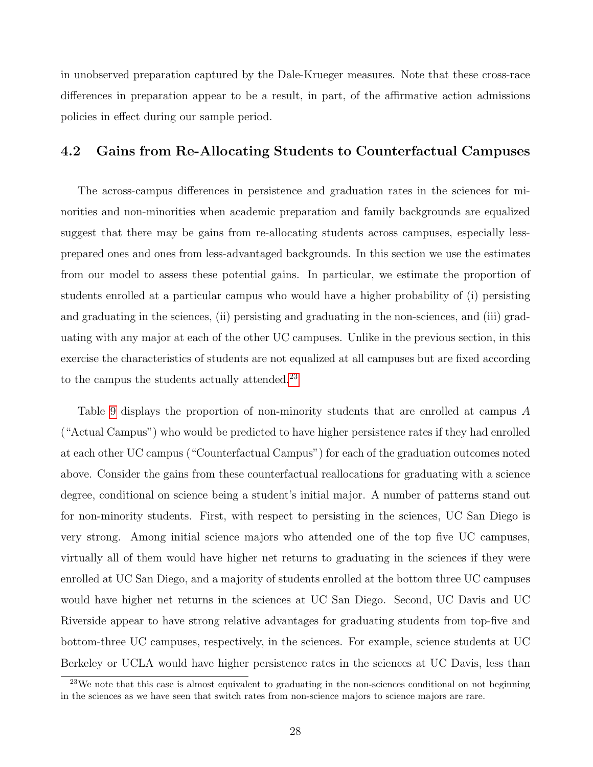in unobserved preparation captured by the Dale-Krueger measures. Note that these cross-race differences in preparation appear to be a result, in part, of the affirmative action admissions policies in effect during our sample period.

## <span id="page-28-0"></span>4.2 Gains from Re-Allocating Students to Counterfactual Campuses

The across-campus differences in persistence and graduation rates in the sciences for minorities and non-minorities when academic preparation and family backgrounds are equalized suggest that there may be gains from re-allocating students across campuses, especially lessprepared ones and ones from less-advantaged backgrounds. In this section we use the estimates from our model to assess these potential gains. In particular, we estimate the proportion of students enrolled at a particular campus who would have a higher probability of (i) persisting and graduating in the sciences, (ii) persisting and graduating in the non-sciences, and (iii) graduating with any major at each of the other UC campuses. Unlike in the previous section, in this exercise the characteristics of students are not equalized at all campuses but are fixed according to the campus the students actually attended.<sup>[23](#page--1-0)</sup>

Table [9](#page-31-0) displays the proportion of non-minority students that are enrolled at campus A ("Actual Campus") who would be predicted to have higher persistence rates if they had enrolled at each other UC campus ("Counterfactual Campus") for each of the graduation outcomes noted above. Consider the gains from these counterfactual reallocations for graduating with a science degree, conditional on science being a student's initial major. A number of patterns stand out for non-minority students. First, with respect to persisting in the sciences, UC San Diego is very strong. Among initial science majors who attended one of the top five UC campuses, virtually all of them would have higher net returns to graduating in the sciences if they were enrolled at UC San Diego, and a majority of students enrolled at the bottom three UC campuses would have higher net returns in the sciences at UC San Diego. Second, UC Davis and UC Riverside appear to have strong relative advantages for graduating students from top-five and bottom-three UC campuses, respectively, in the sciences. For example, science students at UC Berkeley or UCLA would have higher persistence rates in the sciences at UC Davis, less than

<sup>&</sup>lt;sup>23</sup>We note that this case is almost equivalent to graduating in the non-sciences conditional on not beginning in the sciences as we have seen that switch rates from non-science majors to science majors are rare.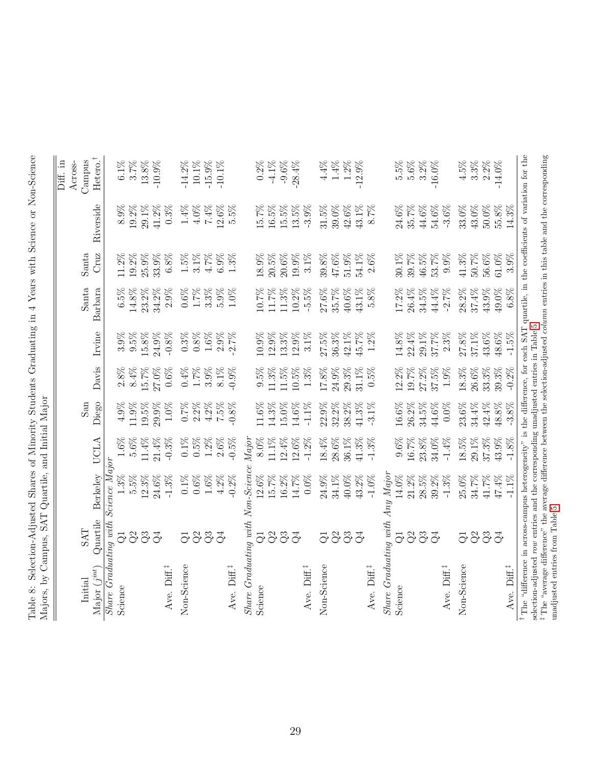<span id="page-29-0"></span>

| $\mathbf{m}$ in $\mathbf{m}$                                                                                                                                              | Campus, D111    | y uai viiv,     |          |          |          |          |          |          |           |           |
|---------------------------------------------------------------------------------------------------------------------------------------------------------------------------|-----------------|-----------------|----------|----------|----------|----------|----------|----------|-----------|-----------|
|                                                                                                                                                                           |                 |                 |          |          |          |          |          |          |           | Diff. in  |
|                                                                                                                                                                           |                 |                 |          |          |          |          |          |          |           | Across-   |
| Initial                                                                                                                                                                   | <b>TVS</b>      |                 |          | San      |          |          | Santa    | Santa    |           | Campus    |
| Major $(j^{int})$                                                                                                                                                         | Quartile        | <b>Berkelev</b> | UCLA     | Diego    | Davis    | Irvine   | Barbara  | Cruz     | Riverside | Hetero.   |
| Share Graduating with Science Majo:                                                                                                                                       |                 |                 |          |          |          |          |          |          |           |           |
| Science                                                                                                                                                                   | ಘ               | 1.3%            | 1.6%     | 4.9%     | $2.8\%$  | $3.9\%$  | $6.5\%$  | 11.2%    | 8.9%      | $6.1\%$   |
|                                                                                                                                                                           | Q <sup>2</sup>  | 5.5%            | 5.6%     | 11.9%    | $8.4\%$  | $9.5\%$  | 14.8%    | 19.2%    | 19.2%     | $3.7\%$   |
|                                                                                                                                                                           | Q3              | 12.3%           | 11.4%    | 19.5%    | 15.7%    | $15.8\%$ | 23.2%    | 25.9%    | 29.1%     | $13.8\%$  |
|                                                                                                                                                                           | $\mathcal{Q}^4$ | 24.6%           | $21.4\%$ | 29.9%    | 27.0%    | $24.9\%$ | 34.2%    | 33.9%    | $41.2\%$  | $-10.9\%$ |
| Ave. Diff. <sup>‡</sup>                                                                                                                                                   |                 | $-1.3%$         | $-0.3\%$ | $1.0\%$  | $0.6\%$  | $-0.8\%$ | $2.9\%$  | 6.8%     | $0.3\%$   |           |
| Non-Science                                                                                                                                                               | $\overline{G}$  | $0.1\%$         | $0.1\%$  | 0.7%     | 0.4%     | $0.3\%$  | $0.6\%$  | $1.5\%$  | $1.4\%$   | $-14.2%$  |
|                                                                                                                                                                           | Q <sup>2</sup>  | 0.6%            | $0.5\%$  | $2.2\%$  | $1.7\%$  | $0.8\%$  | $1.7\%$  | $3.1\%$  | $4.0\%$   | $10.1\%$  |
|                                                                                                                                                                           | Q3              | $1.6\%$         | 1.2%     | $4.2\%$  | 3.9%     | $1.6\%$  | $3.3\%$  | 4.7%     | 7.4%      | $-15.9%$  |
|                                                                                                                                                                           | Ğ               | $4.2\%$         | $2.6\%$  | $7.5\%$  | $8.1\%$  | $2.9\%$  | $5.9\%$  | $6.9\%$  | 12.6%     | $-10.1\%$ |
| Ave. Diff. <sup>#</sup>                                                                                                                                                   |                 | $-0.2%$         | $-0.5\%$ | $-0.8\%$ | $-0.9%$  | $-2.7%$  | $1.0\%$  | 1.3%     | 5.5%      |           |
| $Share$ $Graduation$ with $Non-Science$                                                                                                                                   |                 |                 | Major    |          |          |          |          |          |           |           |
| Science                                                                                                                                                                   | ಘ               | $12.6\%$        | 8.0%     | 11.6%    | $9.5\%$  | 10.9%    | 10.7%    | 18.9%    | 15.7%     | 0.2%      |
|                                                                                                                                                                           | $\Im$           | 15.7%           | 11.1%    | $14.3\%$ | $11.3\%$ | 12.9%    | 11.7%    | 20.5%    | 16.5%     | $-4.1\%$  |
|                                                                                                                                                                           | Q3              | $16.2\%$        | 12.4%    | 15.0%    | 11.5%    | 13.3%    | 11.3%    | 20.6%    | $15.5\%$  | $-9.6\%$  |
|                                                                                                                                                                           | $\mathcal{Q}^4$ | 14.7%           | 12.6%    | 14.6%    | 10.5%    | 12.9%    | 10.2%    | 19.9%    | 13.5%     | $-28.4%$  |
| Ave. Diff.                                                                                                                                                                |                 | $0.0\%$         | $-1.2\%$ | $-1.1\%$ | $1.3\%$  | $3.1\%$  | $-5.5\%$ | $3.1\%$  | $-3.9\%$  |           |
| Non-Science                                                                                                                                                               | $\vec{Q}$       | 24.9%           | $18.4\%$ | 22.9%    | $17.8\%$ | $27.5\%$ | $27.6\%$ | 39.8%    | $31.5\%$  | $4.4\%$   |
|                                                                                                                                                                           | $\rm Q2$        | 34.1%           | $28.6\%$ | 32.2%    | $24.9\%$ | $36.3\%$ | 35.7%    | 47.6%    | 39.0%     | $1.4\%$   |
|                                                                                                                                                                           |                 | 40.0%           | 36.1%    | 38.2%    | 29.3%    | $42.1\%$ | 40.6%    | 51.9%    | $42.6\%$  | $1.2\%$   |
|                                                                                                                                                                           | 33              | 43.2%           | 41.3%    | 41.3%    | 31.1%    | 45.7%    | 43.1%    | 54.1%    | $43.1\%$  | $-12.9%$  |
| Ave. Diff. <sup>#</sup>                                                                                                                                                   |                 | $-1.0\%$        | $-1.3%$  | $-3.1\%$ | 0.5%     | $1.2\%$  | $5.8\%$  | 2.6%     | 8.7%      |           |
| $Share$ Graduating with Any Major                                                                                                                                         |                 |                 |          |          |          |          |          |          |           |           |
| Science                                                                                                                                                                   | $\overline{G}$  | 14.0%           | $9.6\%$  | 16.6%    | 12.2%    | 14.8%    | 17.2%    | 30.1%    | 24.6%     | $5.5\%$   |
|                                                                                                                                                                           | Q <sup>2</sup>  | 21.2%           | 16.7%    | 26.2%    | 19.7%    | 22.4%    | $26.4\%$ | 39.7%    | 35.7%     | $5.6\%$   |
|                                                                                                                                                                           | Q3              | $28.5\%$        | $23.8\%$ | $34.5\%$ | 27.2%    | $29.1\%$ | $34.5\%$ | 46.5%    | 44.6%     | $3.2\%$   |
|                                                                                                                                                                           | $\mathcal{Q}^4$ | 39.2%           | 34.0%    | 44.6%    | 37.5%    | $37.7\%$ | 44.4%    | 53.7%    | 54.6%     | $-16.0\%$ |
| Ave. Diff.                                                                                                                                                                |                 | $-1.3%$         | $-1.4%$  | $0.0\%$  | $1.9\%$  | $2.3\%$  | $-2.7%$  | 9.9%     | $-3.6\%$  |           |
| Non-Science                                                                                                                                                               | $\vec{Q}$       | $25.0\%$        | 18.5%    | 23.6%    | $18.3\%$ | $27.8\%$ | 28.2%    | 41.3%    | 33.0%     | 4.5%      |
|                                                                                                                                                                           |                 | 34.7%           | 29.1%    | $34.4\%$ | 26.6%    | 37.1%    | 37.4%    | 50.7%    | 43.0%     | $3.3\%$   |
|                                                                                                                                                                           | $\frac{3}{3}$   | 41.7%           | $37.3\%$ | $42.4\%$ | 33.3%    | 43.6%    | 43.9%    | 56.6%    | 50.0%     | $2.2\%$   |
|                                                                                                                                                                           | $\mathcal{C}^4$ | $47.4\%$        | 43.9%    | $48.8\%$ | 39.3%    | $48.6\%$ | 49.0%    | $61.0\%$ | $55.8\%$  | $-14.0\%$ |
| Ave. Diff. <sup>‡</sup>                                                                                                                                                   |                 | $-1.1\%$        | $-1.8\%$ | $-3.8%$  | $-0.2%$  | $-1.5\%$ | $6.8\%$  | 3.9%     | $14.3\%$  |           |
| <sup>†</sup> The "difference in across-campus heterogeneity" is the difference, for each SAT quartile, in the coefficients of variation for the                           |                 |                 |          |          |          |          |          |          |           |           |
| selection-adjusted row entries and the corresponding unadjusted entries in Table 5                                                                                        |                 |                 |          |          |          |          |          |          |           |           |
| <sup><math>\ddagger</math></sup> The "average difference" the average difference between the selection-adjusted <i>column</i> entries in this table and the corresponding |                 |                 |          |          |          |          |          |          |           |           |
| unadjusted entries from Table 5                                                                                                                                           |                 |                 |          |          |          |          |          |          |           |           |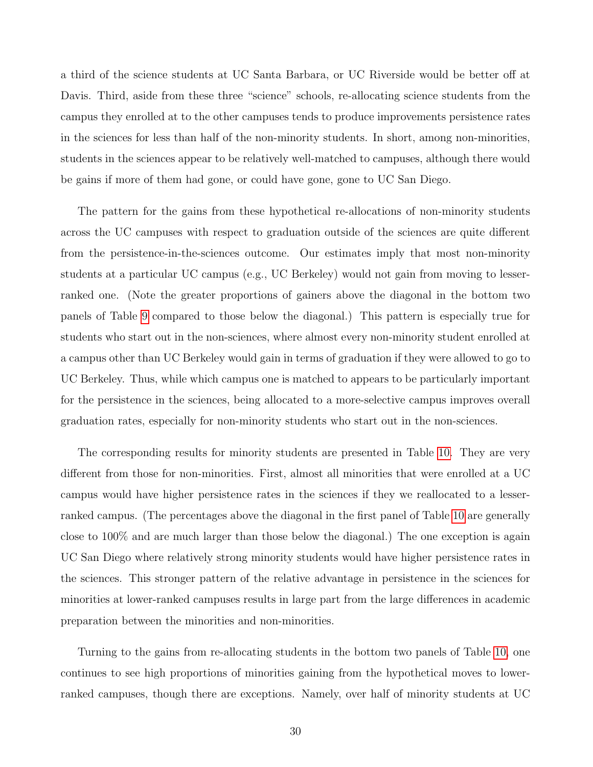a third of the science students at UC Santa Barbara, or UC Riverside would be better off at Davis. Third, aside from these three "science" schools, re-allocating science students from the campus they enrolled at to the other campuses tends to produce improvements persistence rates in the sciences for less than half of the non-minority students. In short, among non-minorities, students in the sciences appear to be relatively well-matched to campuses, although there would be gains if more of them had gone, or could have gone, gone to UC San Diego.

The pattern for the gains from these hypothetical re-allocations of non-minority students across the UC campuses with respect to graduation outside of the sciences are quite different from the persistence-in-the-sciences outcome. Our estimates imply that most non-minority students at a particular UC campus (e.g., UC Berkeley) would not gain from moving to lesserranked one. (Note the greater proportions of gainers above the diagonal in the bottom two panels of Table [9](#page-31-0) compared to those below the diagonal.) This pattern is especially true for students who start out in the non-sciences, where almost every non-minority student enrolled at a campus other than UC Berkeley would gain in terms of graduation if they were allowed to go to UC Berkeley. Thus, while which campus one is matched to appears to be particularly important for the persistence in the sciences, being allocated to a more-selective campus improves overall graduation rates, especially for non-minority students who start out in the non-sciences.

The corresponding results for minority students are presented in Table [10.](#page-33-0) They are very different from those for non-minorities. First, almost all minorities that were enrolled at a UC campus would have higher persistence rates in the sciences if they we reallocated to a lesserranked campus. (The percentages above the diagonal in the first panel of Table [10](#page-33-0) are generally close to 100% and are much larger than those below the diagonal.) The one exception is again UC San Diego where relatively strong minority students would have higher persistence rates in the sciences. This stronger pattern of the relative advantage in persistence in the sciences for minorities at lower-ranked campuses results in large part from the large differences in academic preparation between the minorities and non-minorities.

Turning to the gains from re-allocating students in the bottom two panels of Table [10,](#page-33-0) one continues to see high proportions of minorities gaining from the hypothetical moves to lowerranked campuses, though there are exceptions. Namely, over half of minority students at UC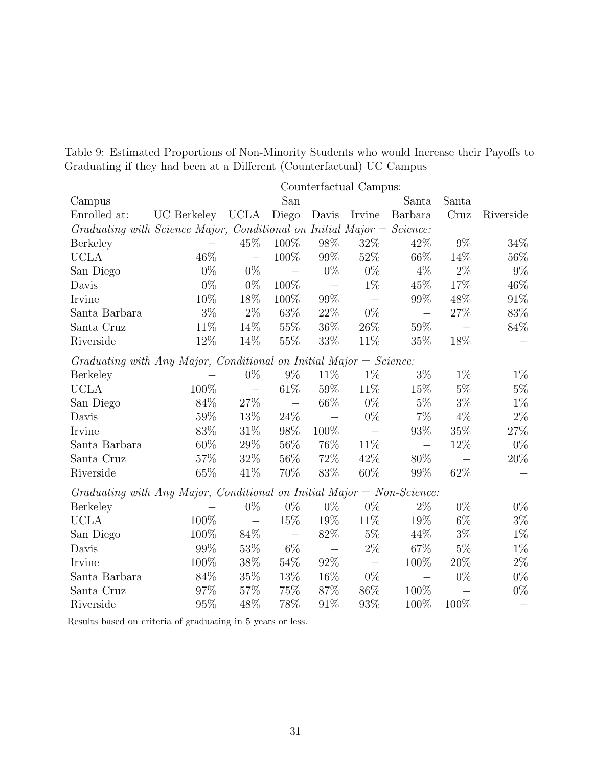|                                                                         |             |                          |                          |                          | Counterfactual Campus:   |                          |        |           |
|-------------------------------------------------------------------------|-------------|--------------------------|--------------------------|--------------------------|--------------------------|--------------------------|--------|-----------|
| Campus                                                                  |             |                          | San                      |                          |                          | Santa                    | Santa  |           |
| Enrolled at:                                                            | UC Berkeley | <b>UCLA</b>              | Diego                    | Davis                    | Irvine                   | Barbara                  | Cruz   | Riverside |
| Graduating with Science Major, Conditional on Initial Major = Science:  |             |                          |                          |                          |                          |                          |        |           |
| <b>Berkeley</b>                                                         |             | 45\%                     | 100%                     | 98\%                     | $32\%$                   | 42\%                     | $9\%$  | 34%       |
| <b>UCLA</b>                                                             | 46\%        | $\frac{1}{2}$            | 100%                     | 99%                      | 52%                      | 66\%                     | 14%    | 56%       |
| San Diego                                                               | $0\%$       | $0\%$                    |                          | $0\%$                    | $0\%$                    | $4\%$                    | $2\%$  | $9\%$     |
| Davis                                                                   | $0\%$       | $0\%$                    | 100%                     | $\overline{\phantom{0}}$ | $1\%$                    | 45%                      | 17%    | 46%       |
| Irvine                                                                  | 10%         | 18%                      | 100%                     | 99%                      | $\overline{\phantom{m}}$ | 99%                      | 48\%   | 91\%      |
| Santa Barbara                                                           | $3\%$       | $2\%$                    | 63\%                     | $22\%$                   | $0\%$                    | $\frac{1}{2}$            | $27\%$ | 83%       |
| Santa Cruz                                                              | 11\%        | 14%                      | 55\%                     | 36%                      | 26\%                     | $59\%$                   |        | 84%       |
| Riverside                                                               | 12%         | 14%                      | 55%                      | 33%                      | 11\%                     | 35%                      | 18%    |           |
| Graduating with Any Major, Conditional on Initial Major = Science:      |             |                          |                          |                          |                          |                          |        |           |
| Berkeley                                                                |             | $0\%$                    | $9\%$                    | 11\%                     | $1\%$                    | $3\%$                    | $1\%$  | $1\%$     |
| <b>UCLA</b>                                                             | 100%        | $\equiv$                 | $61\%$                   | $59\%$                   | 11%                      | 15%                      | $5\%$  | $5\%$     |
| San Diego                                                               | 84%         | $27\%$                   | $\overline{\phantom{m}}$ | 66\%                     | $0\%$                    | $5\%$                    | $3\%$  | $1\%$     |
| Davis                                                                   | 59%         | 13\%                     | 24\%                     | $\overline{\phantom{m}}$ | $0\%$                    | $7\%$                    | $4\%$  | $2\%$     |
| Irvine                                                                  | 83%         | 31\%                     | 98%                      | 100%                     |                          | 93%                      | $35\%$ | 27%       |
| Santa Barbara                                                           | 60%         | 29%                      | $56\%$                   | 76%                      | 11\%                     |                          | 12%    | $0\%$     |
| Santa Cruz                                                              | 57%         | 32%                      | 56%                      | $72\%$                   | 42\%                     | 80%                      |        | 20%       |
| Riverside                                                               | 65%         | 41\%                     | 70%                      | 83%                      | $60\%$                   | 99%                      | 62%    |           |
| Graduating with Any Major, Conditional on Initial Major = $Non-Science$ |             |                          |                          |                          |                          |                          |        |           |
| Berkeley                                                                |             | $0\%$                    | $0\%$                    | $0\%$                    | $0\%$                    | $2\%$                    | $0\%$  | $0\%$     |
| <b>UCLA</b>                                                             | 100%        | $\overline{\phantom{0}}$ | $15\%$                   | 19%                      | 11%                      | 19%                      | $6\%$  | $3\%$     |
| San Diego                                                               | 100%        | 84\%                     | $\overline{\phantom{0}}$ | $82\%$                   | $5\%$                    | 44\%                     | $3\%$  | $1\%$     |
| Davis                                                                   | 99%         | 53%                      | $6\%$                    |                          | $2\%$                    | 67%                      | $5\%$  | $1\%$     |
| Irvine                                                                  | 100%        | 38%                      | 54%                      | 92%                      | $\equiv$                 | 100%                     | 20%    | $2\%$     |
| Santa Barbara                                                           | 84%         | 35%                      | 13%                      | 16%                      | $0\%$                    | $\overline{\phantom{0}}$ | $0\%$  | $0\%$     |
| Santa Cruz                                                              | 97%         | 57%                      | 75%                      | 87%                      | 86%                      | 100%                     |        | $0\%$     |
| Riverside                                                               | 95%         | 48%                      | 78%                      | 91%                      | 93%                      | 100%                     | 100%   |           |

<span id="page-31-0"></span>Table 9: Estimated Proportions of Non-Minority Students who would Increase their Payoffs to Graduating if they had been at a Different (Counterfactual) UC Campus

Results based on criteria of graduating in 5 years or less.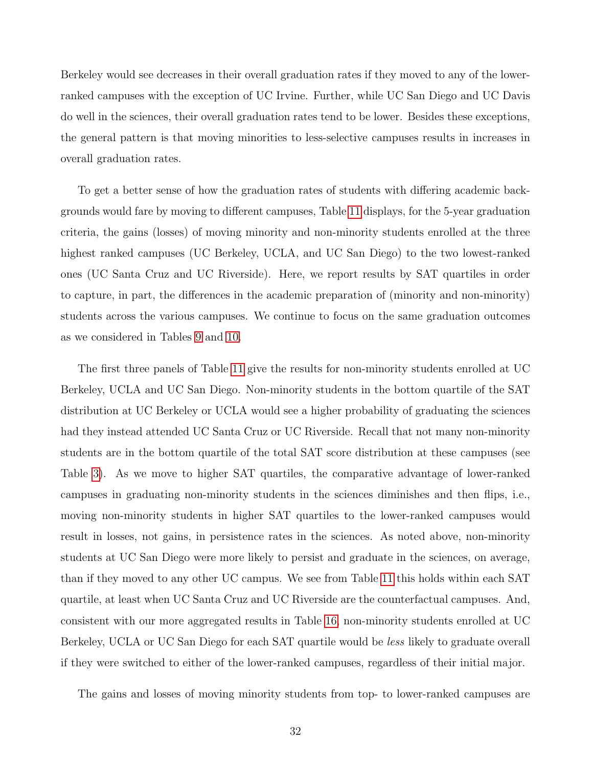Berkeley would see decreases in their overall graduation rates if they moved to any of the lowerranked campuses with the exception of UC Irvine. Further, while UC San Diego and UC Davis do well in the sciences, their overall graduation rates tend to be lower. Besides these exceptions, the general pattern is that moving minorities to less-selective campuses results in increases in overall graduation rates.

To get a better sense of how the graduation rates of students with differing academic backgrounds would fare by moving to different campuses, Table [11](#page-35-0) displays, for the 5-year graduation criteria, the gains (losses) of moving minority and non-minority students enrolled at the three highest ranked campuses (UC Berkeley, UCLA, and UC San Diego) to the two lowest-ranked ones (UC Santa Cruz and UC Riverside). Here, we report results by SAT quartiles in order to capture, in part, the differences in the academic preparation of (minority and non-minority) students across the various campuses. We continue to focus on the same graduation outcomes as we considered in Tables [9](#page-31-0) and [10.](#page-33-0)

The first three panels of Table [11](#page-35-0) give the results for non-minority students enrolled at UC Berkeley, UCLA and UC San Diego. Non-minority students in the bottom quartile of the SAT distribution at UC Berkeley or UCLA would see a higher probability of graduating the sciences had they instead attended UC Santa Cruz or UC Riverside. Recall that not many non-minority students are in the bottom quartile of the total SAT score distribution at these campuses (see Table [3\)](#page-12-0). As we move to higher SAT quartiles, the comparative advantage of lower-ranked campuses in graduating non-minority students in the sciences diminishes and then flips, i.e., moving non-minority students in higher SAT quartiles to the lower-ranked campuses would result in losses, not gains, in persistence rates in the sciences. As noted above, non-minority students at UC San Diego were more likely to persist and graduate in the sciences, on average, than if they moved to any other UC campus. We see from Table [11](#page-35-0) this holds within each SAT quartile, at least when UC Santa Cruz and UC Riverside are the counterfactual campuses. And, consistent with our more aggregated results in Table [16,](#page-44-0) non-minority students enrolled at UC Berkeley, UCLA or UC San Diego for each SAT quartile would be less likely to graduate overall if they were switched to either of the lower-ranked campuses, regardless of their initial major.

The gains and losses of moving minority students from top- to lower-ranked campuses are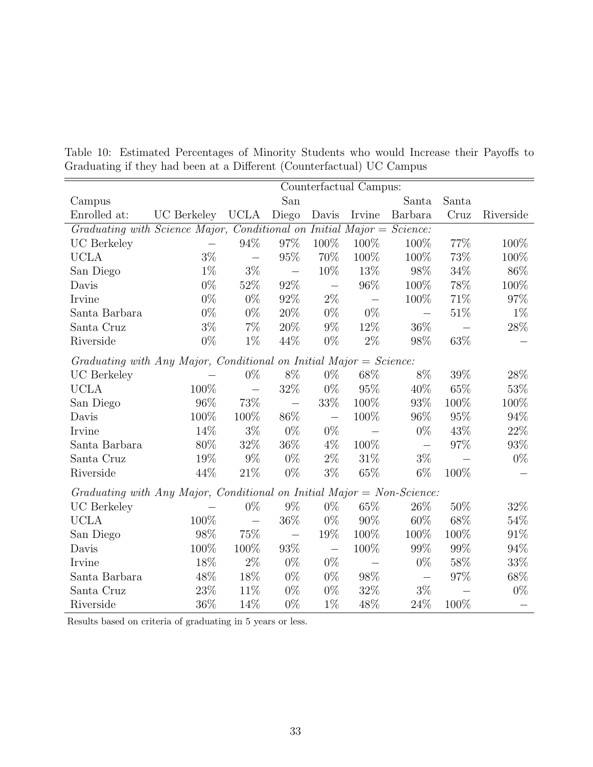|                                                                        |                    |                          |                          |                          | Counterfactual Campus:   |                          |        |           |
|------------------------------------------------------------------------|--------------------|--------------------------|--------------------------|--------------------------|--------------------------|--------------------------|--------|-----------|
| Campus                                                                 |                    |                          | San                      |                          |                          | Santa                    | Santa  |           |
| Enrolled at:                                                           | <b>UC</b> Berkeley | <b>UCLA</b>              | Diego                    | Davis                    | Irvine                   | Barbara                  | Cruz   | Riverside |
| Graduating with Science Major, Conditional on Initial Major = Science: |                    |                          |                          |                          |                          |                          |        |           |
| <b>UC</b> Berkeley                                                     |                    | 94%                      | 97%                      | 100%                     | 100%                     | 100\%                    | 77%    | 100\%     |
| <b>UCLA</b>                                                            | $3\%$              | $\overline{\phantom{m}}$ | $95\%$                   | 70%                      | 100%                     | 100%                     | 73%    | 100%      |
| San Diego                                                              | $1\%$              | $3\%$                    | $\frac{1}{2}$            | 10%                      | 13%                      | 98%                      | 34\%   | 86%       |
| Davis                                                                  | $0\%$              | 52%                      | 92%                      | $\overline{\phantom{m}}$ | 96%                      | 100%                     | 78%    | 100%      |
| Irvine                                                                 | $0\%$              | $0\%$                    | 92%                      | $2\%$                    | $\overline{\phantom{0}}$ | 100%                     | 71\%   | 97%       |
| Santa Barbara                                                          | $0\%$              | $0\%$                    | $20\%$                   | $0\%$                    | $0\%$                    | $\overline{\phantom{0}}$ | $51\%$ | $1\%$     |
| Santa Cruz                                                             | $3\%$              | $7\%$                    | 20%                      | $9\%$                    | 12%                      | 36\%                     |        | $28\%$    |
| Riverside                                                              | $0\%$              | $1\%$                    | 44%                      | $0\%$                    | $2\%$                    | 98%                      | 63%    |           |
| Graduating with Any Major, Conditional on Initial Major = Science:     |                    |                          |                          |                          |                          |                          |        |           |
| <b>UC</b> Berkeley                                                     |                    | $0\%$                    | $8\%$                    | $0\%$                    | 68\%                     | 8%                       | 39%    | 28\%      |
| <b>UCLA</b>                                                            | 100%               | $\frac{1}{2}$            | $32\%$                   | $0\%$                    | 95%                      | 40%                      | 65%    | $53\%$    |
| San Diego                                                              | 96%                | 73%                      | $\overline{\phantom{0}}$ | 33%                      | 100%                     | $93\%$                   | 100%   | 100%      |
| Davis                                                                  | 100%               | 100%                     | 86%                      | $\overline{\phantom{m}}$ | 100%                     | 96%                      | 95%    | 94%       |
| Irvine                                                                 | 14%                | $3\%$                    | $0\%$                    | $0\%$                    |                          | $0\%$                    | 43\%   | $22\%$    |
| Santa Barbara                                                          | 80%                | 32\%                     | $36\%$                   | $4\%$                    | 100%                     | $\overline{\phantom{0}}$ | 97%    | 93%       |
| Santa Cruz                                                             | 19%                | $9\%$                    | $0\%$                    | $2\%$                    | 31\%                     | $3\%$                    |        | $0\%$     |
| Riverside                                                              | 44%                | 21\%                     | $0\%$                    | $3\%$                    | 65%                      | $6\%$                    | 100%   |           |
| Graduating with Any Major, Conditional on Initial Major = Non-Science: |                    |                          |                          |                          |                          |                          |        |           |
| <b>UC</b> Berkeley                                                     |                    | $0\%$                    | $9\%$                    | $0\%$                    | 65%                      | 26%                      | 50%    | 32\%      |
| <b>UCLA</b>                                                            | 100%               | $\equiv$                 | $36\%$                   | $0\%$                    | 90%                      | 60%                      | 68%    | 54%       |
| San Diego                                                              | 98%                | 75%                      | $\overline{\phantom{m}}$ | 19%                      | 100%                     | 100%                     | 100%   | 91%       |
| Davis                                                                  | 100%               | 100%                     | $93\%$                   | $\overline{\phantom{0}}$ | 100%                     | 99%                      | 99%    | 94%       |
| Irvine                                                                 | 18%                | $2\%$                    | $0\%$                    | $0\%$                    |                          | $0\%$                    | 58%    | 33%       |
| Santa Barbara                                                          | 48%                | 18%                      | $0\%$                    | $0\%$                    | $98\%$                   | $\overline{\phantom{0}}$ | 97%    | 68\%      |
| Santa Cruz                                                             | $23\%$             | 11\%                     | $0\%$                    | $0\%$                    | 32%                      | $3\%$                    |        | $0\%$     |
| Riverside                                                              | 36%                | 14%                      | $0\%$                    | $1\%$                    | 48%                      | 24\%                     | 100%   |           |

<span id="page-33-0"></span>Table 10: Estimated Percentages of Minority Students who would Increase their Payoffs to Graduating if they had been at a Different (Counterfactual) UC Campus

Results based on criteria of graduating in 5 years or less.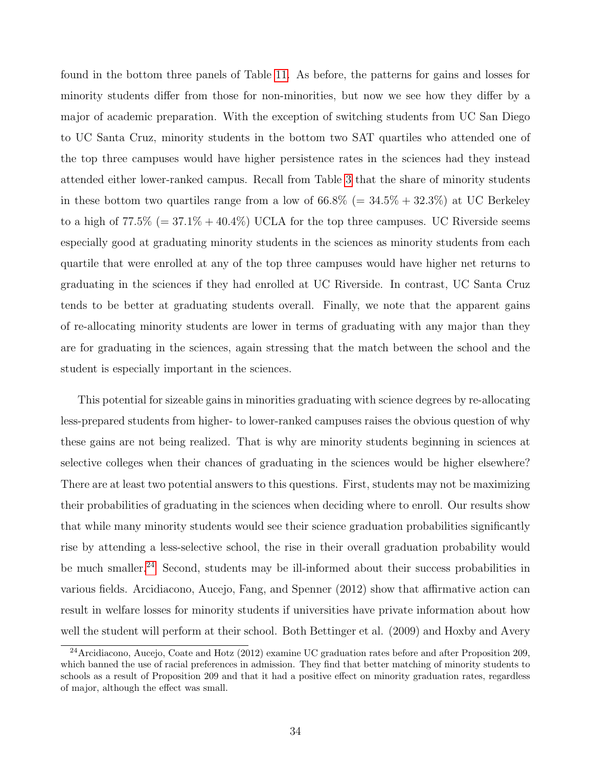found in the bottom three panels of Table [11.](#page-35-0) As before, the patterns for gains and losses for minority students differ from those for non-minorities, but now we see how they differ by a major of academic preparation. With the exception of switching students from UC San Diego to UC Santa Cruz, minority students in the bottom two SAT quartiles who attended one of the top three campuses would have higher persistence rates in the sciences had they instead attended either lower-ranked campus. Recall from Table [3](#page-12-0) that the share of minority students in these bottom two quartiles range from a low of  $66.8\%$  (=  $34.5\% + 32.3\%$ ) at UC Berkeley to a high of  $77.5\%$  (=  $37.1\% + 40.4\%$ ) UCLA for the top three campuses. UC Riverside seems especially good at graduating minority students in the sciences as minority students from each quartile that were enrolled at any of the top three campuses would have higher net returns to graduating in the sciences if they had enrolled at UC Riverside. In contrast, UC Santa Cruz tends to be better at graduating students overall. Finally, we note that the apparent gains of re-allocating minority students are lower in terms of graduating with any major than they are for graduating in the sciences, again stressing that the match between the school and the student is especially important in the sciences.

This potential for sizeable gains in minorities graduating with science degrees by re-allocating less-prepared students from higher- to lower-ranked campuses raises the obvious question of why these gains are not being realized. That is why are minority students beginning in sciences at selective colleges when their chances of graduating in the sciences would be higher elsewhere? There are at least two potential answers to this questions. First, students may not be maximizing their probabilities of graduating in the sciences when deciding where to enroll. Our results show that while many minority students would see their science graduation probabilities significantly rise by attending a less-selective school, the rise in their overall graduation probability would be much smaller.<sup>[24](#page--1-0)</sup> Second, students may be ill-informed about their success probabilities in various fields. Arcidiacono, Aucejo, Fang, and Spenner (2012) show that affirmative action can result in welfare losses for minority students if universities have private information about how well the student will perform at their school. Both Bettinger et al. (2009) and Hoxby and Avery

<sup>24</sup>Arcidiacono, Aucejo, Coate and Hotz (2012) examine UC graduation rates before and after Proposition 209, which banned the use of racial preferences in admission. They find that better matching of minority students to schools as a result of Proposition 209 and that it had a positive effect on minority graduation rates, regardless of major, although the effect was small.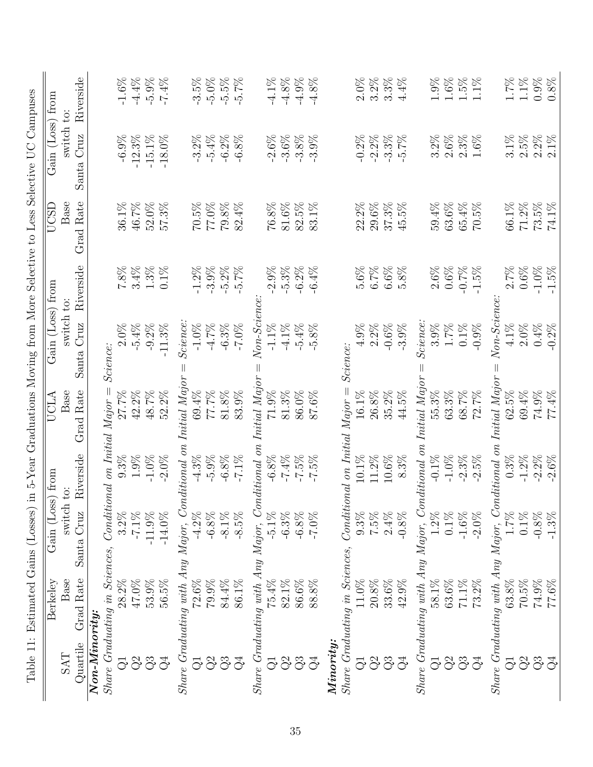<span id="page-35-0"></span>

| 5-Year Graduations Moving from More Selective to Less Selective UC Campuses | from<br>Gain (Loss) | Riverside<br>switch to:<br>Cruz<br>Santa |                 |                                | $-1.6\%$<br>$-6.9%$ | $-4.4\%$<br>$-12.3%$ | $-5.9%$<br>$-15.1%$ | $-7.4%$<br>$-18.0\%$ |                                                 | $-3.5%$<br>$-3.2%$ | $-5.0\%$<br>$-5.4%$ | $-5.5%$<br>$-6.2%$ | $-5.7%$<br>$-6.8%$ |                                                               | $-4.1\%$<br>$-2.6%$       | $-4.8%$<br>$-3.6%$ | $-4.9%$<br>$-3.8%$ | $-4.8%$<br>$-3.9%$ |           |                                     | $2.0\%$<br>$-0.2%$ | $3.2\%$<br>$-2.2%$ | 3.3%<br>$-3.3%$ | $4.4\%$<br>$-5.7%$ |                                                 | $1.9\%$<br>3.2% | 1.6%<br>$2.6\%$ | $1.5\%$<br>$2.3\%$ | 1.1%<br>1.6%   |                                                 | $1.7\%$<br>$3.1\%$        | $1.1\%$<br>$2.5\%$ | $0.9\%$<br>$2.2\%$ |
|-----------------------------------------------------------------------------|---------------------|------------------------------------------|-----------------|--------------------------------|---------------------|----------------------|---------------------|----------------------|-------------------------------------------------|--------------------|---------------------|--------------------|--------------------|---------------------------------------------------------------|---------------------------|--------------------|--------------------|--------------------|-----------|-------------------------------------|--------------------|--------------------|-----------------|--------------------|-------------------------------------------------|-----------------|-----------------|--------------------|----------------|-------------------------------------------------|---------------------------|--------------------|--------------------|
|                                                                             | UCSD                | Rate<br>Base<br>Grad                     |                 |                                | 36.1%               | 46.7%                | 52.0%               | 57.3%                |                                                 | 70.5%              | 77.0%               | 79.8%              | 82.4%              |                                                               | 76.8%                     | 81.6%              | 82.5%              | 83.1%              |           |                                     | 22.2%              | $29.6\%$           | $37.3\%$        | 45.5%              |                                                 | 59.4%           | 63.6%           | 65.4%              | 70.5%          |                                                 | 66.1%                     | $71.2\%$           | 73.5%              |
|                                                                             |                     | Riverside                                |                 |                                | 7.8%                | $3.4\%$              | $1.3\%$             | $0.1\%$              |                                                 | $-1.2%$            | $-3.9%$             | $-5.2\%$           | $5.7\%$            |                                                               | 2.9%                      | $-5.3\%$           | $-6.2%$            | $-6.4\%$           |           |                                     | 5.6%               | 6.7%               | 6.6%            | 5.8%               |                                                 | 2.6%            | $0.6\%$         | $-0.7%$            | $-1.5%$        |                                                 | 2.7%                      | 0.6%               | $-1.0\%$           |
|                                                                             | Gain (Loss) from    | switch to:<br>Cruz<br>Santa              |                 | Science:                       | 2.0%                | $-5.4\%$             | $-9.2\%$            | $-11.3%$             | Science:                                        | $-1.0\%$           | $-4.7%$             | $-6.3%$            | $-7.0\%$           | Non-Science                                                   | $-1.1\%$                  | $-4.1\%$           | $-5.4%$            | $-5.8%$            |           | Science:                            | 4.9%               | 2.2%               | $-0.6%$         | $-3.9%$            | Science:                                        | 3.9%            | 1.7%            | $0.1\%$            | $-0.9%$        | $Non-Science$                                   | 4.1%                      | $2.0\%$            | $0.4\%$            |
|                                                                             | <b>UCLA</b>         | Rate<br>Base<br>Grad                     |                 | $Major =$                      | 27.7%               | 42.2%                | 48.7%               | 52.2%                | Initial Major                                   | 69.4%              | 77.7%               | 81.8%              | 83.9%              |                                                               | 71.9%                     | 81.3%              | 86.0%              | 87.6%              |           | $Conditional\;on\;Initial\;Major =$ | 16.1%              | 26.8%              | $35.2\%$        | 44.5%              | Initial Major                                   | 55.3%           | 63.3%           | 68.7%              | 72.7%          | Initial Major                                   | 62.5%                     | 69.4%              | 74.9%              |
|                                                                             | $\overline{10}$     | Riverside                                |                 | on Initial                     | $9.3\%$             | 1.9%                 | $-1.0\%$            | $-2.0%$              |                                                 | $-4.3\%$           | $-5.9%$             | $-6.8%$            | $-7.1\%$           |                                                               | $-6.8%$                   | $-7.4%$            | $-7.5%$            | $-7.5%$            |           |                                     | 10.1%              | 11.2%              | $10.6\%$        | 8.3%               |                                                 | $-0.1\%$        | $-1.0\%$        | $-2.3%$            | $-2.5%$        |                                                 | 0.3%                      | $-1.2%$            | $-2.2\%$           |
|                                                                             | Gain (Loss) from    | switch<br>Cruz<br>Santa                  |                 | $\label{eq:concl} Conditional$ | $3.2\%$             | $-7.1\%$             | $-11.9\%$           | $-14.0\%$            |                                                 | $-4.2\%$           | $-6.8%$             | $-8.1\%$           | $-8.5%$            |                                                               | $-5.1\%$                  | $-6.3%$            | $-6.8\%$           | $-7.0\%$           |           |                                     | 0.3%               | $7.5\%$            | $2.4\%$         | $-0.8\%$           |                                                 | $1.2\%$         | $0.1\%$         | $-1.6\%$           | $-2.0\%$       |                                                 | 1.7%                      | $0.1\%$            | $-0.8%$            |
| Table 11: Estimated Gains (Losses) in                                       | Berkeley            | Grad Rate<br>Base                        |                 | Share Graduating in Sciences,  | 28.2%               | $47.0\%$             | 53.9%               | $56.5\%$             | Share Graduating with Any Major, Conditional on | $72.6\%$           | 79.9%               | $84.4\%$           | 86.1%              | Share Graduating with Any Major, Conditional on Initial Major | 75.4%                     | $82.1\%$           | 86.6%              | 88.8%              |           | Share Graduating in Sciences,       | $11.0\%$           | $20.8\%$           | 33.6%           | 42.9%              | Share Graduating with Any Major, Conditional on | 58.1%           | 63.6%           | $71.1\%$           | 73.2%          | Share Graduating with Any Major, Conditional on | $63.8\%$                  | $70.5\%$           | 74.9%              |
|                                                                             | <b>SAT</b>          | Quartile                                 | $Non-Minority:$ |                                | $\vec{Q}$           | $\Im$                | Q3                  | Ğ                    |                                                 | ನ                  | $\Im$               | Q3                 | $\mathbb{Q}^4$     |                                                               | $\vec{\mathord{\ominus}}$ | $\Im$              | Q3                 | $\vec{Q}$          | Minority: |                                     | $\overline{G}$     | $\Im$              | Q3              | $\mathcal{G}^4$    |                                                 | $\vec{C}$       | පි              | Q3                 | $\mathbb{Q}^4$ |                                                 | $\vec{\mathord{\ominus}}$ | Q <sup>2</sup>     | Q3                 |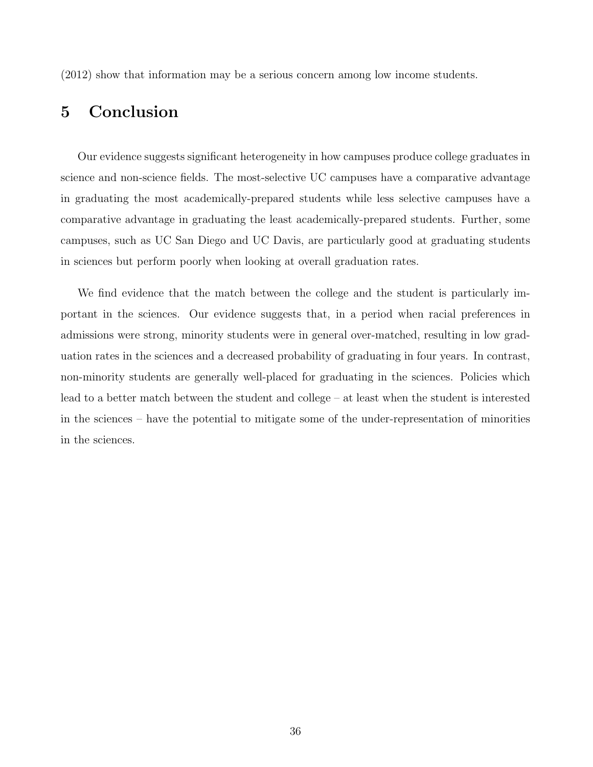<span id="page-36-0"></span>(2012) show that information may be a serious concern among low income students.

# 5 Conclusion

Our evidence suggests significant heterogeneity in how campuses produce college graduates in science and non-science fields. The most-selective UC campuses have a comparative advantage in graduating the most academically-prepared students while less selective campuses have a comparative advantage in graduating the least academically-prepared students. Further, some campuses, such as UC San Diego and UC Davis, are particularly good at graduating students in sciences but perform poorly when looking at overall graduation rates.

We find evidence that the match between the college and the student is particularly important in the sciences. Our evidence suggests that, in a period when racial preferences in admissions were strong, minority students were in general over-matched, resulting in low graduation rates in the sciences and a decreased probability of graduating in four years. In contrast, non-minority students are generally well-placed for graduating in the sciences. Policies which lead to a better match between the student and college – at least when the student is interested in the sciences – have the potential to mitigate some of the under-representation of minorities in the sciences.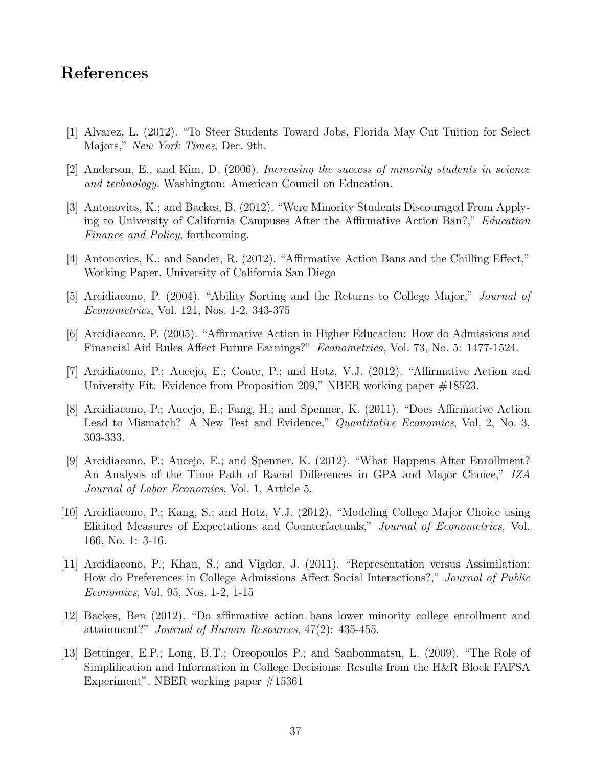# References

- [1] Alvarez, L. (2012). "To Steer Students Toward Jobs, Florida May Cut Tuition for Select Majors," New York Times, Dec. 9th.
- [2] Anderson, E., and Kim, D. (2006). Increasing the success of minority students in science and technology. Washington: American Council on Education.
- [3] Antonovics, K.; and Backes, B. (2012). "Were Minority Students Discouraged From Applying to University of California Campuses After the Affirmative Action Ban?," Education Finance and Policy, forthcoming.
- [4] Antonovics, K.; and Sander, R. (2012). "Affirmative Action Bans and the Chilling Effect," Working Paper, University of California San Diego
- [5] Arcidiacono, P. (2004). "Ability Sorting and the Returns to College Major," Journal of Econometrics, Vol. 121, Nos. 1-2, 343-375
- [6] Arcidiacono, P. (2005). "Affirmative Action in Higher Education: How do Admissions and Financial Aid Rules Affect Future Earnings?" Econometrica, Vol. 73, No. 5: 1477-1524.
- [7] Arcidiacono, P.; Aucejo, E.; Coate, P.; and Hotz, V.J. (2012). "Affirmative Action and University Fit: Evidence from Proposition 209," NBER working paper #18523.
- [8] Arcidiacono, P.; Aucejo, E.; Fang, H.; and Spenner, K. (2011). "Does Affirmative Action Lead to Mismatch? A New Test and Evidence," Quantitative Economics, Vol. 2, No. 3, 303-333.
- [9] Arcidiacono, P.; Aucejo, E.; and Spenner, K. (2012). "What Happens After Enrollment? An Analysis of the Time Path of Racial Differences in GPA and Major Choice," IZA Journal of Labor Economics, Vol. 1, Article 5.
- [10] Arcidiacono, P.; Kang, S.; and Hotz, V.J. (2012). "Modeling College Major Choice using Elicited Measures of Expectations and Counterfactuals," Journal of Econometrics, Vol. 166, No. 1: 3-16.
- [11] Arcidiacono, P.; Khan, S.; and Vigdor, J. (2011). "Representation versus Assimilation: How do Preferences in College Admissions Affect Social Interactions?," Journal of Public Economics, Vol. 95, Nos. 1-2, 1-15
- [12] Backes, Ben (2012). "Do affirmative action bans lower minority college enrollment and attainment?" Journal of Human Resources, 47(2): 435-455.
- [13] Bettinger, E.P.; Long, B.T.; Oreopoulos P.; and Sanbonmatsu, L. (2009). "The Role of Simplification and Information in College Decisions: Results from the H&R Block FAFSA Experiment". NBER working paper  $\#15361$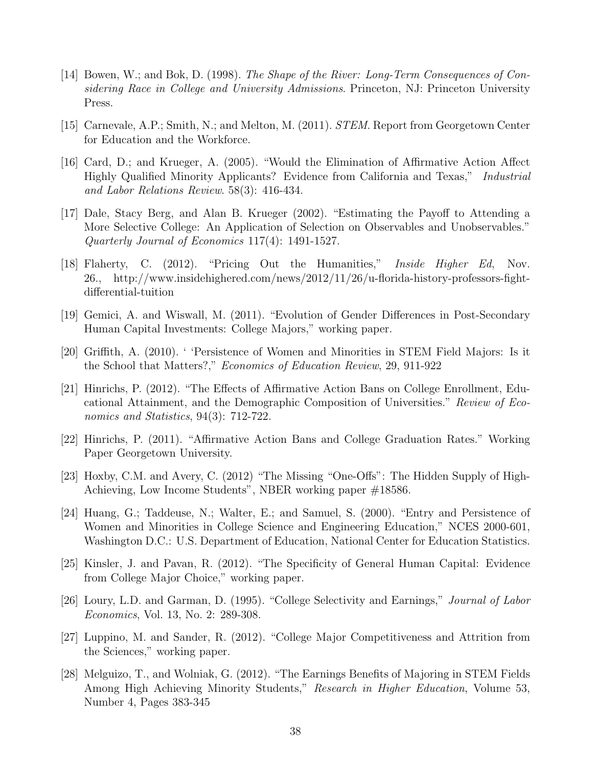- [14] Bowen, W.; and Bok, D. (1998). The Shape of the River: Long-Term Consequences of Considering Race in College and University Admissions. Princeton, NJ: Princeton University Press.
- [15] Carnevale, A.P.; Smith, N.; and Melton, M. (2011). STEM. Report from Georgetown Center for Education and the Workforce.
- [16] Card, D.; and Krueger, A. (2005). "Would the Elimination of Affirmative Action Affect Highly Qualified Minority Applicants? Evidence from California and Texas," Industrial and Labor Relations Review. 58(3): 416-434.
- [17] Dale, Stacy Berg, and Alan B. Krueger (2002). "Estimating the Payoff to Attending a More Selective College: An Application of Selection on Observables and Unobservables." Quarterly Journal of Economics 117(4): 1491-1527.
- [18] Flaherty, C. (2012). "Pricing Out the Humanities," Inside Higher Ed, Nov. 26., http://www.insidehighered.com/news/2012/11/26/u-florida-history-professors-fightdifferential-tuition
- [19] Gemici, A. and Wiswall, M. (2011). "Evolution of Gender Differences in Post-Secondary Human Capital Investments: College Majors," working paper.
- [20] Griffith, A. (2010). ' 'Persistence of Women and Minorities in STEM Field Majors: Is it the School that Matters?," Economics of Education Review, 29, 911-922
- [21] Hinrichs, P. (2012). "The Effects of Affirmative Action Bans on College Enrollment, Educational Attainment, and the Demographic Composition of Universities." Review of Economics and Statistics, 94(3): 712-722.
- [22] Hinrichs, P. (2011). "Affirmative Action Bans and College Graduation Rates." Working Paper Georgetown University.
- [23] Hoxby, C.M. and Avery, C. (2012) "The Missing "One-Offs": The Hidden Supply of High-Achieving, Low Income Students", NBER working paper #18586.
- [24] Huang, G.; Taddeuse, N.; Walter, E.; and Samuel, S. (2000). "Entry and Persistence of Women and Minorities in College Science and Engineering Education," NCES 2000-601, Washington D.C.: U.S. Department of Education, National Center for Education Statistics.
- [25] Kinsler, J. and Pavan, R. (2012). "The Specificity of General Human Capital: Evidence from College Major Choice," working paper.
- [26] Loury, L.D. and Garman, D. (1995). "College Selectivity and Earnings," Journal of Labor Economics, Vol. 13, No. 2: 289-308.
- [27] Luppino, M. and Sander, R. (2012). "College Major Competitiveness and Attrition from the Sciences," working paper.
- [28] Melguizo, T., and Wolniak, G. (2012). "The Earnings Benefits of Majoring in STEM Fields Among High Achieving Minority Students," Research in Higher Education, Volume 53, Number 4, Pages 383-345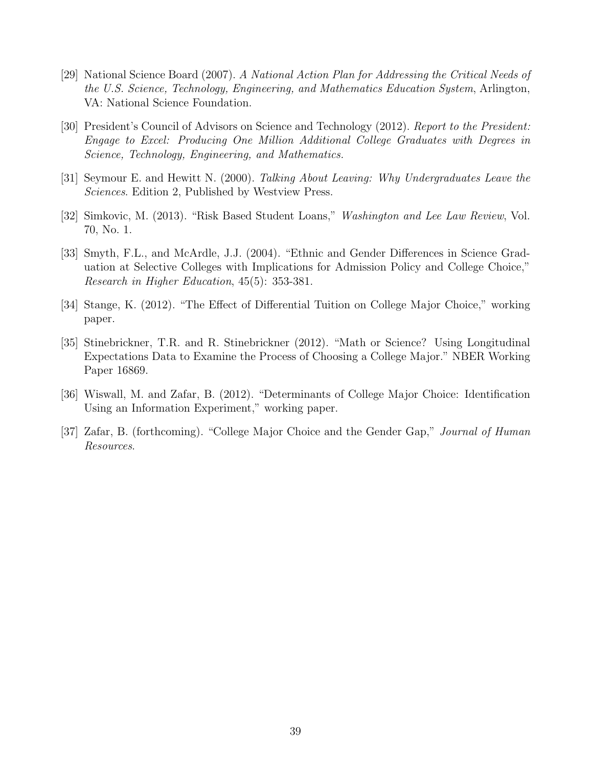- [29] National Science Board (2007). A National Action Plan for Addressing the Critical Needs of the U.S. Science, Technology, Engineering, and Mathematics Education System, Arlington, VA: National Science Foundation.
- [30] President's Council of Advisors on Science and Technology (2012). Report to the President: Engage to Excel: Producing One Million Additional College Graduates with Degrees in Science, Technology, Engineering, and Mathematics.
- [31] Seymour E. and Hewitt N. (2000). Talking About Leaving: Why Undergraduates Leave the Sciences. Edition 2, Published by Westview Press.
- [32] Simkovic, M. (2013). "Risk Based Student Loans," Washington and Lee Law Review, Vol. 70, No. 1.
- [33] Smyth, F.L., and McArdle, J.J. (2004). "Ethnic and Gender Differences in Science Graduation at Selective Colleges with Implications for Admission Policy and College Choice," Research in Higher Education, 45(5): 353-381.
- [34] Stange, K. (2012). "The Effect of Differential Tuition on College Major Choice," working paper.
- [35] Stinebrickner, T.R. and R. Stinebrickner (2012). "Math or Science? Using Longitudinal Expectations Data to Examine the Process of Choosing a College Major." NBER Working Paper 16869.
- [36] Wiswall, M. and Zafar, B. (2012). "Determinants of College Major Choice: Identification Using an Information Experiment," working paper.
- [37] Zafar, B. (forthcoming). "College Major Choice and the Gender Gap," Journal of Human Resources.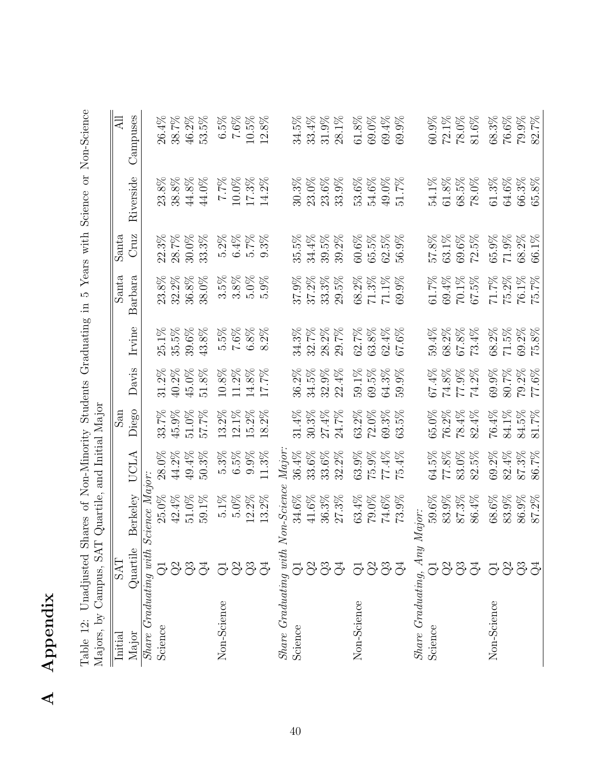| û<br>þ<br>ς<br>ة<br>٢<br>ë |
|----------------------------|
|                            |

| í<br>Noncon Co estate<br>$\frac{1}{2}$                                                                                  |                                                                                     |
|-------------------------------------------------------------------------------------------------------------------------|-------------------------------------------------------------------------------------|
| Acre with<br>$\frac{1}{2}$ and $\frac{1}{2}$                                                                            |                                                                                     |
| $\frac{1}{2}$<br>o HI Gravewer<br>$\left( \begin{array}{c} 1 & 0 \\ 0 & 1 \end{array} \right)$<br>;<br>><br>><br>><br>Č |                                                                                     |
| -<br>ت<br>j<br>+سمامس<br>$\ddot{\dot{r}}$<br>$\geq$<br>$\frac{1}{2}$<br>3                                               | $\ddot{\phantom{0}}$<br>i<br>くらく<br>J<br>I<br>$\frac{1}{2}$<br>こうしょう                |
| $-101$                                                                                                                  | こころ こうしょう<br>(<br>$-100$ $-100$<br>$\overline{ }$<br>$\frac{2}{2}$<br>$\frac{1}{2}$ |
|                                                                                                                         |                                                                                     |

<span id="page-40-0"></span>

| $34.4\%$<br>$60.6\%$<br>65.5%<br>$62.5\%$<br>69.6%<br>$65.9\%$<br>$71.9\%$<br>Cruz<br>28.7%<br>$30.0\%$<br>33.3%<br>$5.2\%$<br>$6.4\%$<br>$5.7\%$<br>$35.5\%$<br>39.5%<br>$39.2\%$<br>57.8%<br>63.1%<br>72.5%<br>$68.2\%$<br>$66.1\%$<br>$22.3\%$<br>$9.3\%$<br>56.9%<br>Santa<br>Santa<br>$32.2\%$<br>38.0%<br>$3.5\%$<br>$3.8\%$<br>$5.0\%$<br>$37.9\%$<br>29.5%<br>$68.2\%$<br>$71.3\%$<br>$71.1\%$<br>$67.5\%$<br>$71.7\%$<br>75.2%<br>Barbara<br>23.8%<br>$36.8\%$<br>$5.9\%$<br>$37.2\%$<br>33.3%<br>69.9%<br>69.4%<br>$70.1\%$<br>$76.1\%$<br>$61.7\%$<br>$71.5\%$<br>Irvine<br>$35.5\%$<br>39.6%<br>$43.8\%$<br>$5.5\%$<br>$7.6\%$<br>$6.8\%$<br>62.7%<br>$63.8\%$<br>$62.4\%$<br>68.2%<br>$67.8\%$<br>73.4%<br>68.2%<br>$69.2\%$<br>$25.1\%$<br>$8.2\%$<br>34.3%<br>32.7%<br>28.2%<br>29.7%<br>67.6%<br>59.4%<br>Davis<br>$45.0\%$<br>$51.8\%$<br>$10.8\%$<br>$11.2\%$<br>$64.3\%$<br>$69.9\%$<br>80.7%<br>$40.2\%$<br>$14.8\%$<br>17.7%<br>36.2%<br>34.5%<br>$32.9\%$<br>22.4%<br>$59.1\%$<br>69.5%<br>59.9%<br>67.4%<br>$74.8\%$<br>$77.9\%$<br>74.2%<br>79.2%<br>31.2%<br>Diego<br>$12.1\%$<br>$15.2\%$<br>$31.4\%$<br>24.7%<br>63.2%<br>72.0%<br>69.3%<br>78.4%<br>82.4%<br>76.4%<br>84.1%<br>$\operatorname{msd}$<br>$45.9\%$<br>51.0%<br>$57.7\%$<br>13.2%<br>$18.2\%$<br>30.3%<br>27.4%<br>$5\%$<br>65.0%<br>76.2%<br>84.5%<br>33.7%<br>63.<br>$_{Major.}$<br>$6.5\%$<br>11.3%<br>$36.4\%$<br>33.6%<br>33.6%<br>$63.9\%$<br>$75.9\%$<br>$77.4\%$<br>$69.2\%$<br>49.4%<br>$50.3\%$<br>5.3%<br>$9.9\%$<br>32.2%<br>75.4%<br>64.5%<br>77.8%<br>83.0%<br>$82.5\%$<br>$82.4\%$<br>$87.3\%$<br>28.0%<br>$44.2\%$<br>UCLA<br>Share Graduating with Science Major:<br>Share Graduating with Non-Science<br><b>Berkelev</b><br>$25.0\%$<br>$42.4\%$<br>$5.0\%$<br>$34.6\%$<br>83.9%<br>$51.0\%$<br>59.1%<br>$5.1\%$<br>$12.2\%$<br>$41.6\%$<br>$36.3\%$<br>$27.3\%$<br>$63.4\%$<br>79.0%<br>$74.6\%$<br>59.6%<br>83.9%<br>$87.3\%$<br>86.4%<br>$68.6\%$<br>$86.9\%$<br>$13.2\%$<br>73.9%<br>Share Graduating, Any Major:<br>Quartile<br><b>EKS</b><br>5833<br>337<br>333<br>5333<br>333<br>5833<br>Non-Science<br>Non-Science<br>Non-Science<br>Science<br>Science<br>Science<br>Major<br>Initial | Majors, by Campus, SAT | Quartile, and Initial Major |       |       |       |          |       |           |               |
|----------------------------------------------------------------------------------------------------------------------------------------------------------------------------------------------------------------------------------------------------------------------------------------------------------------------------------------------------------------------------------------------------------------------------------------------------------------------------------------------------------------------------------------------------------------------------------------------------------------------------------------------------------------------------------------------------------------------------------------------------------------------------------------------------------------------------------------------------------------------------------------------------------------------------------------------------------------------------------------------------------------------------------------------------------------------------------------------------------------------------------------------------------------------------------------------------------------------------------------------------------------------------------------------------------------------------------------------------------------------------------------------------------------------------------------------------------------------------------------------------------------------------------------------------------------------------------------------------------------------------------------------------------------------------------------------------------------------------------------------------------------------------------------------------------------------------------------------------------------------------------------------------------------------------------------------------------------------------------------------------------------------------------------------------------------------------------------------------------------------------------------------------------------------------------------------------------|------------------------|-----------------------------|-------|-------|-------|----------|-------|-----------|---------------|
|                                                                                                                                                                                                                                                                                                                                                                                                                                                                                                                                                                                                                                                                                                                                                                                                                                                                                                                                                                                                                                                                                                                                                                                                                                                                                                                                                                                                                                                                                                                                                                                                                                                                                                                                                                                                                                                                                                                                                                                                                                                                                                                                                                                                          |                        |                             |       |       |       |          |       |           | <b>All</b>    |
|                                                                                                                                                                                                                                                                                                                                                                                                                                                                                                                                                                                                                                                                                                                                                                                                                                                                                                                                                                                                                                                                                                                                                                                                                                                                                                                                                                                                                                                                                                                                                                                                                                                                                                                                                                                                                                                                                                                                                                                                                                                                                                                                                                                                          |                        |                             |       |       |       |          |       | Riverside | Campuses      |
|                                                                                                                                                                                                                                                                                                                                                                                                                                                                                                                                                                                                                                                                                                                                                                                                                                                                                                                                                                                                                                                                                                                                                                                                                                                                                                                                                                                                                                                                                                                                                                                                                                                                                                                                                                                                                                                                                                                                                                                                                                                                                                                                                                                                          |                        |                             |       |       |       |          |       |           |               |
|                                                                                                                                                                                                                                                                                                                                                                                                                                                                                                                                                                                                                                                                                                                                                                                                                                                                                                                                                                                                                                                                                                                                                                                                                                                                                                                                                                                                                                                                                                                                                                                                                                                                                                                                                                                                                                                                                                                                                                                                                                                                                                                                                                                                          |                        |                             |       |       |       |          |       | $23.8\%$  | 26.4%         |
|                                                                                                                                                                                                                                                                                                                                                                                                                                                                                                                                                                                                                                                                                                                                                                                                                                                                                                                                                                                                                                                                                                                                                                                                                                                                                                                                                                                                                                                                                                                                                                                                                                                                                                                                                                                                                                                                                                                                                                                                                                                                                                                                                                                                          |                        |                             |       |       |       |          |       | $38.8\%$  | 38.7%         |
|                                                                                                                                                                                                                                                                                                                                                                                                                                                                                                                                                                                                                                                                                                                                                                                                                                                                                                                                                                                                                                                                                                                                                                                                                                                                                                                                                                                                                                                                                                                                                                                                                                                                                                                                                                                                                                                                                                                                                                                                                                                                                                                                                                                                          |                        |                             |       |       |       |          |       | $44.8\%$  | $46.2\%$      |
|                                                                                                                                                                                                                                                                                                                                                                                                                                                                                                                                                                                                                                                                                                                                                                                                                                                                                                                                                                                                                                                                                                                                                                                                                                                                                                                                                                                                                                                                                                                                                                                                                                                                                                                                                                                                                                                                                                                                                                                                                                                                                                                                                                                                          |                        |                             |       |       |       |          |       | 44.0%     | 53.5%         |
|                                                                                                                                                                                                                                                                                                                                                                                                                                                                                                                                                                                                                                                                                                                                                                                                                                                                                                                                                                                                                                                                                                                                                                                                                                                                                                                                                                                                                                                                                                                                                                                                                                                                                                                                                                                                                                                                                                                                                                                                                                                                                                                                                                                                          |                        |                             |       |       |       |          |       | 262.7     | $6.5\%$       |
|                                                                                                                                                                                                                                                                                                                                                                                                                                                                                                                                                                                                                                                                                                                                                                                                                                                                                                                                                                                                                                                                                                                                                                                                                                                                                                                                                                                                                                                                                                                                                                                                                                                                                                                                                                                                                                                                                                                                                                                                                                                                                                                                                                                                          |                        |                             |       |       |       |          |       | $10.0\%$  | $7.6\%$       |
|                                                                                                                                                                                                                                                                                                                                                                                                                                                                                                                                                                                                                                                                                                                                                                                                                                                                                                                                                                                                                                                                                                                                                                                                                                                                                                                                                                                                                                                                                                                                                                                                                                                                                                                                                                                                                                                                                                                                                                                                                                                                                                                                                                                                          |                        |                             |       |       |       |          |       | $17.3\%$  | $10.5\%$      |
|                                                                                                                                                                                                                                                                                                                                                                                                                                                                                                                                                                                                                                                                                                                                                                                                                                                                                                                                                                                                                                                                                                                                                                                                                                                                                                                                                                                                                                                                                                                                                                                                                                                                                                                                                                                                                                                                                                                                                                                                                                                                                                                                                                                                          |                        |                             |       |       |       |          |       | $14.2\%$  | $12.8\%$      |
|                                                                                                                                                                                                                                                                                                                                                                                                                                                                                                                                                                                                                                                                                                                                                                                                                                                                                                                                                                                                                                                                                                                                                                                                                                                                                                                                                                                                                                                                                                                                                                                                                                                                                                                                                                                                                                                                                                                                                                                                                                                                                                                                                                                                          |                        |                             |       |       |       |          |       |           |               |
|                                                                                                                                                                                                                                                                                                                                                                                                                                                                                                                                                                                                                                                                                                                                                                                                                                                                                                                                                                                                                                                                                                                                                                                                                                                                                                                                                                                                                                                                                                                                                                                                                                                                                                                                                                                                                                                                                                                                                                                                                                                                                                                                                                                                          |                        |                             |       |       |       |          |       | 30.3%     | 34.5%         |
|                                                                                                                                                                                                                                                                                                                                                                                                                                                                                                                                                                                                                                                                                                                                                                                                                                                                                                                                                                                                                                                                                                                                                                                                                                                                                                                                                                                                                                                                                                                                                                                                                                                                                                                                                                                                                                                                                                                                                                                                                                                                                                                                                                                                          |                        |                             |       |       |       |          |       | 23.0%     | 33.4%         |
|                                                                                                                                                                                                                                                                                                                                                                                                                                                                                                                                                                                                                                                                                                                                                                                                                                                                                                                                                                                                                                                                                                                                                                                                                                                                                                                                                                                                                                                                                                                                                                                                                                                                                                                                                                                                                                                                                                                                                                                                                                                                                                                                                                                                          |                        |                             |       |       |       |          |       | $23.6\%$  | 31.9%         |
|                                                                                                                                                                                                                                                                                                                                                                                                                                                                                                                                                                                                                                                                                                                                                                                                                                                                                                                                                                                                                                                                                                                                                                                                                                                                                                                                                                                                                                                                                                                                                                                                                                                                                                                                                                                                                                                                                                                                                                                                                                                                                                                                                                                                          |                        |                             |       |       |       |          |       | 33.9%     | 28.1%         |
|                                                                                                                                                                                                                                                                                                                                                                                                                                                                                                                                                                                                                                                                                                                                                                                                                                                                                                                                                                                                                                                                                                                                                                                                                                                                                                                                                                                                                                                                                                                                                                                                                                                                                                                                                                                                                                                                                                                                                                                                                                                                                                                                                                                                          |                        |                             |       |       |       |          |       | 53.6%     | 61.8%         |
|                                                                                                                                                                                                                                                                                                                                                                                                                                                                                                                                                                                                                                                                                                                                                                                                                                                                                                                                                                                                                                                                                                                                                                                                                                                                                                                                                                                                                                                                                                                                                                                                                                                                                                                                                                                                                                                                                                                                                                                                                                                                                                                                                                                                          |                        |                             |       |       |       |          |       | 54.6%     | 69.0%         |
|                                                                                                                                                                                                                                                                                                                                                                                                                                                                                                                                                                                                                                                                                                                                                                                                                                                                                                                                                                                                                                                                                                                                                                                                                                                                                                                                                                                                                                                                                                                                                                                                                                                                                                                                                                                                                                                                                                                                                                                                                                                                                                                                                                                                          |                        |                             |       |       |       |          |       | $49.0\%$  | $69.4\%$      |
|                                                                                                                                                                                                                                                                                                                                                                                                                                                                                                                                                                                                                                                                                                                                                                                                                                                                                                                                                                                                                                                                                                                                                                                                                                                                                                                                                                                                                                                                                                                                                                                                                                                                                                                                                                                                                                                                                                                                                                                                                                                                                                                                                                                                          |                        |                             |       |       |       |          |       | 51.7%     | $.9\%$<br>69. |
|                                                                                                                                                                                                                                                                                                                                                                                                                                                                                                                                                                                                                                                                                                                                                                                                                                                                                                                                                                                                                                                                                                                                                                                                                                                                                                                                                                                                                                                                                                                                                                                                                                                                                                                                                                                                                                                                                                                                                                                                                                                                                                                                                                                                          |                        |                             |       |       |       |          |       |           |               |
|                                                                                                                                                                                                                                                                                                                                                                                                                                                                                                                                                                                                                                                                                                                                                                                                                                                                                                                                                                                                                                                                                                                                                                                                                                                                                                                                                                                                                                                                                                                                                                                                                                                                                                                                                                                                                                                                                                                                                                                                                                                                                                                                                                                                          |                        |                             |       |       |       |          |       | 54.1%     | 60.9%         |
|                                                                                                                                                                                                                                                                                                                                                                                                                                                                                                                                                                                                                                                                                                                                                                                                                                                                                                                                                                                                                                                                                                                                                                                                                                                                                                                                                                                                                                                                                                                                                                                                                                                                                                                                                                                                                                                                                                                                                                                                                                                                                                                                                                                                          |                        |                             |       |       |       |          |       | $61.8\%$  | $72.1\%$      |
|                                                                                                                                                                                                                                                                                                                                                                                                                                                                                                                                                                                                                                                                                                                                                                                                                                                                                                                                                                                                                                                                                                                                                                                                                                                                                                                                                                                                                                                                                                                                                                                                                                                                                                                                                                                                                                                                                                                                                                                                                                                                                                                                                                                                          |                        |                             |       |       |       |          |       | $68.5\%$  | $78.0\%$      |
|                                                                                                                                                                                                                                                                                                                                                                                                                                                                                                                                                                                                                                                                                                                                                                                                                                                                                                                                                                                                                                                                                                                                                                                                                                                                                                                                                                                                                                                                                                                                                                                                                                                                                                                                                                                                                                                                                                                                                                                                                                                                                                                                                                                                          |                        |                             |       |       |       |          |       | $78.0\%$  | $81.6\%$      |
|                                                                                                                                                                                                                                                                                                                                                                                                                                                                                                                                                                                                                                                                                                                                                                                                                                                                                                                                                                                                                                                                                                                                                                                                                                                                                                                                                                                                                                                                                                                                                                                                                                                                                                                                                                                                                                                                                                                                                                                                                                                                                                                                                                                                          |                        |                             |       |       |       |          |       | $61.3\%$  | $68.3\%$      |
|                                                                                                                                                                                                                                                                                                                                                                                                                                                                                                                                                                                                                                                                                                                                                                                                                                                                                                                                                                                                                                                                                                                                                                                                                                                                                                                                                                                                                                                                                                                                                                                                                                                                                                                                                                                                                                                                                                                                                                                                                                                                                                                                                                                                          |                        |                             |       |       |       |          |       | $64.6\%$  | $76.6\%$      |
|                                                                                                                                                                                                                                                                                                                                                                                                                                                                                                                                                                                                                                                                                                                                                                                                                                                                                                                                                                                                                                                                                                                                                                                                                                                                                                                                                                                                                                                                                                                                                                                                                                                                                                                                                                                                                                                                                                                                                                                                                                                                                                                                                                                                          |                        |                             |       |       |       |          |       | $66.3\%$  | $79.9\%$      |
|                                                                                                                                                                                                                                                                                                                                                                                                                                                                                                                                                                                                                                                                                                                                                                                                                                                                                                                                                                                                                                                                                                                                                                                                                                                                                                                                                                                                                                                                                                                                                                                                                                                                                                                                                                                                                                                                                                                                                                                                                                                                                                                                                                                                          |                        | $87.2\%$                    | 86.7% | 81.7% | 77.6% | $75.8\%$ | 75.7% | $65.8\%$  | 82.7%         |

 $\mathcal{L}_{\mathcal{A}}$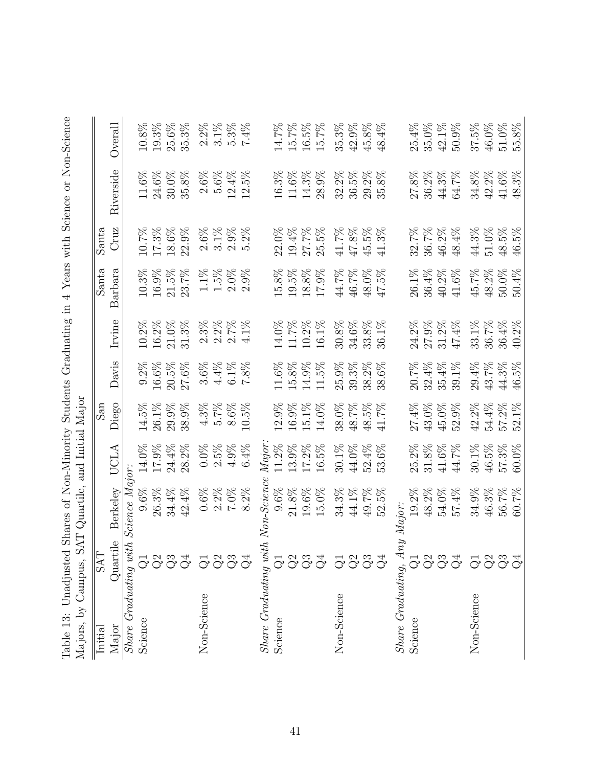<span id="page-41-0"></span>

| くくい<br>in on-Scien<br>Ò<br>)<br>}<br>}<br>N SC CCCCCCC N<br>$\frac{1}{2}$<br>Yeare with                                                                                                                                                                                                                 |                                                                                                                                                                  |
|---------------------------------------------------------------------------------------------------------------------------------------------------------------------------------------------------------------------------------------------------------------------------------------------------------|------------------------------------------------------------------------------------------------------------------------------------------------------------------|
| WIND WIND WIND IN THE THE THE THE THE THAT SUMMER WIND<br>1 CAT と と CATTCLIFT に CAT に こ List<br>$\frac{1}{2}$<br>֖֧֧֧֧֧֧֧֧֧֧֧֛֧֛֧֛֧֧֛֛֛֧֧֚֚֚֚֚֚֚֚֡֟֓֕֓֝֓֝֓֝֓֝֬֝֓֝֬֝֟֓֝֬֝֬֝֬֜֓֓֓֬֜֓֬֝֬<br>ミミク<br>$\frac{1}{1}$<br>ì<br>I<br>くこくらく<br>$\frac{1}{2}$<br>)<br>)<br>)<br>)<br>$\frac{1}{2}$<br>$\frac{1}{2}$ | .<br>:<br>: 5:30<br>֡֡֡֡֡֡<br>くいキュー くさく<br>$\frac{1}{2}$<br>l<br>ーー・リン<br>į<br>てっこうくう<br>i<br>Sidna<br>$\ddot{\phantom{0}}$<br>Ò<br>-<br>;<br>ì<br>$\frac{1}{2}$ |

|                                                    |                      | Overall         |                                            | $10.8\%$ | $19.3\%$ | $25.6\%$ | $35.3\%$ | $2.2\%$     | $3.1\%$          | $5.3\%$  | $7.4\%$ |                                         | 14.7%    | 15.7%    | $16.5\%$ | 15.7%    | 35.3%       | $42.9\%$ | $45.8\%$ | $48.4\%$     |                         | 25.4%        | $35.0\%$                   | $42.1\%$ | $50.9\%$ | 37.5%       | $46.0\%$ | $51.0\%$ | $55.8\%$         |
|----------------------------------------------------|----------------------|-----------------|--------------------------------------------|----------|----------|----------|----------|-------------|------------------|----------|---------|-----------------------------------------|----------|----------|----------|----------|-------------|----------|----------|--------------|-------------------------|--------------|----------------------------|----------|----------|-------------|----------|----------|------------------|
|                                                    |                      | Riverside       |                                            | $11.6\%$ | $24.6\%$ | 30.0%    | $35.8\%$ | $2.6\%$     | $5.6\%$          | $12.4\%$ | 12.5%   |                                         | 16.3%    | $11.6\%$ | $14.3\%$ | 28.9%    | $32.2\%$    | $36.5\%$ | $29.2\%$ | $35.8\%$     |                         | 27.8%        | $36.2\%$                   | $44.3\%$ | $64.7\%$ | $34.8\%$    | $42.2\%$ | 41.6%    | 48.3%            |
|                                                    | Santa                | Cruz            |                                            | 10.7%    | $17.3\%$ | $18.6\%$ | $22.9\%$ | $2.6\%$     | $3.1\%$          | $2.9\%$  | $5.2\%$ |                                         | 22.0%    | $19.4\%$ | 27.7%    | $25.5\%$ | $41.7\%$    | $47.8\%$ | $45.5\%$ | $41.3\%$     |                         | 32.7%        | 36.7%                      | 46.2%    | $48.4\%$ | 44.3%       | $51.0\%$ | $48.5\%$ | $46.5\%$         |
|                                                    | Santa                | Barbara         |                                            | $10.3\%$ | $16.9\%$ | $21.5\%$ | 23.7%    | $1.1\%$     | $1.5\%$          | $2.0\%$  | $2.9\%$ |                                         | $15.8\%$ | $19.5\%$ | $18.8\%$ | $17.9\%$ | $44.7\%$    | $46.7\%$ | $48.0\%$ | $5\%$<br>47. |                         | 26.1%        | $36.4\%$                   | $40.2\%$ | $41.6\%$ | $45.7\%$    | $48.2\%$ | $50.0\%$ | 50.4%            |
|                                                    |                      | Irvine          |                                            | 10.2%    | $16.2\%$ | $21.0\%$ | $31.3\%$ |             | $2.3%$<br>$2.2%$ | $2.7\%$  | 4.1%    |                                         | 14.0%    | 11.7%    | $10.2\%$ | 16.1%    | $30.8\%$    | 34.6%    | $33.8\%$ | $1\%$<br>36. |                         | 24.2%        | $27.9\%$                   | $31.2\%$ | 47.4%    | 33.1%       | 36.7%    | 36.4%    | $2\%$<br>(−<br>⊕ |
|                                                    |                      | Davis           |                                            | $9.2\%$  | $16.6\%$ | $20.5\%$ | $27.6\%$ | $3.6\%$     | $4.4\%$          | $6.1\%$  | $7.8\%$ |                                         | $11.6\%$ | $15.8\%$ | $14.9\%$ | 11.5%    | $25.9\%$    | $39.3\%$ | $38.2\%$ | 38.6%        |                         | 20.7%        | $32.4\%$                   | 35.4%    | $39.1\%$ | $29.4\%$    | $43.7\%$ | 44.3%    | $5\%$<br>46.     |
|                                                    | $\operatorname{San}$ | Diego           |                                            | $14.5\%$ | $26.1\%$ | $29.9\%$ | 38.9%    | $4.3\%$     | $5.7\%$          | $8.6\%$  | 10.5%   |                                         | 12.9%    | $16.9\%$ | $15.1\%$ | 14.0%    | $38.0\%$    | $48.7\%$ | $48.5\%$ | 41.7%        |                         | 27.4%        | $43.0\%$                   | $45.0\%$ | $52.9\%$ | $42.2\%$    | $54.4\%$ | 57.2%    | 52.1%            |
|                                                    |                      | UCLA            |                                            | $14.0\%$ | $17.9\%$ | 24.4%    | $28.2\%$ | $0.0\%$     | $2.5\%$          | $4.9\%$  | $6.4\%$ | $\emph{Mar.}$                           | 11.2%    | 13.9%    | 17.2%    | $16.5\%$ | $30.1\%$    | $44.0\%$ | $52.4\%$ | 53.6%        |                         | $2\%$<br>25. | $8\%$<br>$\overline{31}$ . | $41.6\%$ | $44.7\%$ | $30.1\%$    | $46.5\%$ | 57.3%    | $60.0\%$         |
|                                                    |                      | <b>Berkelev</b> |                                            | $9.6\%$  | $26.3\%$ | 34.4%    | $42.4\%$ | $0.6\%$     | $2.2\%$          | $7.0\%$  | 8.2%    |                                         | 9.6%     | $21.8\%$ | $19.6\%$ | $15.0\%$ | $34.3\%$    | $44.1\%$ | $49.7\%$ | $52.5\%$     | ny Major:               | $19.2\%$     | $48.2\%$                   | $54.0\%$ | 57.4%    | $34.9\%$    | $46.3\%$ | 56.7%    | 7%<br>60.        |
|                                                    | <b>EVS</b>           | Quartile        |                                            |          |          |          | 5337     |             | 5337             |          |         |                                         |          |          | 5333     |          |             |          | 5333     |              |                         |              |                            | 5833     |          |             |          |          | 5333             |
| Najors, by Uampus, SAI Quartile, and Initial Major | Initial              | Major           | $Share\ Craduating\ with\ Science\ Major:$ | Science  |          |          |          | Non-Science |                  |          |         | $Share$ $Graduating$ with $Non-Science$ | Science  |          |          |          | Non-Science |          |          |              | $Share$ $Graduating, A$ | Science      |                            |          |          | Non-Science |          |          |                  |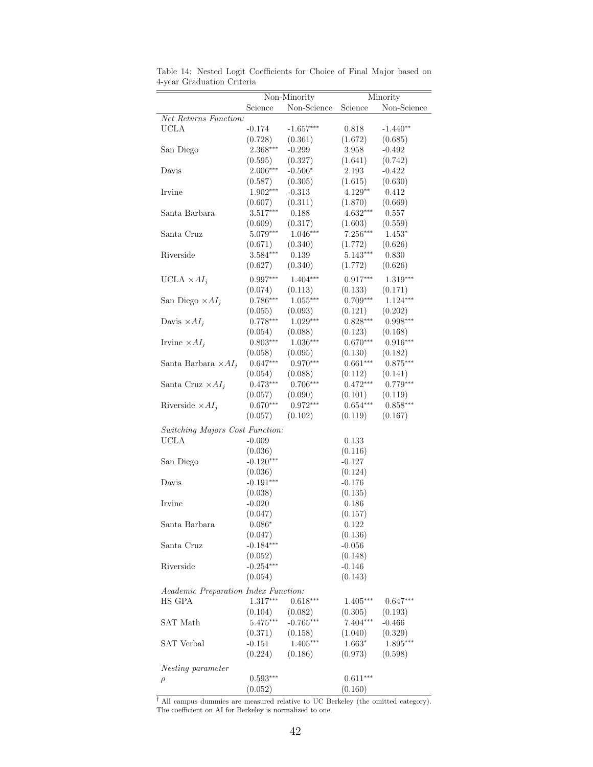|                                                |                       | $\overline{\text{Non-Minority}}$ |                       | Minority            |
|------------------------------------------------|-----------------------|----------------------------------|-----------------------|---------------------|
|                                                | Science               | Non-Science                      | Science               | Non-Science         |
| Net Returns Function:                          |                       |                                  |                       |                     |
| <b>UCLA</b>                                    | $-0.174$              | $-1.657***$                      | 0.818                 | $-1.440**$          |
|                                                | (0.728)               | (0.361)                          | (1.672)               | (0.685)             |
| San Diego                                      | $2.368***$            | $-0.299$                         | 3.958                 | $-0.492$            |
|                                                | (0.595)               | (0.327)                          | (1.641)               | (0.742)             |
| Davis                                          | $2.006***$            | $-0.506*$                        | 2.193                 | $-0.422$            |
|                                                | (0.587)               | (0.305)                          | (1.615)               | (0.630)             |
| Irvine                                         | 1.902***              | $-0.313$                         | 4.129**               | 0.412               |
|                                                | (0.607)               | (0.311)                          | (1.870)               | (0.669)             |
| Santa Barbara                                  | $3.517***$            | 0.188                            | 4.632***              | 0.557               |
|                                                | (0.609)               | (0.317)                          |                       |                     |
| Santa Cruz                                     | $5.079***$            | $1.046***$                       | (1.603)<br>$7.256***$ | (0.559)<br>$1.453*$ |
|                                                |                       |                                  |                       |                     |
|                                                | (0.671)<br>$3.584***$ | (0.340)                          | (1.772)               | (0.626)             |
| Riverside                                      |                       | 0.139                            | $5.143***$            | 0.830               |
|                                                | (0.627)               | (0.340)                          | (1.772)               | (0.626)             |
| UCLA $\times AI_j$                             | $0.997***$            | $1.404***$                       | $0.917***$            | $1.319***$          |
|                                                | (0.074)               | (0.113)                          | (0.133)               | (0.171)             |
| San Diego $\times AI_i$                        | $0.786***$            | $1.055***$                       | $0.709***$            | $1.124***$          |
|                                                | (0.055)               | (0.093)                          | (0.121)               | (0.202)             |
| Davis $\times AI_i$                            | $0.778***$            | $1.029***$                       | $0.828***$            | $0.998***$          |
|                                                | (0.054)               | (0.088)                          | (0.123)               | (0.168)             |
| Irvine $\times AI_j$                           | $0.803***$            | 1.036***                         | $0.670***$            | $0.916***$          |
|                                                | (0.058)               | (0.095)                          | (0.130)               | (0.182)             |
| Santa Barbara $\times AI_j$                    | $0.647***$            | $0.970***$                       | $0.661***$            | $0.875***$          |
|                                                | (0.054)               | (0.088)                          | (0.112)               | (0.141)             |
| Santa Cruz $\times AI_i$                       | $0.473***$            | $0.706***$                       | $0.472***$            | $0.779***$          |
|                                                | (0.057)               | (0.090)                          | (0.101)               | (0.119)             |
| Riverside $\times AI_i$                        | $0.670***$            | $0.972***$                       | $0.654***$            | $0.858***$          |
|                                                | (0.057)               | (0.102)                          | (0.119)               | (0.167)             |
|                                                |                       |                                  |                       |                     |
| Switching Majors Cost Function:<br><b>UCLA</b> |                       |                                  |                       |                     |
|                                                | $-0.009$              |                                  | 0.133                 |                     |
|                                                | (0.036)               |                                  | (0.116)               |                     |
| San Diego                                      | $-0.120***$           |                                  | $-0.127$              |                     |
|                                                | (0.036)               |                                  | (0.124)               |                     |
| Davis                                          | $-0.191***$           |                                  | $-0.176$              |                     |
|                                                | (0.038)               |                                  | (0.135)               |                     |
| Irvine                                         | $-0.020$              |                                  | 0.186                 |                     |
|                                                | (0.047)               |                                  | (0.157)               |                     |
| Santa Barbara                                  | $0.086*$              |                                  | 0.122                 |                     |
|                                                | (0.047)               |                                  | (0.136)               |                     |
| Santa Cruz                                     | $-0.184***$           |                                  | $-0.056$              |                     |
|                                                | (0.052)               |                                  | (0.148)               |                     |
| Riverside                                      | $-0.254***$           |                                  | $-0.146$              |                     |
|                                                | (0.054)               |                                  | (0.143)               |                     |
| Academic Preparation Index Function:           |                       |                                  |                       |                     |
| HS GPA                                         | 1.317***              | $0.618***$                       | $1.405***$            | $0.647***$          |
|                                                | (0.104)               | (0.082)                          | (0.305)               | (0.193)             |
| SAT Math                                       | $5.475***$            | $-0.765***$                      | $7.404***$            | $-0.466$            |
|                                                | (0.371)               | (0.158)                          | (1.040)               | (0.329)             |
| SAT Verbal                                     | $-0.151$              | $1.405***$                       | $1.663*$              | 1.895***            |
|                                                | (0.224)               | (0.186)                          | (0.973)               | (0.598)             |
|                                                |                       |                                  |                       |                     |
| Nesting parameter                              | $0.593***$            |                                  | $0.611***$            |                     |
| $\rho$                                         |                       |                                  |                       |                     |
|                                                | (0.052)               |                                  | (0.160)               |                     |

<span id="page-42-0"></span>Table 14: Nested Logit Coefficients for Choice of Final Major based on 4-year Graduation Criteria

† All campus dummies are measured relative to UC Berkeley (the omitted category). The coefficient on AI for Berkeley is normalized to one.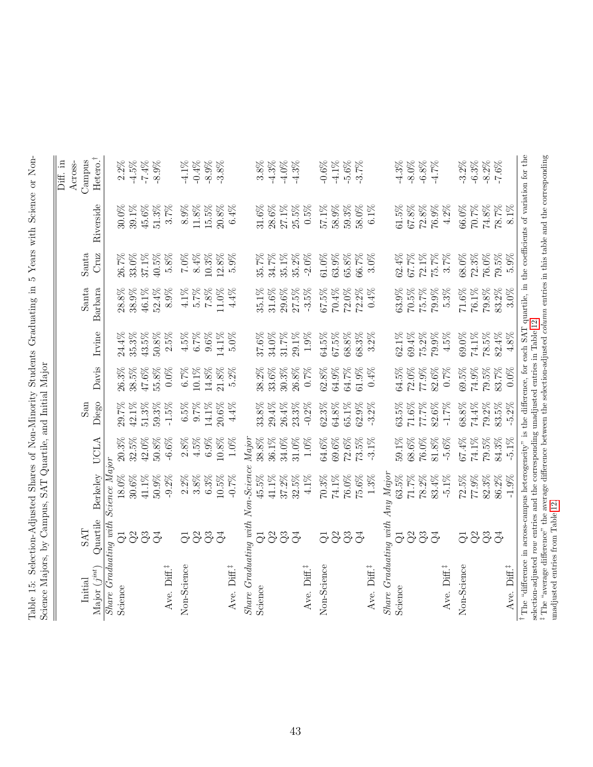<span id="page-43-0"></span>

| peneme intending by Amplia, but                                                                                                                       |                             |          |          |          |          |          |          |          |           |          |
|-------------------------------------------------------------------------------------------------------------------------------------------------------|-----------------------------|----------|----------|----------|----------|----------|----------|----------|-----------|----------|
|                                                                                                                                                       |                             |          |          |          |          |          |          |          |           | Diff. in |
|                                                                                                                                                       |                             |          |          |          |          |          |          |          |           | Across-  |
| Initial                                                                                                                                               | <b>LVS</b>                  |          |          | San      |          |          | Santa    | Santa    |           | Campus   |
| Major $(j^{int})$                                                                                                                                     | Quartile                    | Berkeley | UCLA     | Diego    | Davis    | Irvine   | Barbara  | Cruz     | Riverside | Hetero.  |
| Share Graduating with Science Major                                                                                                                   |                             |          |          |          |          |          |          |          |           |          |
| Science                                                                                                                                               | $\overline{G}$              | $18.0\%$ | $20.3\%$ | 29.7%    | 26.3%    | 24.4%    | $28.8\%$ | 26.7%    | 30.0%     | $2.2\%$  |
|                                                                                                                                                       | Q <sup>2</sup>              | 30.6%    | 32.5%    | 42.1%    | 38.5%    | $35.3\%$ | 38.9%    | 33.0%    | 39.1%     | $-4.5\%$ |
|                                                                                                                                                       | Q3                          | 41.1%    | 42.0%    | 51.3%    | 47.6%    | 43.5%    | 46.1%    | 37.1%    | 45.6%     | $-7.4%$  |
|                                                                                                                                                       | $\mathcal{Q}^4$             | $50.9\%$ | $50.8\%$ | 59.3%    | 55.8%    | $50.8\%$ | 52.4%    | $40.5\%$ | $51.3\%$  | $-8.9%$  |
| Ave. Diff.                                                                                                                                            |                             | $-9.2\%$ | $-6.6\%$ | $-1.5\%$ | $0.0\%$  | $2.5\%$  | $8.9\%$  | 5.8%     | 3.7%      |          |
| Non-Science                                                                                                                                           | $\overline{G}$              | $2.2\%$  | $2.8\%$  | $6.5\%$  | $6.7\%$  | $4.5\%$  | $4.1\%$  | $7.0\%$  | 8.9%      | $-4.1\%$ |
|                                                                                                                                                       | Q2                          | $3.8\%$  | $4.5\%$  | 9.7%     | 10.1%    | 6.7%     | 5.7%     | $8.4\%$  | $11.8\%$  | $-0.4%$  |
|                                                                                                                                                       | Q3                          | 6.3%     | $6.9\%$  | 14.1%    | 14.8%    | $9.6\%$  | $7.8\%$  | 10.3%    | 15.5%     | $-8.9%$  |
|                                                                                                                                                       | $\vec{Q}$                   | 10.5%    | $10.8\%$ | 20.6%    | 21.8%    | 14.1%    | 11.0%    | 12.8%    | $20.8\%$  | $-3.8%$  |
| Ave. Diff. <sup>#</sup>                                                                                                                               |                             | $-0.7%$  | $1.0\%$  | $4.4\%$  | $5.2\%$  | 5.0%     | 4.4%     | 5.9%     | 6.4%      |          |
| $Share$ Graduating with $Non-Science$                                                                                                                 |                             |          | Major    |          |          |          |          |          |           |          |
| Science                                                                                                                                               | ಘ                           | 45.5%    | 38.8%    | 33.8%    | 38.2%    | 37.6%    | 35.1%    | 35.7%    | 31.6%     | 3.8%     |
|                                                                                                                                                       | Q <sup>2</sup>              | $41.1\%$ | 36.1%    | 29.4%    | 33.6%    | 34.0%    | $31.6\%$ | 34.7%    | 28.6%     | $-4.3\%$ |
|                                                                                                                                                       | Q3                          | 37.2%    | 34.0%    | 26.4%    | 30.3%    | $31.7\%$ | 29.6%    | 35.1%    | 27.1%     | $-4.0\%$ |
|                                                                                                                                                       | $\mathcal{Q}^4$             | 32.5%    | 31.0%    | 23.3%    | 26.8%    | $29.1\%$ | $27.5\%$ | 35.2%    | $25.5\%$  | $-4.3%$  |
| Ave. Diff.                                                                                                                                            |                             | 4.1%     | $1.0\%$  | $-0.2%$  | 0.7%     | $1.9\%$  | $-3.5%$  | $-2.0\%$ | $0.5\%$   |          |
| Non-Science                                                                                                                                           | $\overline{G}$              | 70.3%    | 64.6%    | 62.3%    | 62.8%    | $64.5\%$ | $67.5\%$ | 61.0%    | 57.1%     | $-0.6\%$ |
|                                                                                                                                                       | Q <sup>2</sup>              | 74.1%    | 69.6%    | 64.8%    | 64.9%    | $67.5\%$ | 70.4%    | 63.9%    | 58.9%     | $-4.1\%$ |
|                                                                                                                                                       |                             | 76.0%    | 72.6%    | 65.1%    | 64.7%    | 68.8%    | 72.0%    | 65.8%    | 59.3%     | $-5.6%$  |
|                                                                                                                                                       | 33                          | 75.6%    | 73.5%    | 62.9%    | 61.9%    | 68.3%    | $72.2\%$ | 66.7%    | 58.0%     | $-3.7%$  |
| Ave. Diff. <sup>‡</sup>                                                                                                                               |                             | $1.3\%$  | $-3.1\%$ | $-3.2%$  | 0.4%     | $3.2\%$  | $0.4\%$  | 3.0%     | $6.1\%$   |          |
| $Share$ Graduating with Any Major                                                                                                                     |                             |          |          |          |          |          |          |          |           |          |
| Science                                                                                                                                               | ಘ                           | 63.5%    | 59.1%    | 63.5%    | 64.5%    | 62.1%    | 63.9%    | 62.4%    | $61.5\%$  | $-4.3%$  |
|                                                                                                                                                       | Q <sup>2</sup>              | 71.7%    | 68.6%    | $71.6\%$ | $72.0\%$ | 69.4%    | 70.5%    | 67.7%    | $67.8\%$  | $-8.0\%$ |
|                                                                                                                                                       | Q3                          | 78.2%    | 76.0%    | 77.7%    | 77.9%    | 75.2%    | 75.7%    | 72.1%    | $72.8\%$  | $-6.8%$  |
|                                                                                                                                                       | Q <sub>4</sub>              | 83.4%    | $81.8\%$ | 82.6%    | 82.6%    | 79.9%    | 79.9%    | 75.7%    | 76.9%     | $-4.7%$  |
| Ave. Diff.                                                                                                                                            |                             | $-5.1\%$ | $-5.6\%$ | $-1.7\%$ | $0.7\%$  | $4.5\%$  | $5.3\%$  | 3.7%     | $4.2\%$   |          |
| Non-Science                                                                                                                                           | $\vec{C}$                   | 72.5%    | 67.4%    | $68.8\%$ | $69.5\%$ | 69.0%    | $71.6\%$ | 68.0%    | 66.0%     | $-3.2\%$ |
|                                                                                                                                                       |                             | 77.9%    | 74.1%    | 74.4%    | 74.9%    | 74.1%    | 76.1%    | 72.3%    | 70.7%     | $-6.3%$  |
|                                                                                                                                                       | 33                          | 82.3%    | 79.5%    | 79.2%    | 79.5%    | 78.5%    | 79.8%    | 76.0%    | $74.8\%$  | $-8.2\%$ |
|                                                                                                                                                       | $\mathcal{S}^{\mathcal{A}}$ | 86.2%    | 84.3%    | 83.5%    | 83.7%    | $82.4\%$ | 83.2%    | 79.5%    | 78.7%     | $-7.6\%$ |
| Ave. Diff. <sup>‡</sup>                                                                                                                               |                             | $-1.9%$  | $-5.1\%$ | $-5.2%$  | $0.0\%$  | 4.8%     | $3.0\%$  | $5.9\%$  | 8.1%      |          |
| <sup>†</sup> The "difference in across-campus heterogeneity" is the difference, for each SAT quartile, in the coefficients of variation for the       |                             |          |          |          |          |          |          |          |           |          |
| selection-adjusted row entries and the corresponding unadjusted entries in Table 12                                                                   |                             |          |          |          |          |          |          |          |           |          |
| <sup>‡</sup> The "average difference" the average difference between the selection-adjusted <i>column</i> entries in this table and the corresponding |                             |          |          |          |          |          |          |          |           |          |
| unadjusted entries from Table 12                                                                                                                      |                             |          |          |          |          |          |          |          |           |          |

Table 15: Selection-Adjusted Shares of Non-Minority Students Graduating in 5 Years with Science or Non-Science or Non-Table 15: Selection-Adjusted Shares of Non-Minority Students Graduating in 5 Years with Science or Non-Science Majors, by Campus, SAT Quartile, and Initial Major